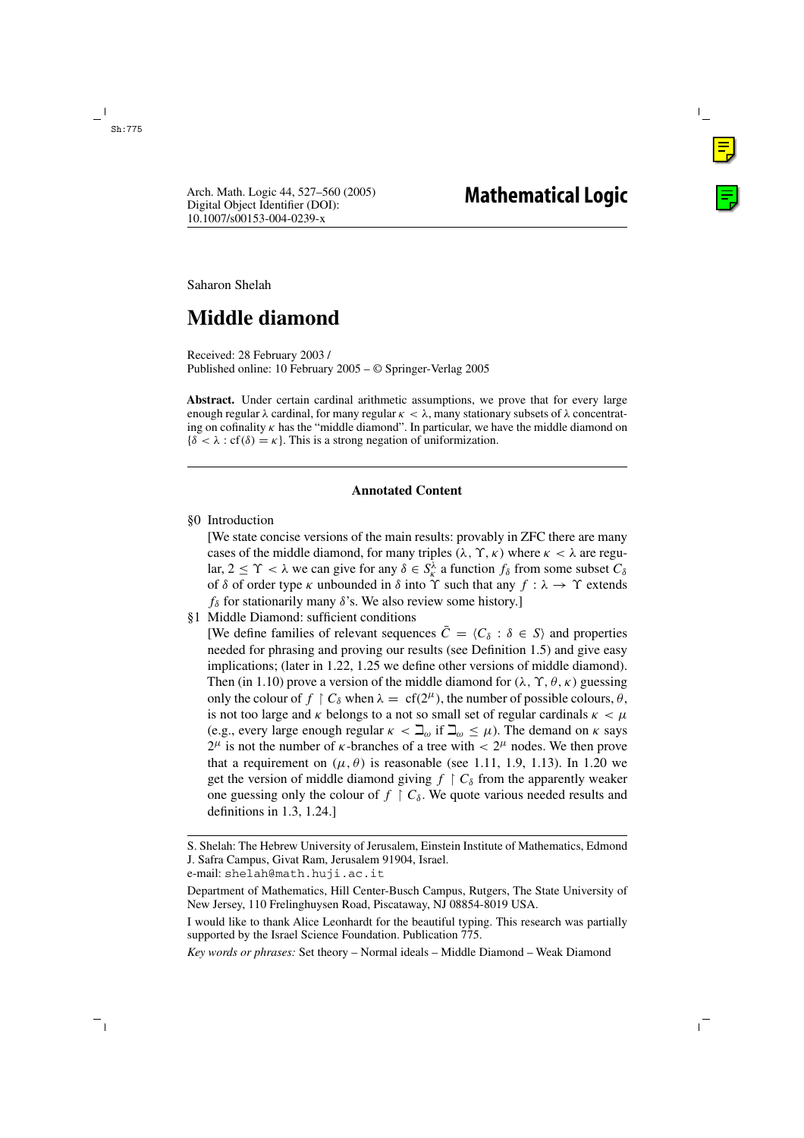Saharon Shelah

# **Middle diamond**

Received: 28 February 2003 / Published online: 10 February 2005 – © Springer-Verlag 2005

**Abstract.** Under certain cardinal arithmetic assumptions, we prove that for every large enough regular  $\lambda$  cardinal, for many regular  $\kappa < \lambda$ , many stationary subsets of  $\lambda$  concentrating on cofinality  $\kappa$  has the "middle diamond". In particular, we have the middle diamond on  ${\delta < \lambda : cf(\delta) = \kappa}$ . This is a strong negation of uniformization.

## **Annotated Content**

§0 Introduction

[We state concise versions of the main results: provably in ZFC there are many cases of the middle diamond, for many triples  $(\lambda, \Upsilon, \kappa)$  where  $\kappa < \lambda$  are regular,  $2 \leq \Upsilon < \lambda$  we can give for any  $\delta \in S_k^{\lambda}$  a function  $f_{\delta}$  from some subset  $C_{\delta}$ of  $\delta$  of order type  $\kappa$  unbounded in  $\delta$  into  $\Upsilon$  such that any  $f : \lambda \to \Upsilon$  extends  $f_{\delta}$  for stationarily many  $\delta$ 's. We also review some history.]

§1 Middle Diamond: sufficient conditions

[We define families of relevant sequences  $\overline{C} = \langle C_{\delta} : \delta \in S \rangle$  and properties needed for phrasing and proving our results (see Definition 1.5) and give easy implications; (later in 1.22, 1.25 we define other versions of middle diamond). Then (in 1.10) prove a version of the middle diamond for  $(\lambda, \Upsilon, \theta, \kappa)$  guessing only the colour of  $f \restriction C_\delta$  when  $\lambda = cf(2^\mu)$ , the number of possible colours,  $\theta$ , is not too large and  $\kappa$  belongs to a not so small set of regular cardinals  $\kappa < \mu$ (e.g., every large enough regular  $\kappa < \mathcal{L}_{\omega}$  if  $\mathcal{L}_{\omega} \leq \mu$ ). The demand on  $\kappa$  says  $2^{\mu}$  is not the number of *κ*-branches of a tree with  $\langle 2^{\mu} \rangle$  nodes. We then prove that a requirement on  $(\mu, \theta)$  is reasonable (see 1.11, 1.9, 1.13). In 1.20 we get the version of middle diamond giving  $f \restriction C_\delta$  from the apparently weaker one guessing only the colour of  $f \restriction C_\delta$ . We quote various needed results and definitions in 1.3, 1.24.]

e-mail: shelah@math.huji.ac.it

*Key words or phrases:* Set theory – Normal ideals – Middle Diamond – Weak Diamond

S. Shelah: The Hebrew University of Jerusalem, Einstein Institute of Mathematics, Edmond J. Safra Campus, Givat Ram, Jerusalem 91904, Israel.

Department of Mathematics, Hill Center-Busch Campus, Rutgers, The State University of New Jersey, 110 Frelinghuysen Road, Piscataway, NJ 08854-8019 USA.

I would like to thank Alice Leonhardt for the beautiful typing. This research was partially supported by the Israel Science Foundation. Publication 775.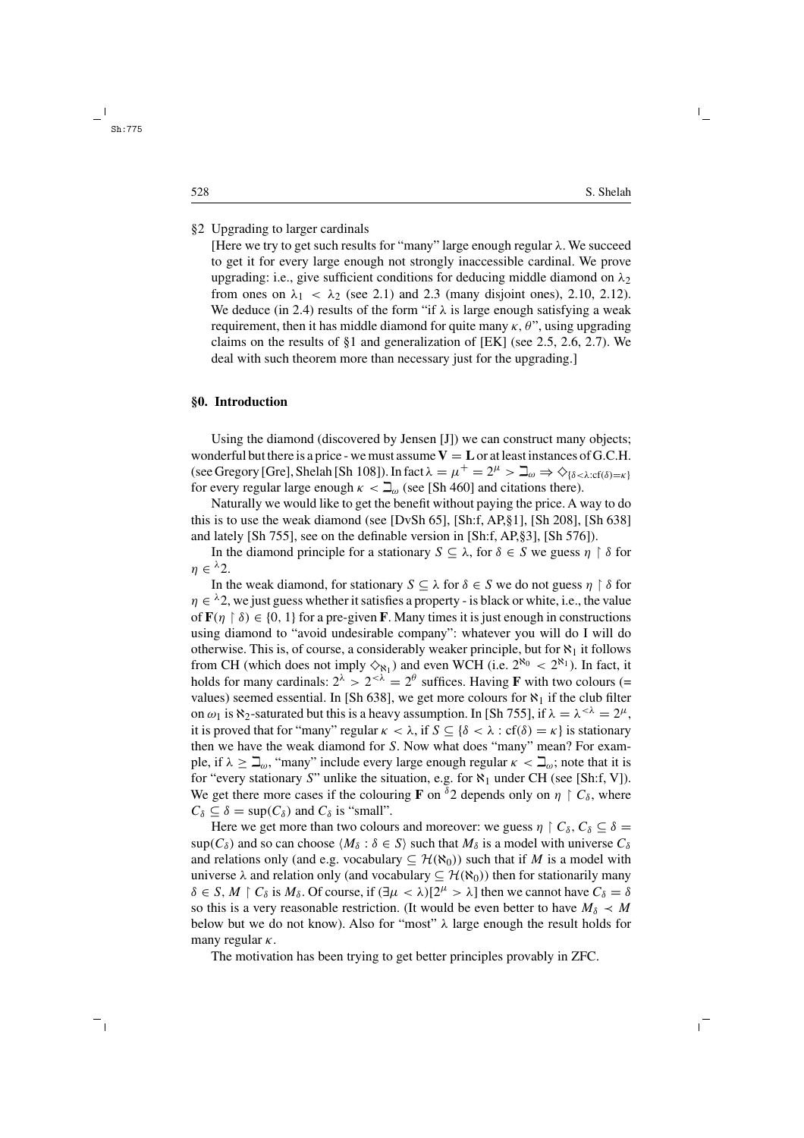## §2 Upgrading to larger cardinals

[Here we try to get such results for "many" large enough regular  $\lambda$ . We succeed to get it for every large enough not strongly inaccessible cardinal. We prove upgrading: i.e., give sufficient conditions for deducing middle diamond on  $\lambda_2$ from ones on  $\lambda_1 < \lambda_2$  (see 2.1) and 2.3 (many disjoint ones), 2.10, 2.12). We deduce (in 2.4) results of the form "if  $\lambda$  is large enough satisfying a weak requirement, then it has middle diamond for quite many  $\kappa$ ,  $\theta$ ", using upgrading claims on the results of §1 and generalization of [EK] (see 2.5, 2.6, 2.7). We deal with such theorem more than necessary just for the upgrading.]

#### **§0. Introduction**

Using the diamond (discovered by Jensen [J]) we can construct many objects; wonderful but there is a price - we must assume  $V = L$  or at least instances of G.C.H. (see Gregory [Gre], Shelah [Sh 108]). In fact  $\lambda = \mu^+ = 2^\mu > \mathbb{Z}_{\omega} \Rightarrow \Diamond_{\{\delta < \lambda : \text{cf}(\delta) = \kappa\}}$ for every regular large enough  $\kappa < \mathbb{L}_{\omega}$  (see [Sh 460] and citations there).

Naturally we would like to get the benefit without paying the price. A way to do this is to use the weak diamond (see [DvSh 65], [Sh:f, AP,§1], [Sh 208], [Sh 638] and lately [Sh 755], see on the definable version in [Sh:f, AP,§3], [Sh 576]).

In the diamond principle for a stationary  $S \subseteq \lambda$ , for  $\delta \in S$  we guess  $\eta \restriction \delta$  for  $n \in \lambda_2$ .

In the weak diamond, for stationary  $S \subseteq \lambda$  for  $\delta \in S$  we do not guess  $\eta \restriction \delta$  for  $\eta \in {}^{\lambda}2$ , we just guess whether it satisfies a property - is black or white, i.e., the value of  $\mathbf{F}(n \restriction \delta) \in \{0, 1\}$  for a pre-given **F**. Many times it is just enough in constructions using diamond to "avoid undesirable company": whatever you will do I will do otherwise. This is, of course, a considerably weaker principle, but for  $\aleph_1$  it follows from CH (which does not imply  $\Diamond_{\aleph_1}$ ) and even WCH (i.e.  $2^{\aleph_0} < 2^{\aleph_1}$ ). In fact, it holds for many cardinals:  $2^{\lambda} > 2^{<\lambda} = 2^{\theta}$  suffices. Having **F** with two colours (= values) seemed essential. In [Sh 638], we get more colours for  $\aleph_1$  if the club filter on  $\omega_1$  is  $\aleph_2$ -saturated but this is a heavy assumption. In [Sh 755], if  $\lambda = \lambda^{<\lambda} = 2^{\mu}$ , it is proved that for "many" regular  $\kappa < \lambda$ , if  $S \subseteq {\delta < \lambda : cf(\delta) = \kappa}$  is stationary then we have the weak diamond for S. Now what does "many" mean? For example, if  $\lambda \geq \mathbb{Z}_{\omega}$ , "many" include every large enough regular  $\kappa < \mathbb{Z}_{\omega}$ ; note that it is for "every stationary S" unlike the situation, e.g. for  $\aleph_1$  under CH (see [Sh:f, V]). We get there more cases if the colouring **F** on <sup> $\delta$ </sup>2 depends only on  $\eta \restriction C_{\delta}$ , where  $C_{\delta} \subseteq \delta = \sup(C_{\delta})$  and  $C_{\delta}$  is "small".

Here we get more than two colours and moreover: we guess  $\eta \restriction C_\delta, C_\delta \subseteq \delta =$  $\sup(C_\delta)$  and so can choose  $\langle M_\delta : \delta \in S \rangle$  such that  $M_\delta$  is a model with universe  $C_\delta$ and relations only (and e.g. vocabulary  $\subseteq$   $\mathcal{H}(\aleph_0)$ ) such that if M is a model with universe  $\lambda$  and relation only (and vocabulary  $\subseteq$   $H(\aleph_0)$ ) then for stationarily many  $\delta \in S$ ,  $M \upharpoonright C_{\delta}$  is  $M_{\delta}$ . Of course, if  $(\exists \mu < \lambda)[2^{\mu} > \lambda]$  then we cannot have  $C_{\delta} = \delta$ so this is a very reasonable restriction. (It would be even better to have  $M_{\delta} \prec M$ below but we do not know). Also for "most"  $\lambda$  large enough the result holds for many regular  $\kappa$ .

The motivation has been trying to get better principles provably in ZFC.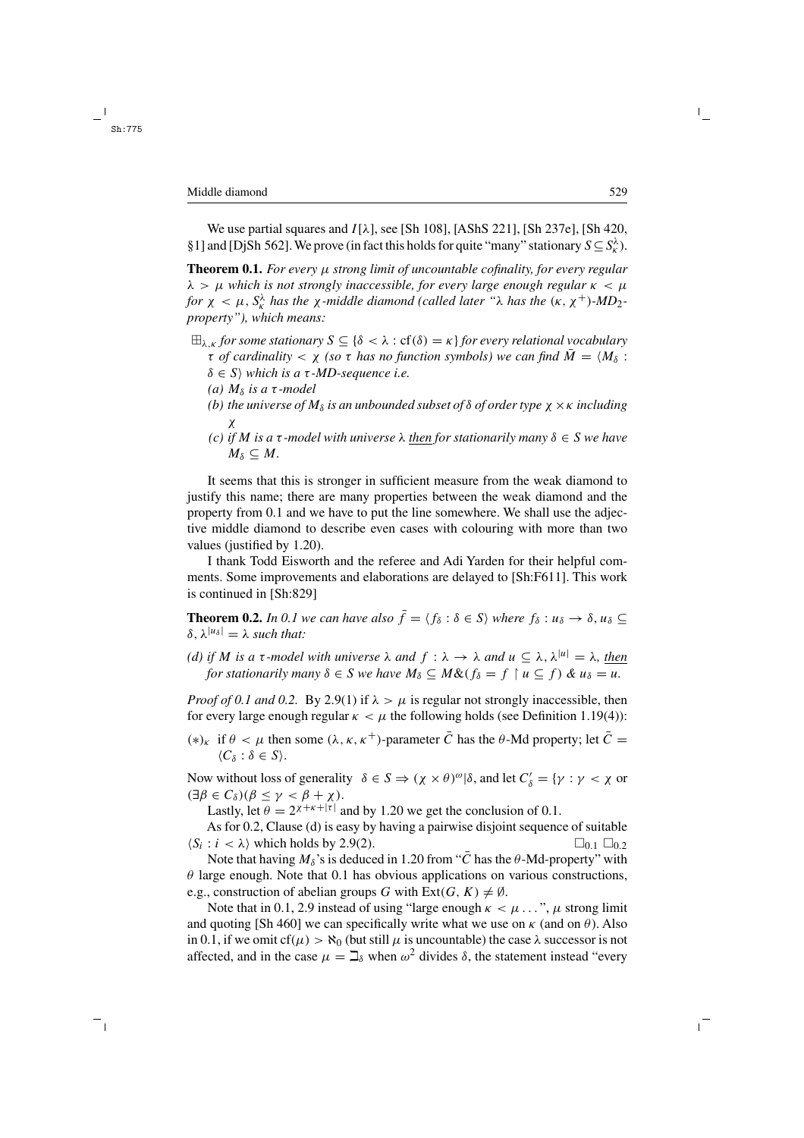We use partial squares and  $I[\lambda]$ , see [Sh 108], [AShS 221], [Sh 237e], [Sh 420, §1] and [DjSh 562]. We prove (in fact this holds for quite "many" stationary  $S \subseteq S_K^{\lambda}$ ).

**Theorem 0.1.** *For every* µ *strong limit of uncountable cofinality, for every regular*  $\lambda > \mu$  which is not strongly inaccessible, for every large enough regular  $\kappa < \mu$ *for*  $\chi$   $\lt$   $\mu$ ,  $S_k^{\lambda}$  *has the*  $\chi$ *-middle diamond (called later* " $\lambda$  *has the*  $(\kappa, \chi^+)$ *-MD*<sub>2</sub>*property"), which means:*

- $\boxplus_{\lambda,\kappa}$  *for some stationary*  $S \subseteq \{\delta < \lambda : \text{cf}(\delta) = \kappa\}$  *for every relational vocabulary*  $\tau$  *of cardinality*  $\lt \chi$  *(so*  $\tau$  *has no function symbols)* we can find  $\overline{M} = \langle M_\delta :$ 
	- $\delta \in S$ *)* which is a  $\tau$ -MD-sequence i.e.
	- *(a)*  $M_δ$  *is a*  $τ$ *-model*
	- *(b)* the universe of  $M_{\delta}$  *is an unbounded subset of*  $\delta$  *of order type*  $\chi \times \kappa$  *including* χ
	- *(c) if M is a* τ *-model with universe*  $λ$  *then for stationarily many*  $δ ∈ S$  *we have*  $M_{\delta} \subseteq M$ .

It seems that this is stronger in sufficient measure from the weak diamond to justify this name; there are many properties between the weak diamond and the property from 0.1 and we have to put the line somewhere. We shall use the adjective middle diamond to describe even cases with colouring with more than two values (justified by 1.20).

I thank Todd Eisworth and the referee and Adi Yarden for their helpful comments. Some improvements and elaborations are delayed to [Sh:F611]. This work is continued in [Sh:829]

**Theorem 0.2.** *In 0.1 we can have also*  $\bar{f} = \langle f_{\delta} : \delta \in S \rangle$  *where*  $f_{\delta} : u_{\delta} \to \delta, u_{\delta} \subseteq$  $\delta$ ,  $\lambda^{|u_{\delta}|} = \lambda$  *such that:* 

*(d)* if M is a  $\tau$ -model with universe  $\lambda$  and  $f : \lambda \to \lambda$  and  $u \subseteq \lambda$ ,  $\lambda^{|u|} = \lambda$ , then *for stationarily many*  $\delta \in S$  *we have*  $M_{\delta} \subseteq M \& (f_{\delta} = f \restriction u \subseteq f) \& u_{\delta} = u$ .

*Proof of 0.1 and 0.2.* By 2.9(1) if  $\lambda > \mu$  is regular not strongly inaccessible, then for every large enough regular  $\kappa < \mu$  the following holds (see Definition 1.19(4)):

(\*)<sub>κ</sub> if  $\theta < \mu$  then some ( $\lambda, \kappa, \kappa^+$ )-parameter  $\overline{C}$  has the  $\theta$ -Md property; let  $\overline{C} =$  $\langle C_\delta : \delta \in S \rangle$ .

Now without loss of generality  $\delta \in S \Rightarrow (\chi \times \theta)^{\omega} | \delta$ , and let  $C'_{\delta} = {\gamma : \gamma < \chi}$  or  $(\exists \beta \in C_{\delta})(\beta \leq \gamma < \beta + \chi).$ 

Lastly, let  $\theta = 2x^{+\kappa+|\tau|}$  and by 1.20 we get the conclusion of 0.1.

As for 0.2, Clause (d) is easy by having a pairwise disjoint sequence of suitable  $\langle S_i : i \rangle$  which holds by 2.9(2).  $\square_{0.1} \square_{0.2}$ 

Note that having  $M_\delta$ 's is deduced in 1.20 from " $\overline{C}$  has the  $\theta$ -Md-property" with  $\theta$  large enough. Note that 0.1 has obvious applications on various constructions, e.g., construction of abelian groups G with  $Ext(G, K) \neq \emptyset$ .

Note that in 0.1, 2.9 instead of using "large enough  $\kappa < \mu \ldots$ ",  $\mu$  strong limit and quoting [Sh 460] we can specifically write what we use on  $\kappa$  (and on  $\theta$ ). Also in 0.1, if we omit cf( $\mu$ ) >  $\aleph_0$  (but still  $\mu$  is uncountable) the case  $\lambda$  successor is not affected, and in the case  $\mu = \mathbb{I}_{\delta}$  when  $\omega^2$  divides  $\delta$ , the statement instead "every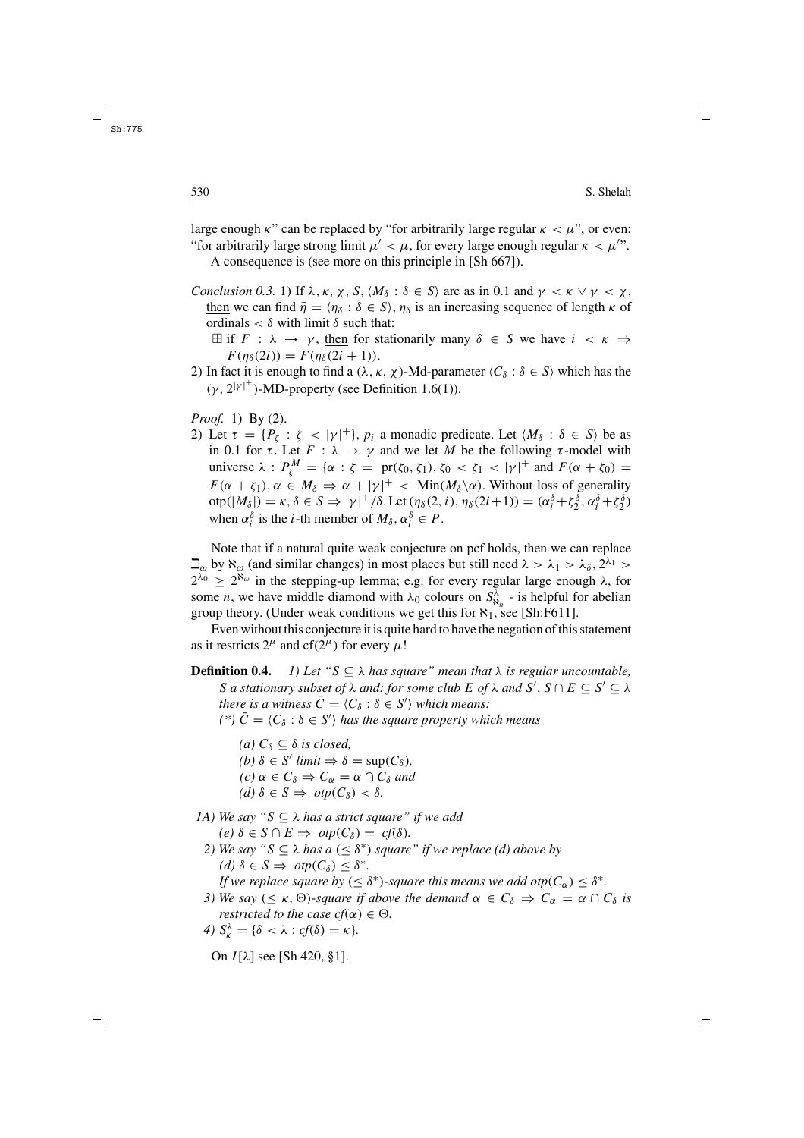large enough  $\kappa$ " can be replaced by "for arbitrarily large regular  $\kappa < \mu$ ", or even: "for arbitrarily large strong limit  $\mu' < \mu$ , for every large enough regular  $\kappa < \mu''$ ".

A consequence is (see more on this principle in [Sh 667]).

- *Conclusion 0.3.* 1) If  $\lambda, \kappa, \chi, S, \langle M_\delta : \delta \in S \rangle$  are as in 0.1 and  $\gamma \langle \kappa \vee \gamma \rangle \langle \chi, \chi \rangle$ then we can find  $\bar{\eta} = \langle \eta_{\delta} : \delta \in S \rangle$ ,  $\eta_{\delta}$  is an increasing sequence of length  $\kappa$  of ordinals  $< \delta$  with limit  $\delta$  such that:
	- $\exists$  if  $F : \lambda \to \gamma$ , then for stationarily many  $\delta \in S$  we have  $i \prec \kappa \Rightarrow$  $F(\eta_{\delta}(2i)) = F(\eta_{\delta}(2i + 1)).$
- 2) In fact it is enough to find a  $(\lambda, \kappa, \chi)$ -Md-parameter  $\langle C_{\delta} : \delta \in S \rangle$  which has the  $(\gamma, 2^{|\gamma|^{+}})$ -MD-property (see Definition 1.6(1)).

*Proof.* 1) By (2).

2) Let  $\tau = \{P_{\zeta} : \zeta \langle |\gamma|^+\}, p_i$  a monadic predicate. Let  $\langle M_\delta : \delta \in S \rangle$  be as in 0.1 for  $\tau$ . Let  $F : \lambda \to \gamma$  and we let M be the following  $\tau$ -model with universe  $\lambda$  :  $P_{\zeta}^{M} = {\alpha : \zeta = \text{pr}(\zeta_0, \zeta_1), \zeta_0 < \zeta_1 < |\gamma|^{+} \text{ and } F(\alpha + \zeta_0) =$  $F(\alpha + \zeta_1), \alpha \in M_\delta \Rightarrow \alpha + |\gamma|^+$  < Min $(M_\delta \backslash \alpha)$ . Without loss of generality  $\text{otp}(|M_{\delta}|) = \kappa, \delta \in S \Rightarrow |\gamma|^{+}/\delta. \text{Let } (\eta_{\delta}(2, i), \eta_{\delta}(2i+1)) = (\alpha_{i}^{\delta} + \zeta_{2}^{\delta}, \alpha_{i}^{\delta} + \zeta_{2}^{\delta})$ when  $\alpha_i^{\delta}$  is the *i*-th member of  $M_{\delta}$ ,  $\alpha_i^{\delta} \in P$ .

Note that if a natural quite weak conjecture on pcf holds, then we can replace  $\Box_{\omega}$  by  $\aleph_{\omega}$  (and similar changes) in most places but still need  $\lambda > \lambda_1 > \lambda_{\delta}$ ,  $2^{\lambda_1} >$  $2^{\lambda_0} \geq 2^{\aleph_{\omega}}$  in the stepping-up lemma; e.g. for every regular large enough  $\lambda$ , for some *n*, we have middle diamond with  $\lambda_0$  colours on  $S_{\aleph_n}^{\lambda}$  - is helpful for abelian group theory. (Under weak conditions we get this for  $\aleph_1$ , see [Sh:F611].

Even without this conjecture it is quite hard to have the negation of this statement as it restricts  $2^{\mu}$  and cf( $2^{\mu}$ ) for every  $\mu$ !

- **Definition 0.4.** *1) Let* " $S \subseteq \lambda$  *has square" mean that*  $\lambda$  *is regular uncountable,* S *a* stationary subset of  $\lambda$  and: for some club E of  $\lambda$  and S',  $S \cap E \subseteq S' \subseteq \lambda$ *there is a witness*  $\bar{C} = \langle C_{\delta} : \delta \in S' \rangle$  *which means:* 
	- *(\*)*  $\bar{C} = \langle C_\delta : \delta \in S' \rangle$  has the square property which means
		- *(a)*  $C_δ ⊂ δ$  *is closed, (b)*  $\delta \in S'$  *limit*  $\Rightarrow \delta = \sup(C_{\delta})$ *, (c)*  $\alpha \in C_{\delta} \Rightarrow C_{\alpha} = \alpha \cap C_{\delta}$  *and (d)*  $\delta \in S \implies \text{otp}(C_{\delta}) < \delta$ .
- *1A) We say "*S ⊆ λ *has a strict square" if we add*  $(e)$   $\delta \in S \cap E \Rightarrow otp(C_{\delta})=cf(\delta).$ 
	- *2)* We say " $S \subseteq \lambda$  has a ( $\leq \delta^*$ ) square" if we replace (d) above by *(d)*  $\delta \in S \Rightarrow otp(C_{\delta}) \leq \delta^*$ . *If we replace square by* ( $\leq \delta^*$ )-square this means we add otp( $C_\alpha$ )  $\leq \delta^*$ .
	- *3)* We say ( $\leq \kappa$ ,  $\Theta$ )-square if above the demand  $\alpha \in C_{\delta} \Rightarrow C_{\alpha} = \alpha \cap C_{\delta}$  is *restricted to the case cf*( $\alpha$ )  $\in \Theta$ *.*

4) 
$$
S_{\kappa}^{\lambda} = {\delta < \lambda : cf(\delta) = \kappa}.
$$

On  $I[λ]$  see [Sh 420, §1].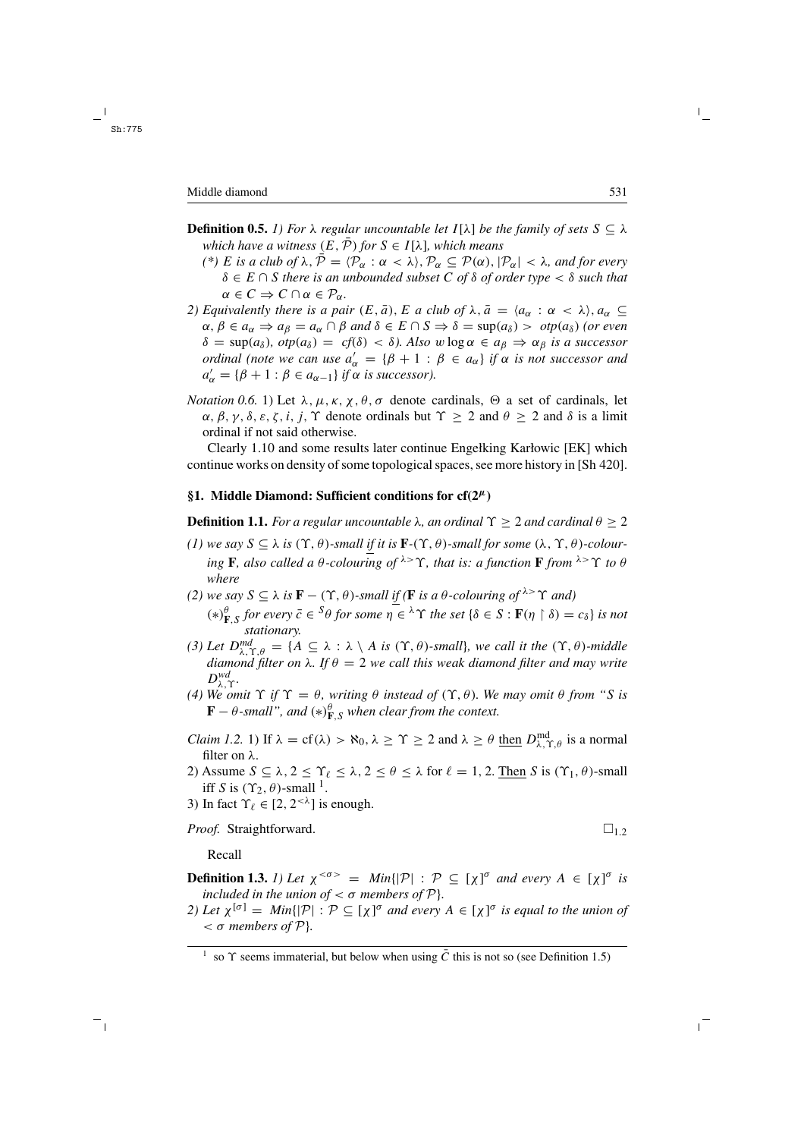- **Definition 0.5.** *1) For*  $\lambda$  *regular uncountable let*  $I[\lambda]$  *be the family of sets*  $S \subseteq \lambda$ *which have a witness*  $(E, \overline{P})$  *for*  $S \in I[\lambda]$ *, which means* 
	- *(\*) E is a club of*  $\lambda$ ,  $\bar{\mathcal{P}} = \langle \mathcal{P}_{\alpha} : \alpha < \lambda \rangle$ ,  $\mathcal{P}_{\alpha} \subseteq \mathcal{P}(\alpha)$ ,  $|\mathcal{P}_{\alpha}| < \lambda$ , and for every δ ∈ E ∩ S *there is an unbounded subset* C *of* δ *of order type* < δ *such that*  $\alpha \in C \Rightarrow C \cap \alpha \in \mathcal{P}_{\alpha}$ .
- *2)* Equivalently there is a pair  $(E, \bar{a})$ , E a club of  $\lambda$ ,  $\bar{a} = \langle a_{\alpha} : \alpha < \lambda \rangle$ ,  $a_{\alpha} \subseteq$  $\alpha, \beta \in a_{\alpha} \Rightarrow a_{\beta} = a_{\alpha} \cap \beta$  and  $\delta \in E \cap S \Rightarrow \delta = \sup(a_{\delta}) > \text{otp}(a_{\delta})$  (or even  $\delta = \sup(a_{\delta})$ ,  $otp(a_{\delta}) = cf(\delta) < \delta$ ). Also w  $log \alpha \in a_{\beta} \Rightarrow \alpha_{\beta}$  *is a successor ordinal (note we can use*  $a'_\alpha = \{\beta + 1 : \beta \in a_\alpha\}$  *if*  $\alpha$  *is not successor and*  $a'_{\alpha} = {\beta + 1 : \beta \in a_{\alpha-1}}$  *if*  $\alpha$  *is successor*).
- *Notation 0.6.* 1) Let  $\lambda$ ,  $\mu$ ,  $\kappa$ ,  $\chi$ ,  $\theta$ ,  $\sigma$  denote cardinals,  $\Theta$  a set of cardinals, let  $\alpha, \beta, \gamma, \delta, \varepsilon, \zeta, i, j$ ,  $\Upsilon$  denote ordinals but  $\Upsilon \geq 2$  and  $\theta \geq 2$  and  $\delta$  is a limit ordinal if not said otherwise.

Clearly 1.10 and some results later continue Engełking Karłowic [EK] which continue works on density of some topological spaces, see more history in [Sh 420].

## **§1. Middle Diamond: Sufficient conditions for cf(2***µ***)**

**Definition 1.1.** *For a regular uncountable*  $\lambda$ *, an ordinal*  $\Upsilon \geq 2$  *and cardinal*  $\theta > 2$ 

- $(1)$  *we say*  $S \subseteq \lambda$  *is*  $(γ, θ)$ *-small if it is* **F**<sup>*-*(Υ,  $θ$ </sup>)*-small for some*  $(λ, γ, θ)$ *-colouring* **F***, also called a*  $\theta$ *-colouring of*  $\lambda > \Upsilon$ *, that is: a function* **F** *from*  $\lambda > \Upsilon$  *to*  $\theta$ *where*
- *(2) we say*  $S \subseteq \lambda$  *is* **F** − ( $\Upsilon$ ,  $\theta$ )*-small if* (**F** *is a*  $\theta$ *-colouring of*<sup> $\lambda > \Upsilon$  *and*)</sup>  $(*)_{\mathbf{F},S}^{\theta}$  *for every*  $\bar{c} \in {}^S\theta$  *for some*  $\eta \in {}^{\lambda} \Upsilon$  *the set*  $\{\delta \in S : \mathbf{F}(\eta \restriction \delta) = c_{\delta}\}\)$  *is not stationary.*
- *(3) Let*  $D_{\lambda,\Upsilon,\theta}^{md} = \{A \subseteq \lambda : \lambda \setminus A \text{ is } (\Upsilon, \theta) \text{-small}\}$ *, we call it the*  $(\Upsilon, \theta) \text{-middle}$ *diamond filter on*  $\lambda$ *. If*  $\theta = 2$  *we call this weak diamond filter and may write*  $D_{\lambda,\Upsilon}^{wd}$ .
- *(4) We omit*  $\Upsilon$  *if*  $\Upsilon = \theta$ *, writing*  $\theta$  *instead of*  $(\Upsilon, \theta)$ *. We may omit*  $\theta$  *from* "*S is*  $\mathbf{F} - \theta$ -small", and  $(*)_{\mathbf{F},S}^{\theta}$  when clear from the context.
- *Claim 1.2.* 1) If  $\lambda = cf(\lambda) > \aleph_0, \lambda \ge \Upsilon \ge 2$  and  $\lambda \ge \theta$  then  $D_{\lambda,\Upsilon,\theta}^{md}$  is a normal filter on λ.
- 2) Assume  $S \subseteq \lambda$ ,  $2 \le \Upsilon_{\ell} \le \lambda$ ,  $2 \le \theta \le \lambda$  for  $\ell = 1, 2$ . Then S is  $(\Upsilon_1, \theta)$ -small iff S is  $(\Upsilon_2, \theta)$ -small <sup>1</sup>.
- 3) In fact  $\Upsilon_{\ell} \in [2, 2^{<\lambda}]$  is enough.

*Proof.* Straightforward.  $\square_{1,2}$ 

Recall

**Definition 1.3.** *1)* Let  $\chi^{<\sigma>}$  = Min{|P| :  $P \subseteq [\chi]^{\sigma}$  and every  $A \in [\chi]^{\sigma}$  is *included in the union of*  $\lt \sigma$  *members of*  $\mathcal{P}$ *}.* 

2) Let  $\chi^{[\sigma]} = Min\{|\mathcal{P}| : \mathcal{P} \subseteq [\chi]^{\sigma}$  and every  $A \in [\chi]^{\sigma}$  is equal to the union of  $<$   $\sigma$  *members of*  $P$ *}*.

<sup>&</sup>lt;sup>1</sup> so  $\Upsilon$  seems immaterial, but below when using  $\overline{C}$  this is not so (see Definition 1.5)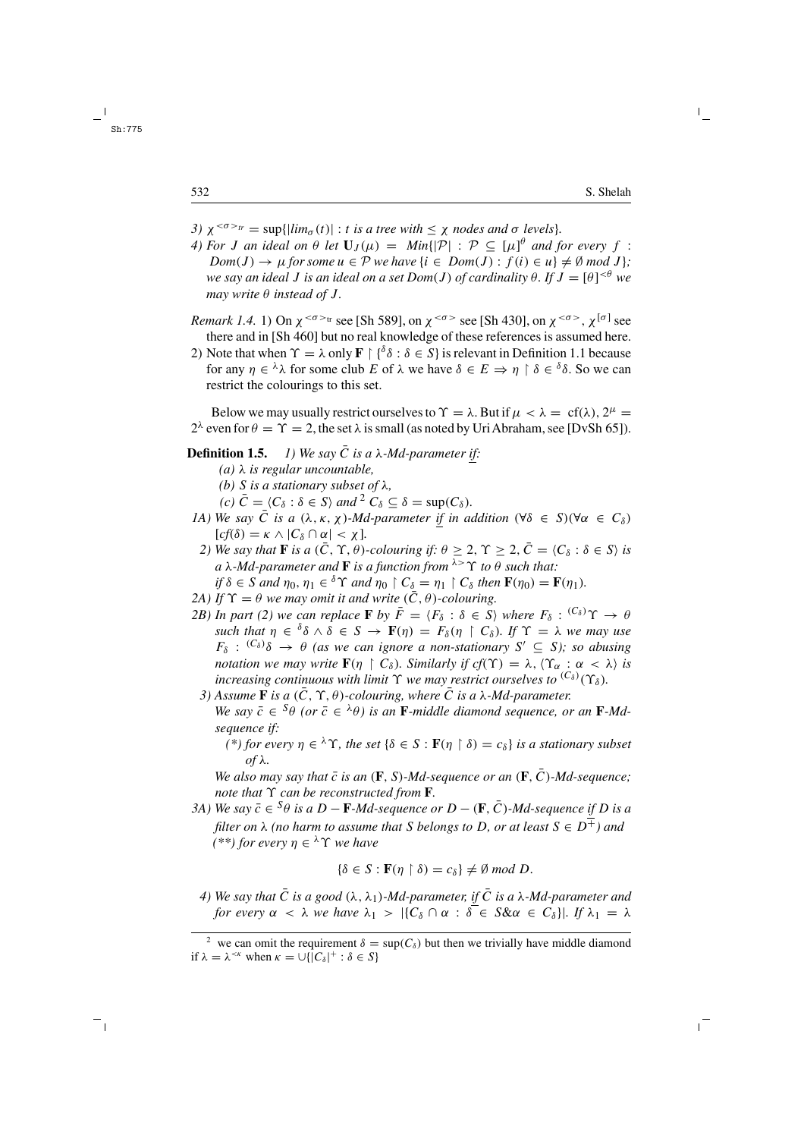- *3)*  $\chi^{0.5} = \sup\{\left|\lim_{\alpha} (t)\right| : t \text{ is a tree with } \leq \chi \text{ nodes and } \sigma \text{ levels.}\}.$
- *4) For J an ideal on*  $\theta$  *let*  $\mathbf{U}_J(\mu) = \text{Min}\{|\mathcal{P}| : \mathcal{P} \subseteq [\mu]^{\theta} \text{ and for every } f: \mathcal{P} \subseteq [\mu]^{\theta} \text{ and for every } f \in \mathcal{P}$  $Dom(J) \rightarrow \mu$  *for some*  $u \in \mathcal{P}$  *we have*  $\{i \in Dom(J) : f(i) \in u\} \neq \emptyset$  *mod*  $J\}$ ; *we say an ideal* J *is an ideal on a set Dom*(J ) *of cardinality* θ*. If* J = [θ] <θ *we may write*  $\theta$  *instead of J.*
- *Remark 1.4.* 1) On  $\chi^{<\sigma>tr}$  see [Sh 589], on  $\chi^{<\sigma>}$  see [Sh 430], on  $\chi^{<\sigma>}$ ,  $\chi^{[\sigma]}$  see there and in [Sh 460] but no real knowledge of these references is assumed here.
- 2) Note that when  $\Upsilon = \lambda$  only  $\mathbf{F} \restriction {\delta \delta : \delta \in S}$  is relevant in Definition 1.1 because for any  $\eta \in {}^{\lambda} \lambda$  for some club E of  $\lambda$  we have  $\delta \in E \Rightarrow \eta \restriction \delta \in {}^{\delta} \delta$ . So we can restrict the colourings to this set.

Below we may usually restrict ourselves to  $\Upsilon = \lambda$ . But if  $\mu < \lambda = cf(\lambda)$ ,  $2^{\mu} =$  $2^{\lambda}$  even for  $\theta = \Upsilon = 2$ , the set  $\lambda$  is small (as noted by Uri Abraham, see [DvSh 65]).

- **Definition 1.5.** *1)* We say  $\overline{C}$  *is a*  $\lambda$ -*Md-parameter if:* 
	- *(a)* λ *is regular uncountable,*
	- *(b)* S *is a stationary subset of* λ*,*

*(c)*  $\overline{C} = \langle C_{\delta} : \delta \in S \rangle$  *and*  $\overline{C} \setminus C_{\delta} \subset \delta = \sup(C_{\delta})$ .

- *1A)* We say  $\overline{C}$  *is a*  $(\lambda, \kappa, \chi)$ *-Md-parameter if in addition*  $(\forall \delta \in S)(\forall \alpha \in C_{\delta})$  $[cf(\delta) = \kappa \wedge |C_{\delta} \cap \alpha| < \chi$ ].
	- *2)* We say that **F** is a  $(\bar{C}, \Upsilon, \theta)$ -colouring if:  $\theta > 2$ ,  $\Upsilon > 2$ ,  $\bar{C} = \langle C_{\delta} : \delta \in S \rangle$  is *a* λ*-Md-parameter and* **F** *is a function from* λ>ϒ *to* θ *such that: if*  $\delta \in S$  *and*  $\eta_0$ ,  $\eta_1 \in \delta \Upsilon$  *and*  $\eta_0 \upharpoonright C_\delta = \eta_1 \upharpoonright C_\delta$  *then*  $\mathbf{F}(\eta_0) = \mathbf{F}(\eta_1)$ *.*
	-
- *2A)* If  $\Upsilon = \theta$  *we may omit it and write*  $(\overline{C}, \theta)$ *-colouring.*
- *2B)* In part (2) we can replace **F** by  $\bar{F} = \langle F_{\delta} : \delta \in S \rangle$  where  $F_{\delta} : {^{(C_{\delta})}}\Upsilon \to \theta$ *such that*  $\eta \in \delta \delta \wedge \delta \in S \rightarrow \mathbf{F}(\eta) = F_{\delta}(\eta \restriction C_{\delta})$ *. If*  $\Upsilon = \lambda$  *we may use*  $F_{\delta}$ :  ${}^{(C_{\delta})}\delta \rightarrow \theta$  (as we can ignore a non-stationary  $S' \subseteq S$ ); so abusing *notation we may write*  $\mathbf{F}(\eta \restriction C_{\delta})$ *. Similarly if cf*( $\Upsilon$ ) =  $\lambda$ ,  $\langle \Upsilon_{\alpha} : \alpha < \lambda \rangle$  *is increasing continuous with limit*  $\Upsilon$  *we may restrict ourselves to*  ${}^{(C_{\delta})}(\Upsilon_{\delta})$ .
	- *3*) Assume **F** *is a* ( $\overline{C}$ ,  $\Upsilon$ ,  $\theta$ )-colouring, where  $\overline{C}$  *is a* λ-*Md*-parameter. *We say*  $\bar{c} \in {}^S\theta$  *(or*  $\bar{c} \in {}^{\lambda}\theta$ ) is an **F**-middle diamond sequence, or an **F**-Md*sequence if:*
		- $(k + \epsilon)$  *for every*  $\eta \in {}^{\lambda} \Upsilon$ , the set  $\{\delta \in S : \mathbf{F}(\eta \restriction \delta) = c_{\delta}\}\$  *is a stationary subset of* λ*.*

*We also may say that*  $\bar{c}$  *is an* ( $\bf{F}$ ,  $S$ )*-Md-sequence or an* ( $\bf{F}$ ,  $\bar{C}$ )*-Md-sequence*; *note that* ϒ *can be reconstructed from* **F***.*

*3A)* We say  $\bar{c} \in {}^S\theta$  *is a*  $D - \mathbf{F}$ *-Md-sequence or*  $D - (\mathbf{F}, \bar{C})$ *-Md-sequence if*  $D$  *is a filter on*  $\lambda$  *(no harm to assume that* S *belongs to* D, *or at least*  $S \in D^{\pm}$ *) and*  $(**)$  *for every*  $n \in \lambda \Upsilon$  *we have* 

$$
\{\delta \in S : \mathbf{F}(\eta \upharpoonright \delta) = c_{\delta}\} \neq \emptyset \text{ mod } D.
$$

*4)* We say that  $\overline{C}$  *is a good*  $(\lambda, \lambda_1)$ *-Md-parameter, if*  $\overline{C}$  *is a*  $\lambda$ *-Md-parameter and for every*  $\alpha < \lambda$  *we have*  $\lambda_1 > |\{C_\delta \cap \alpha : \delta \in S \& \alpha \in C_\delta\}|$ *. If*  $\lambda_1 = \lambda$ 

<sup>&</sup>lt;sup>2</sup> we can omit the requirement  $\delta = \sup(C_\delta)$  but then we trivially have middle diamond if  $\lambda = \lambda^{<\kappa}$  when  $\kappa = \cup \{ \overline{|C_{\delta}|^+} : \delta \in S \}$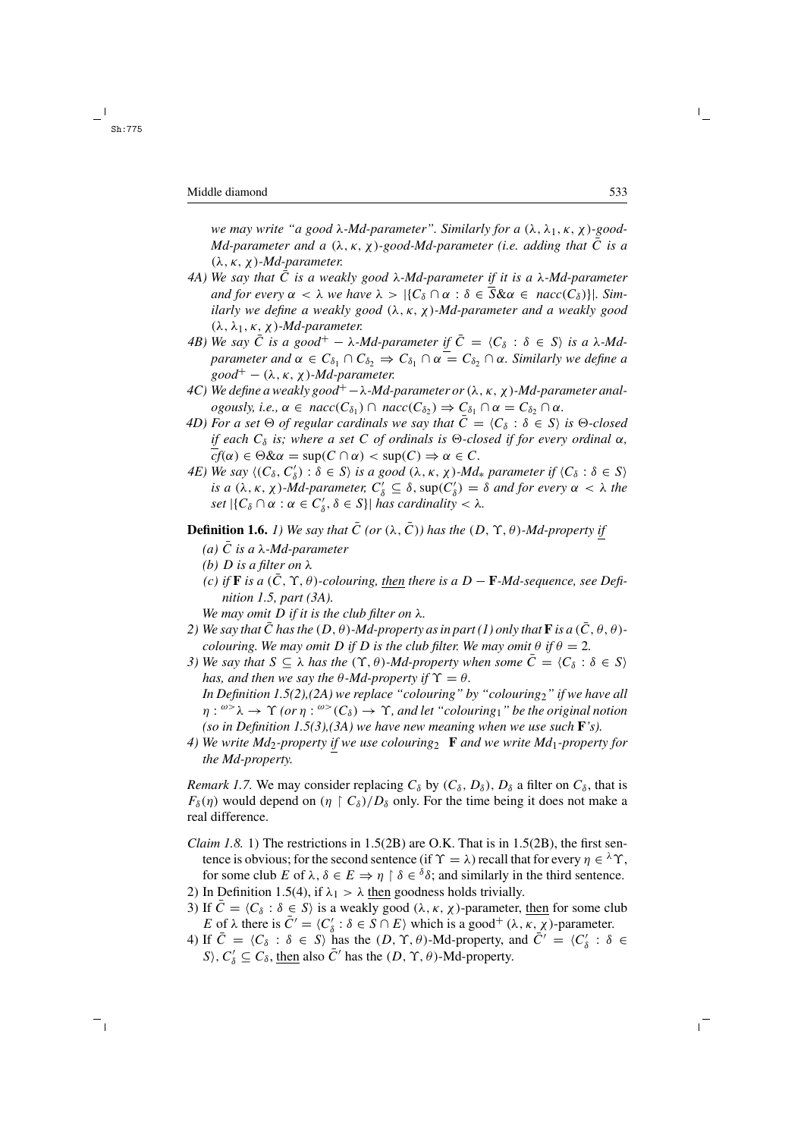*we may write "a good* λ*-Md-parameter". Similarly for a* (λ, λ1, κ, χ)*-good-Md-parameter and a*  $(\lambda, \kappa, \chi)$ -good-Md-parameter (*i.e. adding that* C *is a* (λ, κ, χ )*-Md-parameter.*

- *4A)* We say that  $\overline{C}$  is a weakly good  $\lambda$ -Md-parameter if it is a  $\lambda$ -Md-parameter *and for every*  $\alpha < \lambda$  *we have*  $\lambda > |\{C_\delta \cap \alpha : \delta \in \overline{S} \& \alpha \in nacc(C_\delta)\}|$ *. Similarly we define a weakly good* (λ, κ, χ )*-Md-parameter and a weakly good* (λ, λ1, κ, χ)*-Md-parameter.*
- *4B)* We say  $\bar{C}$  *is a good*<sup>+</sup>  $-\lambda$ *-Md-parameter if*  $\bar{C} = \langle C_{\delta} : \delta \in S \rangle$  *is a*  $\lambda$ *-Mdparameter and*  $\alpha \in C_{\delta_1} \cap C_{\delta_2} \Rightarrow C_{\delta_1} \cap \alpha = C_{\delta_2} \cap \alpha$ *. Similarly we define a*  $good^+ - (\lambda, \kappa, \chi)$ *-Md-parameter.*
- *4C*) We define a weakly good<sup>+</sup> − λ-Md-parameter or  $(λ, κ, χ)$ -Md-parameter anal*ogously, i.e.,*  $\alpha \in nacc(C_{\delta_1}) \cap nacc(C_{\delta_2}) \Rightarrow C_{\delta_1} \cap \alpha = C_{\delta_2} \cap \alpha$ .
- *4D) For a set*  $\Theta$  *of regular cardinals we say that*  $\overline{C} = \langle C_{\delta} : \delta \in S \rangle$  *is*  $\Theta$ -*closed if* each  $C_{\delta}$  *is; where a set* C *of ordinals is*  $\Theta$ -closed *if for every ordinal*  $\alpha$ *,*  $\overline{cf}(\alpha) \in \Theta \& \alpha = \sup(C \cap \alpha) < \sup(C) \Rightarrow \alpha \in C.$
- *4E)* We say  $\langle (C_{\delta}, C'_{\delta}) : \delta \in S \rangle$  is a good  $(\lambda, \kappa, \chi)$ *-Md*\* *parameter if*  $\langle C_{\delta} : \delta \in S \rangle$ *is a* ( $\lambda$ ,  $\kappa$ ,  $\chi$ )*-Md-parameter,*  $C'_{\delta} \subseteq \delta$ ,  $sup(C'_{\delta}) = \delta$  *and for every*  $\alpha < \lambda$  *the set*  $|\{C_\delta \cap \alpha : \alpha \in C'_\delta, \delta \in S\}|$  *has cardinality* <  $\lambda$ *.*

**Definition 1.6.** *1)* We say that  $\overline{C}$  (or  $(\lambda, \overline{C})$ ) has the  $(D, \Upsilon, \theta)$ -Md-property if

- *(a)*  $\overline{C}$  *is a*  $\lambda$ *-Md-parameter*
- *(b)* D *is a filter on* λ
- *(c)* if **F** is a  $(\bar{C}, \Upsilon, \theta)$ -colouring, then there is a  $D \mathbf{F}$ -Md-sequence, see Defi*nition 1.5, part (3A).*

*We may omit* D *if it is the club filter on* λ*.*

- *2)* We say that C has the  $(D, \theta)$ -Md-property as in part (1) only that **F** is a  $(C, \theta, \theta)$ *colouring. We may omit* D *if* D *is the club filter. We may omit*  $\theta$  *if*  $\theta = 2$ *.*
- *3)* We say that  $S \subseteq \lambda$  has the  $(\Upsilon, \theta)$ -*Md-property when some*  $C = \langle C_{\delta} : \delta \in S \rangle$ *has, and then we say the*  $\theta$ *-Md-property if*  $\Upsilon = \theta$ *. In Definition 1.5(2),(2A) we replace "colouring" by "colouring*2*" if we have all*  $\eta: \omega > \lambda \to \Upsilon$  (or  $\eta: \omega > (C_{\delta}) \to \Upsilon$ , and let "colouring<sub>1</sub>" be the original notion *(so in Definition 1.5(3),(3A) we have new meaning when we use such* **F***'s).*
- *4) We write Md*2*-property if we use colouring*<sup>2</sup> **F** *and we write Md*1*-property for the Md-property.*

*Remark 1.7.* We may consider replacing  $C_{\delta}$  by  $(C_{\delta}, D_{\delta})$ ,  $D_{\delta}$  a filter on  $C_{\delta}$ , that is  $F_{\delta}(\eta)$  would depend on  $(\eta \restriction C_{\delta})/D_{\delta}$  only. For the time being it does not make a real difference.

- *Claim 1.8.* 1) The restrictions in  $1.5(2B)$  are O.K. That is in  $1.5(2B)$ , the first sentence is obvious; for the second sentence (if  $\Upsilon = \lambda$ ) recall that for every  $\eta \in {}^{\lambda} \Upsilon$ , for some club E of  $\lambda$ ,  $\delta \in E \Rightarrow \eta \restriction \delta \in \delta$ ; and similarly in the third sentence.
- 2) In Definition 1.5(4), if  $\lambda_1 > \lambda$  then goodness holds trivially.
- 3) If  $\overline{C} = \langle C_{\delta} : \delta \in S \rangle$  is a weakly good  $(\lambda, \kappa, \chi)$ -parameter, then for some club E of  $\lambda$  there is  $\bar{C}' = \langle C'_\delta : \delta \in S \cap E \rangle$  which is a good<sup>+</sup>  $(\lambda, \overline{\kappa}, \overline{\chi})$ -parameter.
- 4) If  $\bar{C} = \langle C_{\delta} : \delta \in S \rangle$  has the  $(D, \Upsilon, \theta)$ -Md-property, and  $\bar{C}' = \langle C'_{\delta} : \delta \in S \rangle$ S),  $C'_{\delta} \subseteq C_{\delta}$ , then also  $\bar{C}'$  has the  $(D, \Upsilon, \theta)$ -Md-property.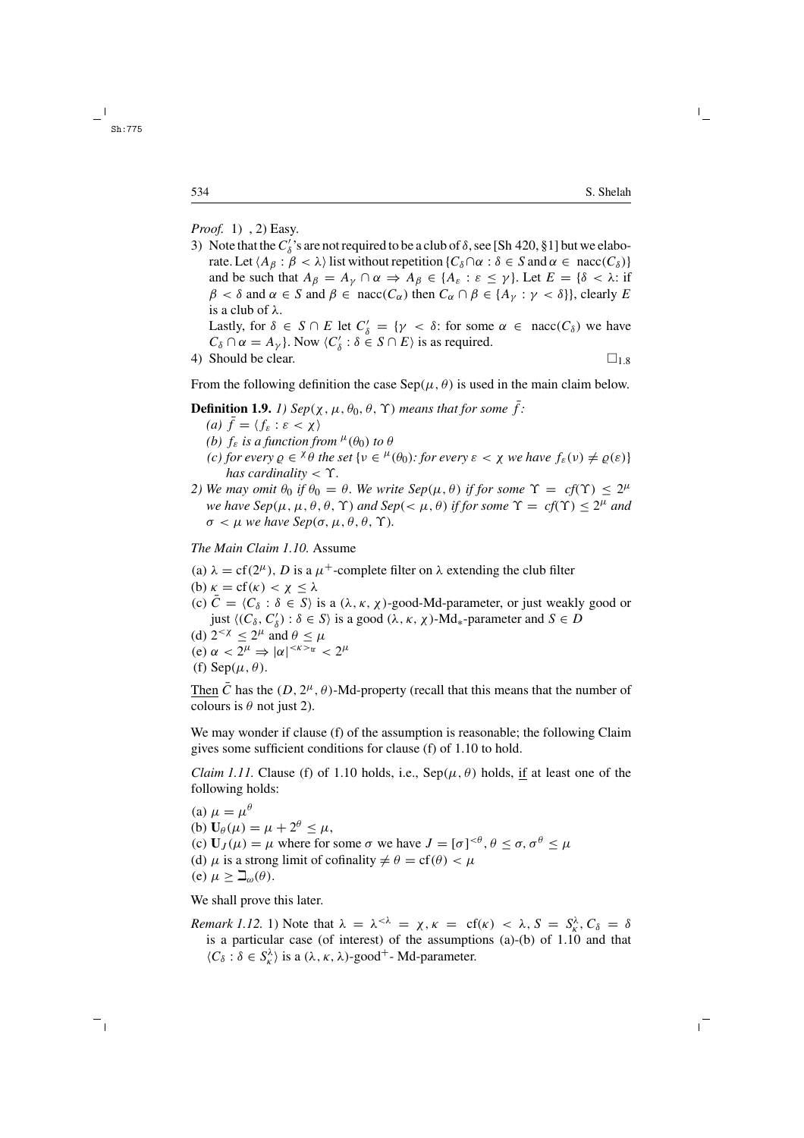*Proof.* 1) , 2) Easy.

- 3) Note that the  $C'_\delta$ 's are not required to be a club of  $\delta$ , see [Sh 420, §1] but we elaborate. Let  $\langle A_\beta : \beta < \lambda \rangle$  list without repetition  $\{C_\delta \cap \alpha : \delta \in S \text{ and } \alpha \in \text{nacc}(C_\delta)\}\$ and be such that  $A_{\beta} = A_{\gamma} \cap \alpha \Rightarrow A_{\beta} \in \{A_{\varepsilon} : \varepsilon \leq \gamma\}$ . Let  $E = \{\delta < \lambda : \text{if }$  $\beta < \delta$  and  $\alpha \in S$  and  $\beta \in \text{nacc}(C_\alpha)$  then  $C_\alpha \cap \beta \in \{A_\gamma : \gamma < \delta\}$ , clearly E is a club of λ. Lastly, for  $\delta \in S \cap E$  let  $C'_{\delta} = \{ \gamma < \delta : \text{ for some } \alpha \in \text{nacc}(C_{\delta}) \text{ we have }$  $C_{\delta} \cap \alpha = A_{\gamma}$ . Now  $\langle C'_{\delta} : \delta \in S \cap E \rangle$  is as required. 4) Should be clear.  $\Box_{1.8}$
- 

From the following definition the case  $\text{Sep}(\mu, \theta)$  is used in the main claim below.

**Definition 1.9.** *1*) 
$$
Sep(\chi, \mu, \theta_0, \theta, \Upsilon)
$$
 means that for some  $\bar{f}$ :

- *(a)*  $f = \langle f_{\varepsilon} : \varepsilon < \chi \rangle$
- *(b)*  $f_{\varepsilon}$  *is a function from*  $^{\mu}(\theta_0)$  *to*  $\theta$
- *(c) for every*  $\rho \in \chi \theta$  *the set*  $\{v \in \mu(\theta_0):$  *for every*  $\varepsilon < \chi$  *we have*  $f_{\varepsilon}(v) \neq \rho(\varepsilon)\}\$ *has cardinality* < ϒ*.*
- *2)* We may omit  $\theta_0$  if  $\theta_0 = \theta$ . We write Sep( $\mu$ ,  $\theta$ ) if for some  $\Upsilon = cf(\Upsilon) < 2^{\mu}$ *we have Sep*( $\mu$ ,  $\mu$ ,  $\theta$ ,  $\theta$ ,  $\Upsilon$ ) *and Sep*( $\lt$ ,  $\mu$ ,  $\theta$ ) *if for some*  $\Upsilon = cf(\Upsilon) \leq 2^{\mu}$  *and*  $\sigma < \mu$  *we have Sep(σ,*  $\mu, \theta, \theta, \Upsilon$ *).*

*The Main Claim 1.10.* Assume

- (a)  $\lambda = cf(2^{\mu})$ , D is a  $\mu^{+}$ -complete filter on  $\lambda$  extending the club filter
- (b)  $\kappa = cf(\kappa) < \chi \leq \lambda$
- (c)  $\overline{C} = \langle C_{\delta} : \delta \in S \rangle$  is a  $(\lambda, \kappa, \chi)$ -good-Md-parameter, or just weakly good or just  $\langle (C_\delta, C'_\delta) : \delta \in S \rangle$  is a good  $(\lambda, \kappa, \chi)$ -Md<sub>\*</sub>-parameter and  $S \in D$
- (d)  $2^{< \chi} \leq 2^{\mu}$  and  $\theta \leq \mu$
- (e)  $\alpha < 2^{\mu} \Rightarrow |\alpha|^{<\kappa>_{tr}} < 2^{\mu}$
- (f) Sep( $\mu$ ,  $\theta$ ).

Then  $\bar{C}$  has the  $(D, 2^{\mu}, \theta)$ -Md-property (recall that this means that the number of colours is  $\theta$  not just 2).

We may wonder if clause (f) of the assumption is reasonable; the following Claim gives some sufficient conditions for clause (f) of 1.10 to hold.

*Claim 1.11.* Clause (f) of 1.10 holds, i.e.,  $\text{Sep}(\mu, \theta)$  holds, if at least one of the following holds:

(a)  $\mu = \mu^{\theta}$ (b)  $\mathbf{U}_{\theta}(\mu) = \mu + 2^{\theta} \leq \mu$ , (c)  $U_J(\mu) = \mu$  where for some  $\sigma$  we have  $J = [\sigma]^{< \theta}, \theta \le \sigma, \sigma^{\theta} \le \mu$ (d)  $\mu$  is a strong limit of cofinality  $\neq \theta = cf(\theta) < \mu$ (e)  $\mu \geq \mathbb{I}_{\omega}(\theta)$ .

We shall prove this later.

*Remark 1.12.* 1) Note that  $\lambda = \lambda^{<\lambda} = \chi, \kappa = \text{cf}(\kappa) < \lambda, S = S_{\kappa}^{\lambda}, C_{\delta} = \delta$ is a particular case (of interest) of the assumptions (a)-(b) of 1.10 and that  $\langle C_{\delta} : \delta \in S_{\kappa}^{\lambda} \rangle$  is a  $(\lambda, \kappa, \lambda)$ -good<sup>+</sup>-Md-parameter.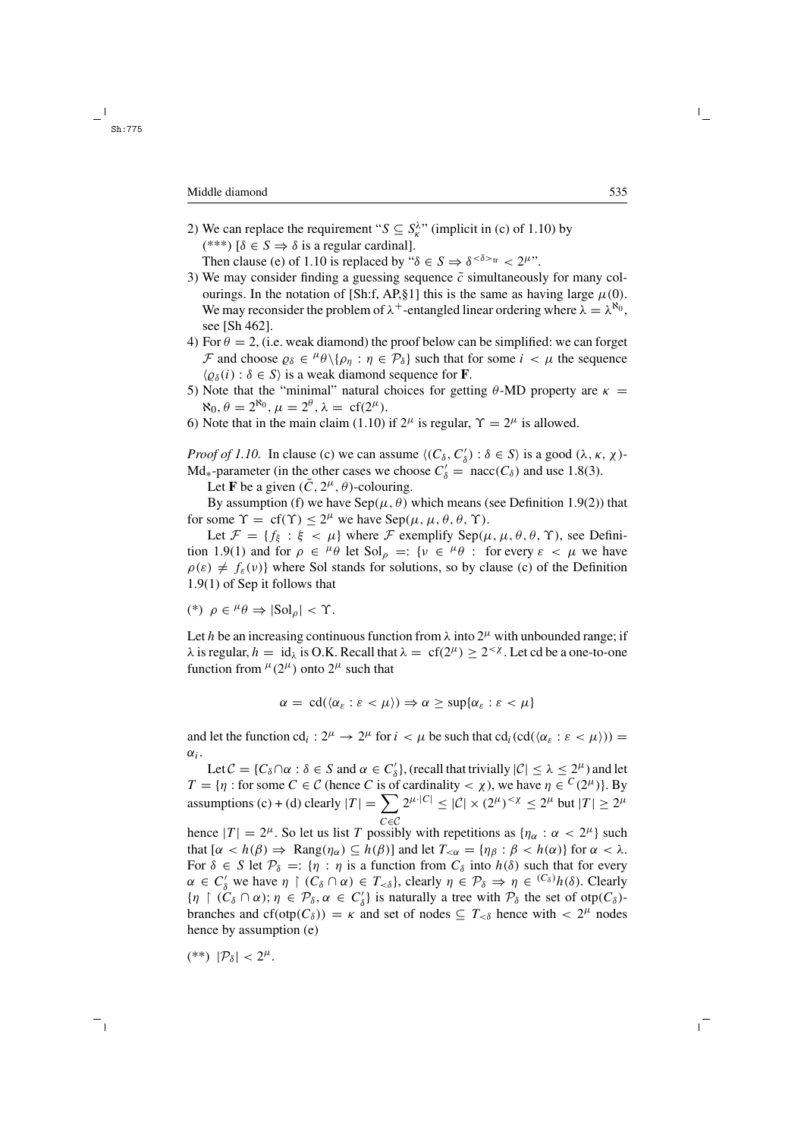2) We can replace the requirement " $S \subseteq S_k^{\lambda}$ " (implicit in (c) of 1.10) by (\*\*\*)  $\delta \in S \Rightarrow \delta$  is a regular cardinal].

Then clause (e) of 1.10 is replaced by " $\delta \in S \Rightarrow \delta^{<\delta>_{tr}} < 2^{\mu}$ ".

- 3) We may consider finding a guessing sequence  $\bar{c}$  simultaneously for many colourings. In the notation of [Sh:f, AP,§1] this is the same as having large  $\mu(0)$ . We may reconsider the problem of  $\lambda^+$ -entangled linear ordering where  $\lambda = \lambda^{\aleph_0}$ , see [Sh 462].
- 4) For  $\theta = 2$ , (i.e. weak diamond) the proof below can be simplified: we can forget F and choose  $\varrho_{\delta} \in {}^{\mu}\theta \setminus {\rho_{\eta} : \eta \in \mathcal{P}_{\delta}}$  such that for some  $i < \mu$  the sequence  $\langle \varrho_{\delta}(i) : \delta \in S \rangle$  is a weak diamond sequence for **F**.
- 5) Note that the "minimal" natural choices for getting θ-MD property are  $κ =$  $\aleph_0$ ,  $\theta = 2^{\aleph_0}$ ,  $\mu = 2^{\theta}$ ,  $\lambda = \text{cf}(2^{\mu})$ .
- 6) Note that in the main claim (1.10) if  $2^{\mu}$  is regular,  $\Upsilon = 2^{\mu}$  is allowed.

*Proof of 1.10.* In clause (c) we can assume  $\langle (C_{\delta}, C'_{\delta}) : \delta \in S \rangle$  is a good  $(\lambda, \kappa, \chi)$ -Md<sub>\*</sub>-parameter (in the other cases we choose  $C'_\delta$  = nacc( $C_\delta$ ) and use 1.8(3).

Let **F** be a given  $(\bar{C}, 2^{\mu}, \theta)$ -colouring.

By assumption (f) we have  $\text{Sep}(\mu, \theta)$  which means (see Definition 1.9(2)) that for some  $\Upsilon = cf(\Upsilon) \leq 2^{\mu}$  we have  $Sep(\mu, \mu, \theta, \theta, \Upsilon)$ .

Let  $\mathcal{F} = \{f_{\xi} : \xi < \mu\}$  where  $\mathcal{F}$  exemplify Sep $(\mu, \mu, \theta, \theta, \Upsilon)$ , see Definition 1.9(1) and for  $\rho \in {}^{\mu} \theta$  let  $\text{Sol}_{\rho} =: \{v \in {}^{\mu} \theta : \text{ for every } \varepsilon < \mu \text{ we have }$  $\rho(\varepsilon) \neq f_{\varepsilon}(v)$  where Sol stands for solutions, so by clause (c) of the Definition 1.9(1) of Sep it follows that

$$
(*) \ \rho \in {}^{\mu} \theta \Rightarrow |{\rm Sol}_\rho | < \Upsilon.
$$

Let h be an increasing continuous function from  $\lambda$  into  $2^{\mu}$  with unbounded range; if  $\lambda$  is regular,  $h = id_{\lambda}$  is O.K. Recall that  $\lambda = cf(2^{\mu}) \ge 2^{<\chi}$ . Let cd be a one-to-one function from  $^{\mu}(2^{\mu})$  onto  $2^{\mu}$  such that

$$
\alpha = \operatorname{cd}(\langle \alpha_{\varepsilon} : \varepsilon < \mu \rangle) \Rightarrow \alpha \geq \sup \{ \alpha_{\varepsilon} : \varepsilon < \mu \}
$$

and let the function cd<sub>i</sub> :  $2^{\mu} \rightarrow 2^{\mu}$  for  $i \lt \mu$  be such that cd<sub>i</sub>(cd( $(\alpha_{\varepsilon} : \varepsilon \lt \mu)$ )) =  $\alpha_i$ .

Let  $C = \{C_\delta \cap \alpha : \delta \in S \text{ and } \alpha \in C'_\delta\}$ , (recall that trivially  $|C| \leq \lambda \leq 2^{\mu}$ ) and let  $T = \{\eta : \text{for some } C \in \mathcal{C} \text{ (hence } C \text{ is of cardinality } < \chi\text{), we have } \eta \in {}^C(2^\mu)\}.$  By assumptions (c) + (d) clearly  $|T| = \sum 2^{\mu |C|} \leq |\mathcal{C}| \times (2^{\mu})^{< \chi} \leq 2^{\mu}$  but  $|T| \geq 2^{\mu}$ 

hence  $|T| = 2^{\mu}$ . So let us list T possibly with repetitions as  $\{\eta_{\alpha} : \alpha < 2^{\mu}\}\$  such that  $[\alpha < h(\beta) \Rightarrow \text{Rang}(\eta_\alpha) \subseteq h(\beta)]$  and let  $T_{\leq \alpha} = {\eta_\beta : \beta < h(\alpha)}$  for  $\alpha < \lambda$ . For  $\delta \in S$  let  $\mathcal{P}_{\delta} =: \{ \eta : \eta \text{ is a function from } C_{\delta} \text{ into } h(\delta) \text{ such that for every }$  $\alpha \in C'_\delta$  we have  $\eta \restriction (C_\delta \cap \alpha) \in T_{\leq \delta}$ , clearly  $\eta \in \mathcal{P}_\delta \Rightarrow \eta \in {^{(C_\delta)}}h(\delta)$ . Clearly  ${\{\eta \mid (C_\delta \cap \alpha) \colon \eta \in \mathcal{P}_\delta, \alpha \in C'_\delta\}}$  is naturally a tree with  $\mathcal{P}_\delta$  the set of otp $(C_\delta)$ branches and cf(otp( $C_\delta$ )) =  $\kappa$  and set of nodes  $\subseteq T_{\leq \delta}$  hence with  $\lt 2^{\mu}$  nodes hence by assumption (e)

$$
(**) \ |\mathcal{P}_{\delta}| < 2^{\mu}.
$$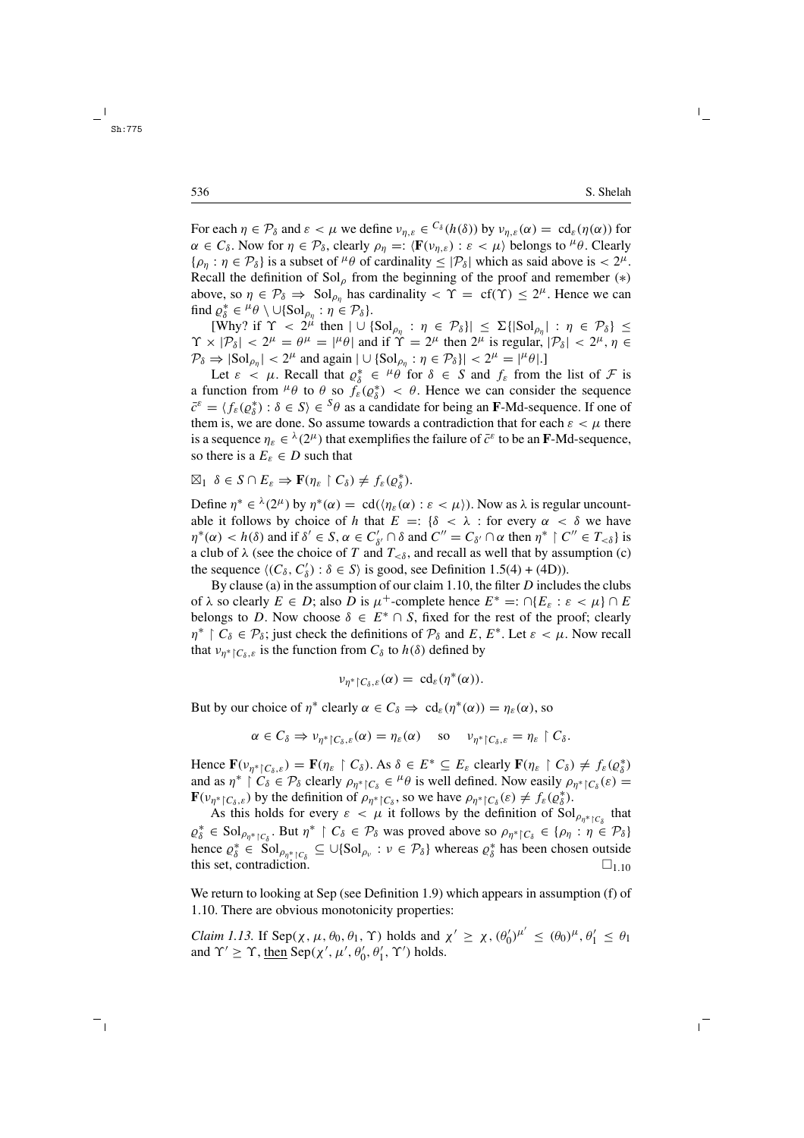For each  $\eta \in \mathcal{P}_{\delta}$  and  $\varepsilon < \mu$  we define  $v_{n,\varepsilon} \in {}^{C_{\delta}}(h(\delta))$  by  $v_{n,\varepsilon}(\alpha) = \text{cd}_{\varepsilon}(\eta(\alpha))$  for  $\alpha \in C_{\delta}$ . Now for  $\eta \in \mathcal{P}_{\delta}$ , clearly  $\rho_n =: \langle \mathbf{F}(\nu_{n,\varepsilon}) : \varepsilon < \mu \rangle$  belongs to  $^{\mu} \theta$ . Clearly  $\{\rho_n : \eta \in \mathcal{P}_\delta\}$  is a subset of  $^\mu \theta$  of cardinality  $\leq |\mathcal{P}_\delta|$  which as said above is  $< 2^\mu$ . Recall the definition of  $Sol_{\rho}$  from the beginning of the proof and remember (\*) above, so  $\eta \in \mathcal{P}_{\delta} \Rightarrow$  Sol<sub> $\rho_n$ </sub> has cardinality  $\langle \Upsilon \rangle = \int_{0}^{\infty} f(\Upsilon) \leq 2^{\mu}$ . Hence we can find  $\rho_{\delta}^* \in {}^{\mu} \theta \setminus \cup \{Sol_{\rho_{\eta}} : \eta \in \mathcal{P}_{\delta}\}.$ 

[Why? if  $\Upsilon$  <  $2^{\mu}$  then  $|\cup \{Sol_{\rho_{\eta}} : \eta \in \mathcal{P}_{\delta} \}| \leq \Sigma \{ |Sol_{\rho_{\eta}} | : \eta \in \mathcal{P}_{\delta} \}$  $\Upsilon \times |\mathcal{P}_{\delta}| < 2^{\mu} = \theta^{\mu} = |\mu \theta|$  and if  $\Upsilon = 2^{\mu}$  then  $2^{\mu}$  is regular,  $|\mathcal{P}_{\delta}| < 2^{\mu}$ ,  $\eta \in$  $\mathcal{P}_{\delta} \Rightarrow |\text{Sol}_{\rho_n}| < 2^{\mu}$  and again  $|\cup \{\text{Sol}_{\rho_n} : \eta \in \mathcal{P}_{\delta}\}| < 2^{\mu} = |\mu_{\theta}|.$ 

Let  $\varepsilon < \mu$ . Recall that  $\rho_{\delta}^* \in {}^{\mu} \theta$  for  $\delta \in S$  and  $f_{\varepsilon}$  from the list of  $\mathcal F$  is a function from  $^{\mu}\theta$  to  $\theta$  so  $f_{\varepsilon}(\varrho_{\delta}^{*}) < \theta$ . Hence we can consider the sequence  $\bar{c}^{\varepsilon} = \langle f_{\varepsilon}(\varrho_{\delta}^*) : \delta \in S \rangle \in {}^{S}\theta$  as a candidate for being an **F**-Md-sequence. If one of them is, we are done. So assume towards a contradiction that for each  $\varepsilon < \mu$  there is a sequence  $\eta_{\varepsilon} \in {}^{\lambda}(2^{\mu})$  that exemplifies the failure of  $\bar{c}^{\varepsilon}$  to be an **F**-Md-sequence, so there is a  $E_{\varepsilon} \in D$  such that

$$
\boxtimes_1 \ \delta \in S \cap E_{\varepsilon} \Rightarrow \mathbf{F}(\eta_{\varepsilon} \restriction C_{\delta}) \neq f_{\varepsilon}(\varrho_{\delta}^*).
$$

Define  $\eta^* \in \lambda^2(2^\mu)$  by  $\eta^*(\alpha) = \text{cd}(\langle \eta_{\varepsilon}(\alpha) : \varepsilon < \mu \rangle)$ . Now as  $\lambda$  is regular uncountable it follows by choice of h that  $E =: \{\delta < \lambda : \text{for every } \alpha < \delta \text{ we have } \delta > 0\}$  $\eta^*(\alpha) < h(\delta)$  and if  $\delta' \in S$ ,  $\alpha \in C'_{\delta'} \cap \delta$  and  $C'' = C_{\delta'} \cap \alpha$  then  $\eta^* \restriction C'' \in T_{<\delta}$  is a club of  $\lambda$  (see the choice of T and  $T_{\leq \delta}$ , and recall as well that by assumption (c) the sequence  $\langle (C_{\delta}, C'_{\delta}) : \delta \in S \rangle$  is good, see Definition 1.5(4) + (4D)).

By clause (a) in the assumption of our claim 1.10, the filter  $D$  includes the clubs of  $\lambda$  so clearly  $E \in D$ ; also D is  $\mu^+$ -complete hence  $E^* =: \bigcap \{E_{\varepsilon} : \varepsilon < \mu\} \cap E$ belongs to D. Now choose  $\delta \in E^* \cap S$ , fixed for the rest of the proof; clearly  $\eta^*$   $\upharpoonright C_\delta \in \mathcal{P}_\delta$ ; just check the definitions of  $\mathcal{P}_\delta$  and E,  $E^*$ . Let  $\varepsilon < \mu$ . Now recall that  $v_{n^*|C_{\delta,\varepsilon}}$  is the function from  $C_{\delta}$  to  $h(\delta)$  defined by

$$
\nu_{\eta^* \restriction C_\delta, \varepsilon}(\alpha) = \operatorname{cd}_\varepsilon(\eta^*(\alpha)).
$$

But by our choice of  $\eta^*$  clearly  $\alpha \in C_\delta \Rightarrow \text{cd}_{\varepsilon}(\eta^*(\alpha)) = \eta_{\varepsilon}(\alpha)$ , so

$$
\alpha \in C_{\delta} \Rightarrow \nu_{\eta^* \upharpoonright C_{\delta},\varepsilon}(\alpha) = \eta_{\varepsilon}(\alpha) \quad \text{ so } \quad \nu_{\eta^* \upharpoonright C_{\delta},\varepsilon} = \eta_{\varepsilon} \upharpoonright C_{\delta}.
$$

Hence  $\mathbf{F}(\nu_{\eta^*|\mathcal{C}_\delta,\varepsilon}) = \mathbf{F}(\eta_{\varepsilon} \restriction \mathcal{C}_\delta)$ . As  $\delta \in E^* \subseteq E_{\varepsilon}$  clearly  $\mathbf{F}(\eta_{\varepsilon} \restriction \mathcal{C}_\delta) \neq f_{\varepsilon}(\varrho_{\delta}^*)$ and as  $\eta^*$   $\upharpoonright C_\delta \in \mathcal{P}_\delta$  clearly  $\rho_{\eta^* \upharpoonright C_\delta} \in {}^{\mu} \theta$  is well defined. Now easily  $\rho_{\eta^* \upharpoonright C_\delta}(\varepsilon)$  $\mathbf{F}(\nu_{\eta^*|\mathcal{C}_\delta,\varepsilon})$  by the definition of  $\rho_{\eta^*|\mathcal{C}_\delta}$ , so we have  $\rho_{\eta^*|\mathcal{C}_\delta}(\varepsilon) \neq f_{\varepsilon}(\varrho^*_{\delta}).$ 

As this holds for every  $\varepsilon < \mu$  it follows by the definition of  $Sol_{\rho_{\eta^*} \upharpoonright C_{\delta}}$  that  $\varrho_{\delta}^* \in Sol_{\rho_{\eta^* \restriction C_{\delta}}}$ . But  $\eta^* \restriction C_{\delta} \in \mathcal{P}_{\delta}$  was proved above so  $\rho_{\eta^* \restriction C_{\delta}} \in {\rho_{\eta} : \eta \in \mathcal{P}_{\delta}}$ hence  $\rho_{\delta}^* \in \mathrm{Sol}_{\rho_{\eta^*} \mid C_{\delta}} \subseteq \cup \{ \mathrm{Sol}_{\rho_{\nu}} : \nu \in \mathcal{P}_{\delta} \}$  whereas  $\rho_{\delta}^*$  has been chosen outside this set, contradiction.  $\Box_{1,10}$ 

We return to looking at Sep (see Definition 1.9) which appears in assumption (f) of 1.10. There are obvious monotonicity properties:

*Claim 1.13.* If Sep( $\chi$ ,  $\mu$ ,  $\theta_0$ ,  $\theta_1$ ,  $\Upsilon$ ) holds and  $\chi' \geq \chi$ ,  $(\theta_0')^{\mu'} \leq (\theta_0)^{\mu}$ ,  $\theta_1' \leq \theta_1$ and  $\Upsilon' \geq \Upsilon$ , <u>then</u> Sep( $\chi'$ ,  $\mu'$ ,  $\theta'_0$ ,  $\theta'_1$ ,  $\Upsilon'$ ) holds.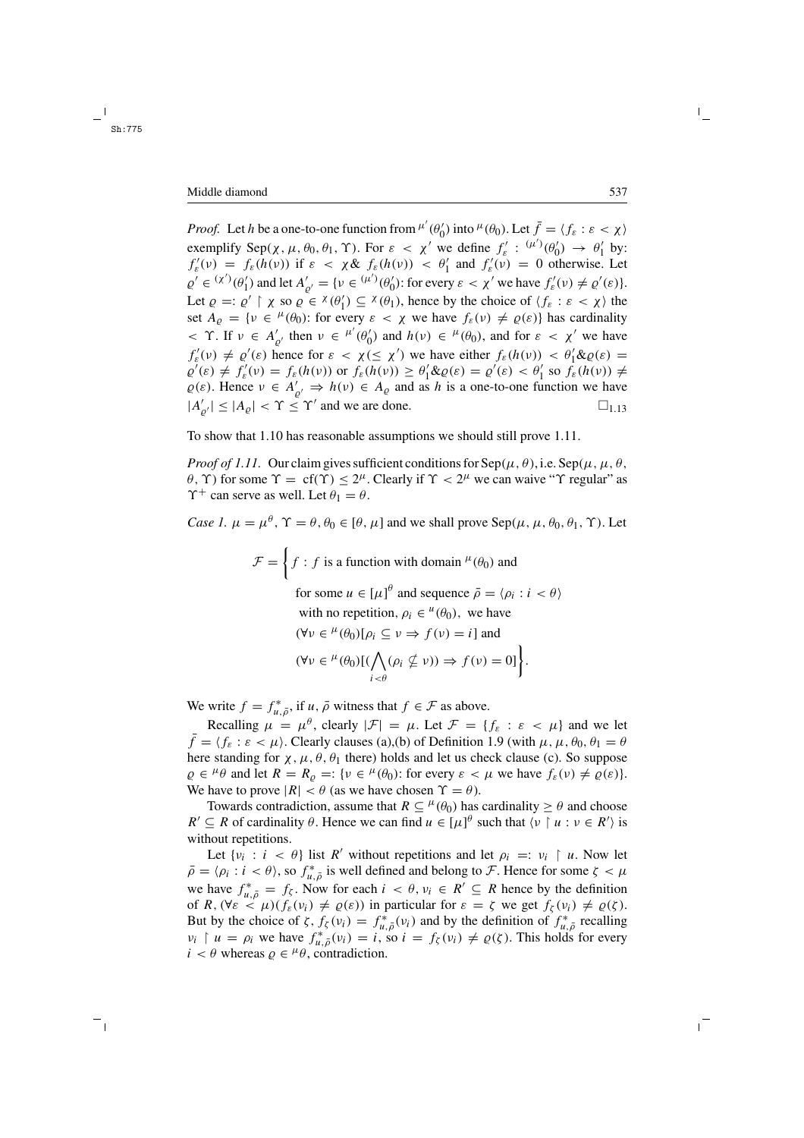*Proof.* Let h be a one-to-one function from  $^{\mu'}(\theta'_0)$  into  $^{\mu}(\theta_0)$ . Let  $\bar{f} = \langle f_{\varepsilon} : \varepsilon < \chi \rangle$ exemplify Sep( $\chi$ ,  $\mu$ ,  $\theta_0$ ,  $\theta_1$ ,  $\Upsilon$ ). For  $\varepsilon < \chi'$  we define  $f'_{\varepsilon} : (\mu')(\theta'_0) \to \theta'_1$  by:  $f'_{\varepsilon}(v) = f_{\varepsilon}(h(v))$  if  $\varepsilon < \chi \& f_{\varepsilon}(h(v)) < \theta'_1$  and  $f'_{\varepsilon}(v) = 0$  otherwise. Let  $\varrho' \in {^{(\chi')}}(\theta'_1)$  and let  $A'_{\varrho'} = {\nu \in {^{(\mu')}}(\theta'_0)}$ : for every  $\varepsilon < \chi'$  we have  $f'_{\varepsilon}(v) \neq \varrho'(\varepsilon)$ . Let  $\varrho =: \varrho' \restriction \chi$  so  $\varrho \in {}^{\chi}(\theta'_1) \subseteq {}^{\chi}(\theta_1)$ , hence by the choice of  $\langle f_{\varepsilon} : \varepsilon < \chi \rangle$  the set  $A_{\rho} = \{v \in {}^{\mu}(\theta_0): \text{ for every } \varepsilon < \chi \text{ we have } f_{\varepsilon}(v) \neq \varrho(\varepsilon) \}$  has cardinality  $\langle \gamma \rangle$ . If  $\nu \in A'_{\varrho'}$  then  $\nu \in {\mu'}(\theta'_0)$  and  $h(\nu) \in {\mu}(\theta_0)$ , and for  $\varepsilon \langle \chi' \rangle$  we have  $f'_{\varepsilon}(v) \neq \varrho'(\varepsilon)$  hence for  $\varepsilon < \chi \leq \chi'$ ) we have either  $f_{\varepsilon}(h(v)) < \theta'_{1} \& \varrho(\varepsilon) =$  $\varrho'(\varepsilon) \neq f'_{\varepsilon}(v) = f_{\varepsilon}(h(v))$  or  $f_{\varepsilon}(h(v)) \geq \theta'_{1} \& \varrho(\varepsilon) = \varrho'(\varepsilon) < \theta'_{1}$  so  $f_{\varepsilon}(h(v)) \neq$  $\varrho(\varepsilon)$ . Hence  $v \in A'_{\varrho'} \Rightarrow h(v) \in A_{\varrho}$  and as h is a one-to-one function we have  $|A'_{\varrho'}| \leq |A_{\varrho}| < \Upsilon \leq \Upsilon'$  and we are done.  $\Box_{1.13}$ 

To show that 1.10 has reasonable assumptions we should still prove 1.11.

*Proof of 1.11.* Our claim gives sufficient conditions for  $\text{Sep}(\mu, \theta)$ , i.e.  $\text{Sep}(\mu, \mu, \theta)$ , θ, Υ) for some  $\Upsilon = cf(\Upsilon) \leq 2^{\mu}$ . Clearly if  $\Upsilon < 2^{\mu}$  we can waive "Υ regular" as  $\Upsilon^+$  can serve as well. Let  $\theta_1 = \theta$ .

*Case 1.*  $\mu = \mu^{\theta}$ ,  $\Upsilon = \theta$ ,  $\theta_0 \in [\theta, \mu]$  and we shall prove Sep( $\mu$ ,  $\mu$ ,  $\theta_0$ ,  $\theta_1$ ,  $\Upsilon$ ). Let

$$
\mathcal{F} = \left\{ f : f \text{ is a function with domain }^{\mu}(\theta_0) \text{ and } f \text{ or some } u \in [\mu]^{\theta} \text{ and sequence } \bar{\rho} = \langle \rho_i : i < \theta \rangle \text{ with no repetition, } \rho_i \in {}^{\mu}(\theta_0), \text{ we have}
$$
\n
$$
(\forall v \in {}^{\mu}(\theta_0)[\rho_i \subseteq v \Rightarrow f(v) = i] \text{ and}
$$
\n
$$
(\forall v \in {}^{\mu}(\theta_0)[(\bigwedge_{i \leq \theta} (\rho_i \nsubseteq v)) \Rightarrow f(v) = 0] \right\}.
$$

We write  $f = f_{u, \bar{\rho}}^*$ , if  $u, \bar{\rho}$  witness that  $f \in \mathcal{F}$  as above.

Recalling  $\mu = \mu^{\theta}$ , clearly  $|\mathcal{F}| = \mu$ . Let  $\mathcal{F} = \{f_{\varepsilon} : \varepsilon < \mu\}$  and we let  $\bar{f} = \langle f_{\varepsilon} : \varepsilon < \mu \rangle$ . Clearly clauses (a),(b) of Definition 1.9 (with  $\mu, \mu, \theta_0, \theta_1 = \theta$ here standing for  $\chi$ ,  $\mu$ ,  $\theta$ ,  $\theta_1$  there) holds and let us check clause (c). So suppose  $\varrho \in {}^{\mu} \theta$  and let  $R = R_{\varrho} =: \{v \in {}^{\mu}(\theta_0): \text{ for every } \varepsilon < \mu \text{ we have } f_{\varepsilon}(v) \neq \varrho(\varepsilon) \}.$ We have to prove  $|R| < \theta$  (as we have chosen  $\Upsilon = \theta$ ).

Towards contradiction, assume that  $R \subseteq {}^{\mu}(\theta_0)$  has cardinality  $\geq \theta$  and choose  $R' \subseteq R$  of cardinality  $\theta$ . Hence we can find  $u \in [\mu]^{\theta}$  such that  $\langle v \mid u : v \in R' \rangle$  is without repetitions.

Let  $\{v_i : i < \theta\}$  list R' without repetitions and let  $\rho_i =: v_i \restriction u$ . Now let  $\bar{\rho} = \langle \rho_i : i < \theta \rangle$ , so  $f_{u,\bar{\rho}}^*$  is well defined and belong to F. Hence for some  $\zeta < \mu$ we have  $f_{u,\bar{\rho}}^* = f_{\zeta}$ . Now for each  $i < \theta, v_i \in R' \subseteq R$  hence by the definition of  $R$ ,  $(\forall \varepsilon < \mu)(f_{\varepsilon}(v_i) \neq \varrho(\varepsilon))$  in particular for  $\varepsilon = \zeta$  we get  $f_{\zeta}(v_i) \neq \varrho(\zeta)$ . But by the choice of  $\zeta$ ,  $f_{\zeta}(v_i) = f_{u,\bar{\rho}}^*(v_i)$  and by the definition of  $f_{u,\bar{\rho}}^*$  recalling  $v_i \restriction u = \rho_i$  we have  $f^*_{u, \bar{\rho}}(v_i) = i$ , so  $i = f_{\zeta}(v_i) \neq \varrho(\zeta)$ . This holds for every  $i < \theta$  whereas  $\varrho \in {}^{\mu} \theta$ , contradiction.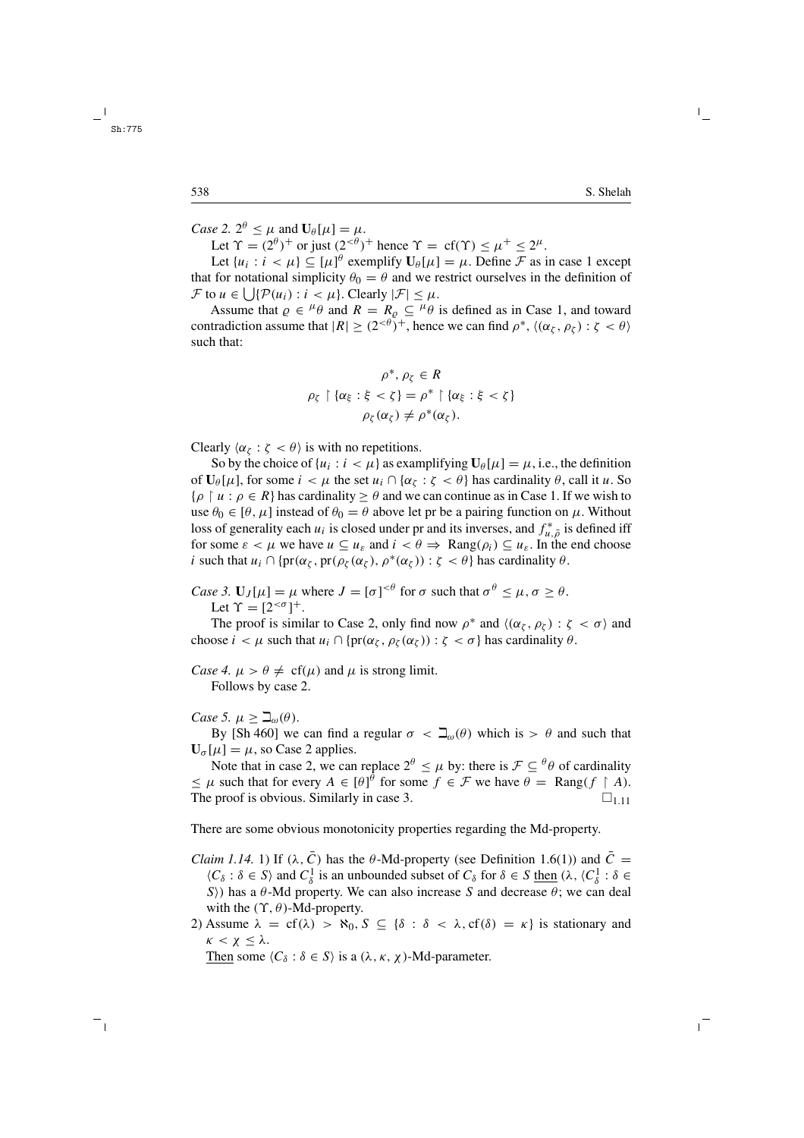*Case 2.*  $2^{\theta} \leq \mu$  and  $U_{\theta}[\mu] = \mu$ .

Let  $\Upsilon = (2^{\theta})^+$  or just  $(2^{<\theta})^+$  hence  $\Upsilon = \text{cf}(\Upsilon) < \mu^+ < 2^{\mu}$ .

Let  $\{u_i : i < \mu\} \subseteq [\mu]^{\theta}$  exemplify  $\mathbf{U}_{\theta}[\mu] = \mu$ . Define  $\mathcal F$  as in case 1 except that for notational simplicity  $\theta_0 = \theta$  and we restrict ourselves in the definition of  $\mathcal F$  to  $u \in \bigcup \{ \mathcal P(u_i) : i < \mu \}.$  Clearly  $|\mathcal F| \leq \mu$ .

Assume that  $\rho \in {}^{\mu} \theta$  and  $R = R_{\rho} \subseteq {}^{\mu} \theta$  is defined as in Case 1, and toward contradiction assume that  $|R| \ge (2^{<\theta})^+$ , hence we can find  $\rho^*$ ,  $\langle (\alpha_{\zeta}, \rho_{\zeta}) : \zeta < \theta \rangle$ such that:

$$
\rho^*, \rho_{\zeta} \in R
$$
  

$$
\rho_{\zeta} \upharpoonright \{\alpha_{\xi} : \xi < \zeta\} = \rho^* \upharpoonright \{\alpha_{\xi} : \xi < \zeta\}
$$
  

$$
\rho_{\zeta}(\alpha_{\zeta}) \neq \rho^*(\alpha_{\zeta}).
$$

Clearly  $\langle \alpha_{\zeta} : \zeta \langle \theta \rangle$  is with no repetitions.

So by the choice of  $\{u_i : i \leq \mu\}$  as examplifying  $U_\theta[\mu] = \mu$ , i.e., the definition of  $\mathbf{U}_{\theta}[\mu]$ , for some  $i < \mu$  the set  $u_i \cap {\alpha_{\zeta}} : \zeta < \theta$  has cardinality  $\theta$ , call it u. So  $\{\rho \mid u : \rho \in R\}$  has cardinality  $\geq \theta$  and we can continue as in Case 1. If we wish to use  $\theta_0 \in [\theta, \mu]$  instead of  $\theta_0 = \theta$  above let pr be a pairing function on  $\mu$ . Without loss of generality each  $u_i$  is closed under pr and its inverses, and  $f_{u,\bar{\rho}}^*$  is defined iff for some  $\varepsilon < \mu$  we have  $u \subseteq u_{\varepsilon}$  and  $i < \theta \Rightarrow \text{Rang}(\rho_i) \subseteq u_{\varepsilon}$ . In the end choose i such that  $u_i \cap \{pr(\alpha_{\zeta}, pr(\rho_{\zeta}(\alpha_{\zeta}), \rho^*(\alpha_{\zeta})) : \zeta < \theta \}$  has cardinality  $\theta$ .

*Case 3.*  $U_J[\mu] = \mu$  where  $J = [\sigma]^{<\theta}$  for  $\sigma$  such that  $\sigma^{\theta} \leq \mu, \sigma \geq \theta$ . Let  $\Upsilon = [2^{<\sigma}]^+$ .

The proof is similar to Case 2, only find now  $\rho^*$  and  $\langle (\alpha_{\zeta}, \rho_{\zeta}) : \zeta < \sigma \rangle$  and choose  $i < \mu$  such that  $u_i \cap \{pr(\alpha_{\zeta}, \rho_{\zeta}(\alpha_{\zeta})) : \zeta < \sigma \}$  has cardinality  $\theta$ .

*Case 4.*  $\mu > \theta \neq cf(\mu)$  and  $\mu$  is strong limit. Follows by case 2.

*Case 5.*  $\mu \geq \beth_{\omega}(\theta)$ .

By [Sh 460] we can find a regular  $\sigma < \mathcal{Q}_{\theta}(\theta)$  which is  $> \theta$  and such that  $U_{\sigma}[\mu] = \mu$ , so Case 2 applies.

Note that in case 2, we can replace  $2^{\theta} \leq \mu$  by: there is  $\mathcal{F} \subseteq {}^{\theta}\theta$  of cardinality  $\leq \mu$  such that for every  $A \in [\theta]^\theta$  for some  $f \in \mathcal{F}$  we have  $\theta = \text{Rang}(f \restriction A)$ . The proof is obvious. Similarly in case 3.  $\Box$  1.11

There are some obvious monotonicity properties regarding the Md-property.

- *Claim 1.14.* 1) If ( $\lambda$ , C) has the  $\theta$ -Md-property (see Definition 1.6(1)) and C =  $\langle C_\delta : \delta \in S \rangle$  and  $C_\delta^1$  is an unbounded subset of  $C_\delta$  for  $\delta \in S$  then  $(\lambda, \langle C_\delta^1 : \delta \in S \rangle)$ S) has a  $\theta$ -Md property. We can also increase S and decrease  $\theta$ ; we can deal with the  $(\Upsilon, \theta)$ -Md-property.
- 2) Assume  $\lambda = cf(\lambda) > \aleph_0$ ,  $S \subseteq {\delta : \delta < \lambda$ ,  $cf(\delta) = \kappa}$  is stationary and  $κ < χ ≤ λ.$

Then some  $\langle C_{\delta} : \delta \in S \rangle$  is a  $(\lambda, \kappa, \chi)$ -Md-parameter.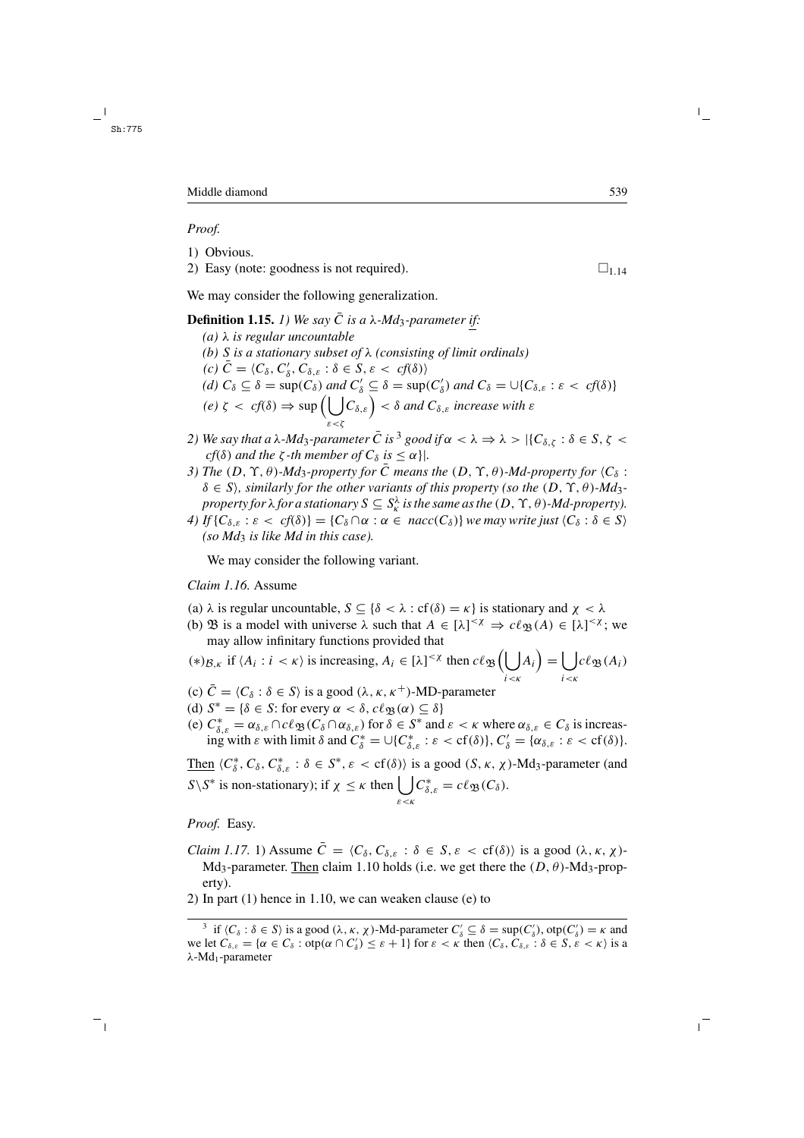#### *Proof.*

- 1) Obvious.
- 2) Easy (note: goodness is not required).  $\Box$  1.14

We may consider the following generalization.

**Definition 1.15.** *1)* We say  $\overline{C}$  is a  $\lambda$ -Md<sub>3</sub>-parameter if: *(a)* λ *is regular uncountable (b)* S *is a stationary subset of* λ *(consisting of limit ordinals)*  $(c) \bar{C} = \langle C_{\delta}, C'_{\delta}, C_{\delta, \varepsilon} : \delta \in S, \varepsilon < cf(\delta) \rangle$ *(d)*  $C_{\delta} \subseteq \delta = \sup(C_{\delta})$  *and*  $C'_{\delta} \subseteq \delta = \sup(C'_{\delta})$  *and*  $C_{\delta} = \bigcup\{C_{\delta,\varepsilon} : \varepsilon < cf(\delta)\}\$  $(e) \zeta \prec cf(\delta) \Rightarrow \sup \left( \begin{array}{c} \end{array} \right)$ ε<ζ  $(C_{\delta,\varepsilon}) < \delta$  and  $C_{\delta,\varepsilon}$  increase with  $\varepsilon$ 

- *2)* We say that a λ-Md<sub>3</sub>-parameter  $\bar{C}$  is<sup>3</sup> good if  $\alpha < \lambda \Rightarrow \lambda > |{C_{\delta,\zeta}} : \delta \in S, \zeta <$ *cf*( $\delta$ ) *and the*  $\zeta$ *-th member of*  $C_{\delta}$  *is*  $\leq \alpha$ }.
- *3)* The  $(D, \Upsilon, \theta)$ *-Md<sub>3</sub>-property for*  $\overline{C}$  *means the*  $(D, \Upsilon, \theta)$ *-Md-property for*  $\langle C_{\delta}$ :  $\delta \in S$ *), similarly for the other variants of this property (so the*  $(D, \Upsilon, \theta)$ *-Md<sub>3</sub>property for*  $\lambda$  *for a stationary*  $S \subseteq S^{\lambda}_{\kappa}$  *is the same as the*  $(D, \Upsilon, \theta)$ *-Md-property*).
- *4)* If  $\{C_{\delta,\varepsilon} : \varepsilon < cf(\delta)\} = \{C_{\delta} \cap \alpha : \alpha \in nacc(C_{\delta})\}$  *we may write just*  $\langle C_{\delta} : \delta \in S \rangle$ *(so Md*<sup>3</sup> *is like Md in this case).*

We may consider the following variant.

# *Claim 1.16.* Assume

- (a)  $\lambda$  is regular uncountable,  $S \subseteq {\delta < \lambda : cf(\delta) = \kappa}$  is stationary and  $\chi < \lambda$
- (b)  $\mathfrak{B}$  is a model with universe  $\lambda$  such that  $A \in [\lambda]^{<\chi} \Rightarrow c\ell_{\mathfrak{B}}(A) \in [\lambda]^{<\chi}$ ; we may allow infinitary functions provided that

$$
(*)_{\mathcal{B},\kappa} \text{ if } \langle A_i : i < \kappa \rangle \text{ is increasing, } A_i \in [\lambda]^{< \chi} \text{ then } c\ell_{\mathfrak{B}}\Big(\bigcup_{i < \kappa} A_i\Big) = \bigcup_{i < \kappa} c\ell_{\mathfrak{B}}(A_i)
$$

- (c)  $C = \langle C_{\delta} : \delta \in S \rangle$  is a good  $(\lambda, \kappa, \kappa^{+})$ -MD-parameter
- (d)  $S^* = {\delta \in S$ : for every  $\alpha < \delta$ ,  $c\ell_{\mathfrak{B}}(\alpha) \subseteq \delta$
- (e)  $C_{\delta,\varepsilon}^* = \alpha_{\delta,\varepsilon} \cap c\ell_{\mathfrak{B}}(C_{\delta} \cap \alpha_{\delta,\varepsilon})$  for  $\delta \in S^*$  and  $\varepsilon < \kappa$  where  $\alpha_{\delta,\varepsilon} \in C_{\delta}$  is increasing with  $\varepsilon$  with limit  $\delta$  and  $C^*_{\delta} = \bigcup \{C^*_{\delta,\varepsilon} : \varepsilon < \text{cf}(\delta)\}, C'_{\delta} = \{\alpha_{\delta,\varepsilon} : \varepsilon < \text{cf}(\delta)\}.$

Then  $\langle C^*_\delta, C_\delta, C^*_{\delta,\varepsilon} : \delta \in S^*, \varepsilon < \text{cf}(\delta) \rangle$  is a good  $(S, \kappa, \chi)$ -Md<sub>3</sub>-parameter (and  $S\setminus S^*$  is non-stationary); if  $\chi \leq \kappa$  then  $\left| \right|$ ε<κ  $C_{\delta,\varepsilon}^* = c\ell_{\mathfrak{B}}(C_{\delta}).$ 

*Proof.* Easy.

- *Claim 1.17.* 1) Assume  $\bar{C} = \langle C_{\delta}, C_{\delta,\varepsilon} : \delta \in S, \varepsilon < \text{cf}(\delta) \rangle$  is a good  $(\lambda, \kappa, \chi)$ -Md<sub>3</sub>-parameter. Then claim 1.10 holds (i.e. we get there the  $(D, \theta)$ -Md<sub>3</sub>-property).
- 2) In part (1) hence in 1.10, we can weaken clause (e) to

<sup>&</sup>lt;sup>3</sup> if  $\langle C_\delta : \delta \in S \rangle$  is a good  $(\lambda, \kappa, \chi)$ -Md-parameter  $C'_\delta \subseteq \delta = \sup(C'_\delta)$ ,  $otp(C'_\delta) = \kappa$  and we let  $C_{\delta,\varepsilon} = \{ \alpha \in C_{\delta} : \text{otp}(\alpha \cap C'_{\delta}) \leq \varepsilon + 1 \}$  for  $\varepsilon < \kappa$  then  $\langle C_{\delta}, C_{\delta,\varepsilon} : \delta \in S, \varepsilon < \kappa \rangle$  is a  $\lambda$ -Md<sub>1</sub>-parameter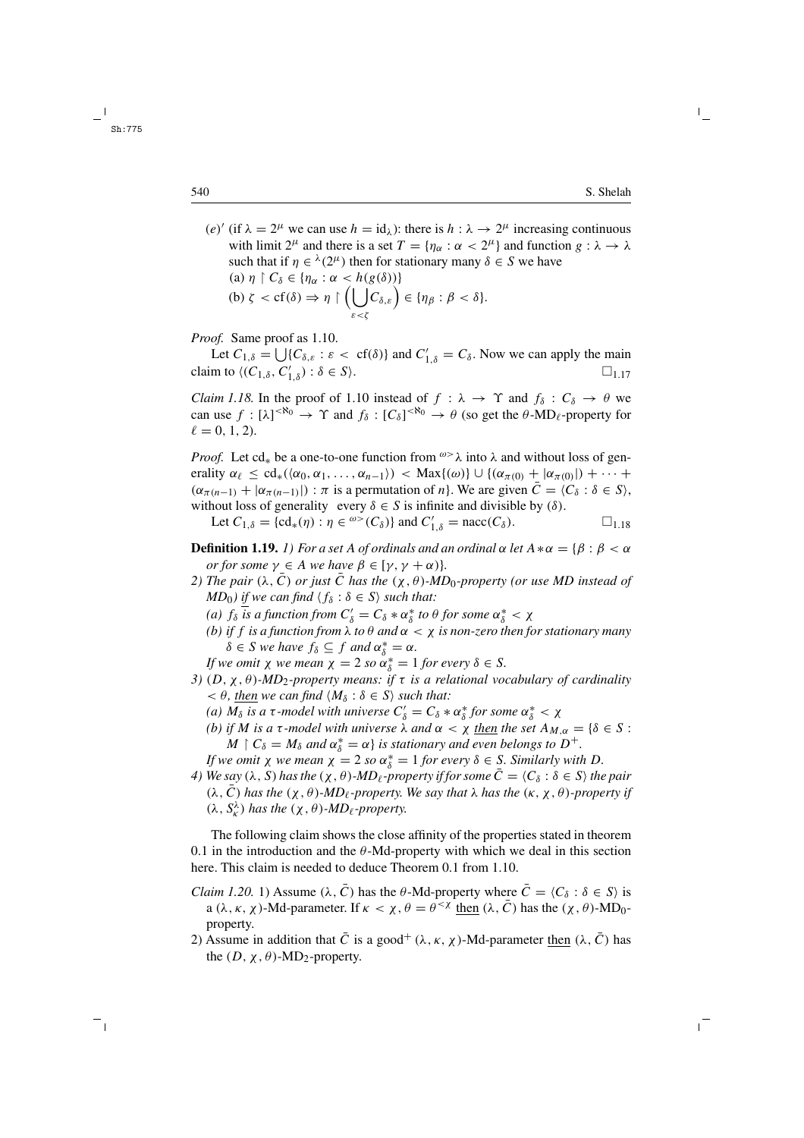(e)' (if  $\lambda = 2^{\mu}$  we can use  $h = id_{\lambda}$ ): there is  $h : \lambda \rightarrow 2^{\mu}$  increasing continuous with limit  $2^{\mu}$  and there is a set  $T = \{\eta_{\alpha} : \alpha < 2^{\mu}\}\$ and function  $g : \lambda \to \lambda$ such that if  $\eta \in \lambda(2^{\mu})$  then for stationary many  $\delta \in S$  we have (a)  $\eta \restriction C_\delta \in \{ \eta_\alpha : \alpha < h(g(\delta)) \}$ (b)  $\zeta < \text{cf}(\delta) \Rightarrow \eta \upharpoonright (\bigcup$ ε<ζ  $(C_{\delta,\varepsilon}\big) \in \{\eta_\beta : \beta < \delta\}.$ 

*Proof.* Same proof as 1.10.

Let  $C_{1,\delta} = \bigcup \{ C_{\delta,\varepsilon} : \varepsilon < \text{cf}(\delta) \}$  and  $C'_{1,\delta} = C_{\delta}$ . Now we can apply the main claim to  $\langle (C_{1,\delta}, C'_{1,\delta}) : \delta \in S \rangle$ .  $\square_{1,17}$ 

*Claim 1.18.* In the proof of 1.10 instead of  $f : \lambda \to \Upsilon$  and  $f_{\delta} : C_{\delta} \to \theta$  we can use  $f : [\lambda]^{<\aleph_0} \to \Upsilon$  and  $f_\delta : [C_\delta]^{<\aleph_0} \to \theta$  (so get the  $\theta$ -MD<sub>l</sub>-property for  $\ell = 0, 1, 2$ .

*Proof.* Let cd<sub>\*</sub> be a one-to-one function from  $\omega > \lambda$  into  $\lambda$  and without loss of generality  $\alpha_{\ell} \leq \text{cd}_{*}(\langle \alpha_0, \alpha_1, \ldots, \alpha_{n-1} \rangle) < \text{Max}\{(\omega)\} \cup \{(\alpha_{\pi(0)} + |\alpha_{\pi(0)}|) + \cdots +$  $(\alpha_{\pi(n-1)} + |\alpha_{\pi(n-1)}|) : \pi$  is a permutation of n}. We are given  $\overline{C} = \langle C_{\delta} : \delta \in S \rangle$ , without loss of generality every  $\delta \in S$  is infinite and divisible by ( $\delta$ ).

Let  $C_{1,\delta} = \{ cd_*(\eta) : \eta \in {}^{\omega}>(C_{\delta}) \}$  and  $C'_{1,\delta} = nacc(C_{\delta}).$   $\Box_{1.18}$ 

**Definition 1.19.** *1) For a set* A *of ordinals and an ordinal*  $\alpha$  *let*  $A * \alpha = {\beta : \beta < \alpha}$ *or for some*  $\gamma \in A$  *we have*  $\beta \in [\gamma, \gamma + \alpha)$ *.* 

- *2) The pair* ( $\lambda$ , C) *or just* C *has the* ( $\chi$ ,  $\theta$ )*-MD*<sub>0</sub>*-property (or use MD instead of MD*<sub>0</sub>*)* if we can find  $\langle f_{\delta} : \delta \in S \rangle$  *such that:* 
	- (a)  $f_{\delta}$  *is a function from*  $C'_{\delta} = C_{\delta} * \alpha_{\delta}^*$  *to*  $\theta$  *for some*  $\alpha_{\delta}^* < \chi$
	- *(b) if f is a function from*  $\lambda$  *to*  $\theta$  *and*  $\alpha < \chi$  *is non-zero then for stationary many*  $\delta \in S$  *we have*  $f_{\delta} \subseteq f$  *and*  $\alpha_{\delta}^* = \alpha$ *.*

*If we omit*  $\chi$  *we mean*  $\chi = 2$  *so*  $\alpha_{\delta}^{*} = 1$  *for every*  $\delta \in S$ *.* 

- *3)* (D, χ , θ )*-MD*2*-property means: if* τ *is a relational vocabulary of cardinality*  $< \theta$ , then we can find  $\langle M_\delta : \delta \in S \rangle$  such that:
	- (*a*)  $M_{\delta}$  *is a*  $\tau$ *-model with universe*  $C'_{\delta} = C_{\delta} * \alpha_{\delta}^*$  *for some*  $\alpha_{\delta}^* < \chi$
	- *(b) if M is a* τ-model with universe  $\lambda$  *and*  $\alpha < \chi$  *then the set*  $A_{M,\alpha} = \{\delta \in S :$  $M \restriction C_\delta = M_\delta$  and  $\alpha_\delta^* = \alpha$  *is stationary and even belongs to*  $D^+$ .

*If we omit*  $\chi$  *we mean*  $\chi$  = 2 *so*  $\alpha_{\delta}^{*}$  = 1 *for every*  $\delta \in S$ *. Similarly with* D.

*4)* We say  $(\lambda, S)$  has the  $(\chi, \theta)$ -MD<sub>l</sub>-property if for some  $\overline{C} = \langle C_\delta : \delta \in S \rangle$  the pair  $(\lambda, \bar{C})$  *has the*  $(\chi, \theta)$ *-MD*<sub> $\ell$ </sub>*-property. We say that*  $\lambda$  *has the*  $(\kappa, \chi, \theta)$ *-property if*  $(\lambda, S_k^{\lambda})$  has the  $(\chi, \theta)$ -*MD*<sub> $\ell$ </sub>-property.

The following claim shows the close affinity of the properties stated in theorem 0.1 in the introduction and the  $\theta$ -Md-property with which we deal in this section here. This claim is needed to deduce Theorem 0.1 from 1.10.

- *Claim 1.20.* 1) Assume  $(\lambda, \overline{C})$  has the  $\theta$ -Md-property where  $\overline{C} = \langle C_{\delta} : \delta \in S \rangle$  is a ( $\lambda$ ,  $\kappa$ ,  $\chi$ )-Md-parameter. If  $\kappa < \chi$ ,  $\theta = \theta^{<\chi}$  then ( $\lambda$ ,  $\overline{C}$ ) has the ( $\chi$ ,  $\theta$ )-MD<sub>0</sub>property.
- 2) Assume in addition that  $\overline{C}$  is a good<sup>+</sup> ( $\lambda$ ,  $\kappa$ ,  $\chi$ )-Md-parameter then ( $\lambda$ ,  $\overline{C}$ ) has the  $(D, \chi, \theta)$ -MD<sub>2</sub>-property.

Sh:775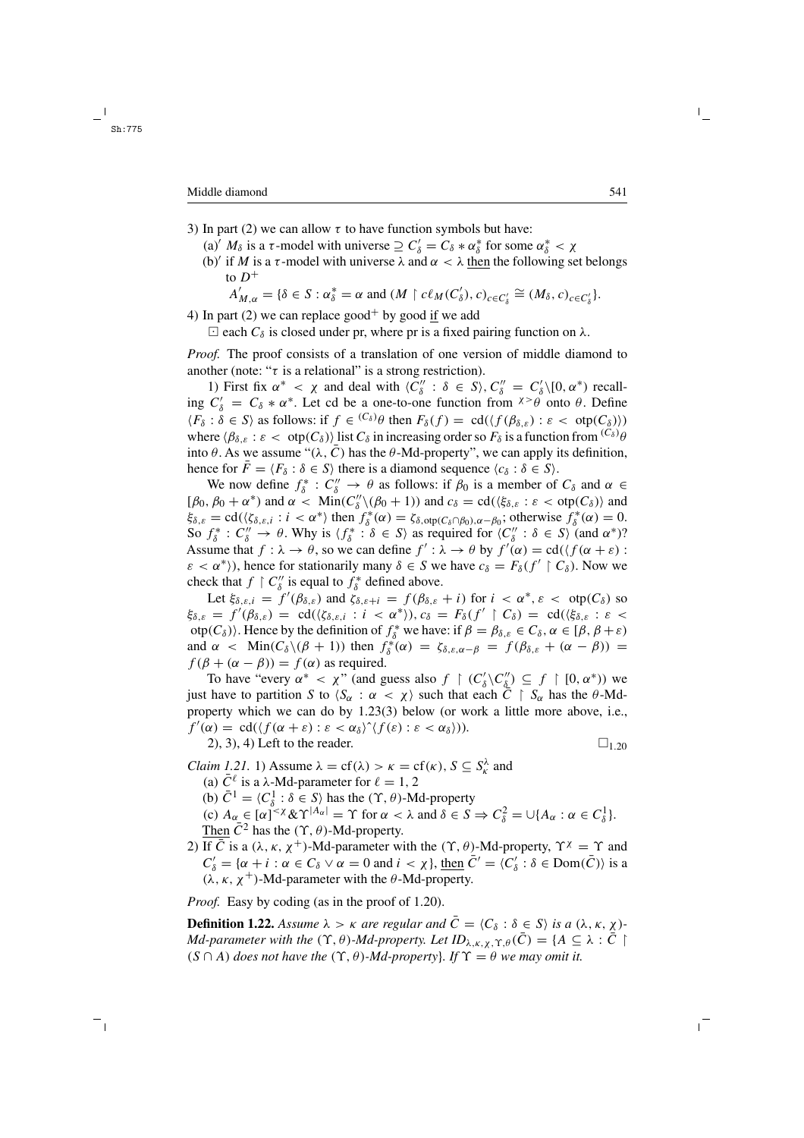- 3) In part (2) we can allow  $\tau$  to have function symbols but have:
	- (a)'  $M_\delta$  is a  $\tau$ -model with universe  $\supseteq C'_\delta = C_\delta * \alpha^*_\delta$  for some  $\alpha^*_\delta < \chi$
	- (b)' if M is a  $\tau$ -model with universe  $\lambda$  and  $\alpha < \lambda$  then the following set belongs to  $D^+$

 $A'_{M,\alpha} = \{\delta \in S : \alpha^*_{\delta} = \alpha \text{ and } (M \restriction c\ell_M(C'_\delta), c)_{c \in C'_\delta} \cong (M_{\delta}, c)_{c \in C'_\delta}\}.$ 

4) In part (2) we can replace good<sup>+</sup> by good if we add

 $\Box$  each  $C_{\delta}$  is closed under pr, where pr is a fixed pairing function on  $\lambda$ .

*Proof.* The proof consists of a translation of one version of middle diamond to another (note: " $\tau$  is a relational" is a strong restriction).

1) First fix  $\alpha^* < \chi$  and deal with  $\langle C''_{\delta} : \delta \in S \rangle$ ,  $C''_{\delta} = C'_{\delta} \setminus [0, \alpha^*)$  recalling  $C'_\delta = C_\delta * \alpha^*$ . Let cd be a one-to-one function from  $x > \theta$  onto  $\theta$ . Define  $\langle F_\delta : \delta \in S \rangle$  as follows: if  $f \in {}^{(C_\delta)}\theta$  then  $F_\delta(f) = \text{cd}(\langle f(\beta_{\delta,\varepsilon}) : \varepsilon < \text{otp}(C_\delta) \rangle)$ where  $\langle \beta_{\delta,\varepsilon} : \varepsilon < \text{otp}(C_{\delta}) \rangle$  list  $C_{\delta}$  in increasing order so  $F_{\delta}$  is a function from  ${}^{(C_{\delta})} \theta$ into  $\theta$ . As we assume " $(\lambda, \bar{C})$  has the  $\theta$ -Md-property", we can apply its definition, hence for  $\bar{F} = \langle F_\delta : \delta \in S \rangle$  there is a diamond sequence  $\langle c_\delta : \delta \in S \rangle$ .

We now define  $f^*_\delta : C''_\delta \to \theta$  as follows: if  $\beta_0$  is a member of  $C_\delta$  and  $\alpha \in$ [ $\beta_0$ ,  $\beta_0 + \alpha^*$ ) and  $\alpha < \text{Min}(C''_0 \setminus (\beta_0 + 1))$  and  $c_\delta = \text{cd}(\langle \xi_{\delta,\varepsilon} : \varepsilon < \text{otp}(C_\delta) \rangle$  and  $\xi_{\delta,\varepsilon} = \text{cd}(\langle \xi_{\delta,\varepsilon,i} : i \langle \alpha \rangle^*)$  then  $f_{\delta}^*(\alpha) = \zeta_{\delta,\text{otp}}(C_{\delta} \cap \beta_0), \alpha - \beta_0$ ; otherwise  $f_{\delta}^*(\alpha) = 0$ . So  $f^*_{\delta}: C''_{\delta} \to \theta$ . Why is  $\langle f^*_{\delta} : \delta \in S \rangle$  as required for  $\langle C''_{\delta} : \delta \in S \rangle$  (and  $\alpha^*$ )? Assume that  $f : \lambda \to \theta$ , so we can define  $f' : \lambda \to \theta$  by  $f'(\alpha) = \text{cd}(\langle f(\alpha + \varepsilon)) \rangle$  $\varepsilon < \alpha^*$ ), hence for stationarily many  $\delta \in S$  we have  $c_{\delta} = F_{\delta}(f' \restriction C_{\delta})$ . Now we check that  $f \restriction C''_{\delta}$  is equal to  $f^*_{\delta}$  defined above.

Let  $\xi_{\delta,\varepsilon,i} = f'(\beta_{\delta,\varepsilon})$  and  $\zeta_{\delta,\varepsilon+i} = f(\beta_{\delta,\varepsilon} + i)$  for  $i < \alpha^*, \varepsilon < \text{otp}(C_{\delta})$  so  $\xi_{\delta,\varepsilon} = f'(\beta_{\delta,\varepsilon}) = \operatorname{cd}(\langle \zeta_{\delta,\varepsilon,i} : i \langle \alpha^* \rangle), c_{\delta} = F_{\delta}(f' \restriction C_{\delta}) = \operatorname{cd}(\langle \xi_{\delta,\varepsilon} : \varepsilon \langle \alpha^* \rangle)$ otp $(C_\delta)$ . Hence by the definition of  $f_\delta^*$  we have: if  $\beta = \beta_{\delta,\varepsilon} \in C_\delta$ ,  $\alpha \in [\beta, \beta + \varepsilon)$ and  $\alpha$  < Min( $C_{\delta} \setminus (\beta + 1)$ ) then  $f_{\delta}^*(\alpha) = \zeta_{\delta, \varepsilon, \alpha - \beta} = f(\beta_{\delta, \varepsilon} + (\alpha - \beta)) =$  $f(\beta + (\alpha - \beta)) = f(\alpha)$  as required.

To have "every  $\alpha^* < \chi$ " (and guess also  $f \restriction (C'_\delta \backslash C''_\delta) \subseteq f \restriction [0, \alpha^*)$ ) we just have to partition S to  $\langle S_\alpha : \alpha < \chi \rangle$  such that each  $\overline{C} \restriction S_\alpha$  has the  $\theta$ -Mdproperty which we can do by 1.23(3) below (or work a little more above, i.e.,  $f'(\alpha) = \text{cd}(\langle f(\alpha + \varepsilon) : \varepsilon < \alpha_\delta \rangle \hat{\ } \langle f(\varepsilon) : \varepsilon < \alpha_\delta \rangle)).$ 

2), 3), 4) Left to the reader.  $\Box_{1,20}$ 

*Claim 1.21.* 1) Assume  $\lambda = cf(\lambda) > \kappa = cf(\kappa)$ ,  $S \subseteq S_{\kappa}^{\lambda}$  and (a)  $\bar{C}^{\ell}$  is a  $\lambda$ -Md-parameter for  $\ell = 1, 2$ (b)  $\bar{C}^1 = \langle C_\delta^1 : \delta \in S \rangle$  has the  $(\Upsilon, \theta)$ -Md-property (c)  $A_{\alpha} \in [\alpha]^{< \chi} \& \Upsilon^{|A_{\alpha}|} = \Upsilon$  for  $\alpha < \lambda$  and  $\delta \in S \Rightarrow C_{\delta}^2 = \bigcup \{A_{\alpha} : \alpha \in C_{\delta}^1\}.$ Then  $\overline{C}^2$  has the  $(\Upsilon, \theta)$ -Md-property.

2) If  $\bar{C}$  is a ( $\lambda$ ,  $\kappa$ ,  $\chi$ <sup>+</sup>)-Md-parameter with the ( $\Upsilon$ ,  $\theta$ )-Md-property,  $\Upsilon^{\chi} = \Upsilon$  and  $C'_\delta = \{ \alpha + i : \alpha \in C_\delta \vee \alpha = 0 \text{ and } i < \chi \}, \underline{\text{then}} \ \bar{C}' = \langle C'_\delta : \delta \in \text{Dom}(\bar{C}) \rangle \text{ is a}$  $(\lambda, \kappa, \chi^+)$ -Md-parameter with the  $\theta$ -Md-property.

*Proof.* Easy by coding (as in the proof of 1.20).

**Definition 1.22.** Assume  $\lambda > \kappa$  are regular and  $\overline{C} = \langle C_\delta : \delta \in S \rangle$  is a  $(\lambda, \kappa, \chi)$ *-Md-parameter with the*  $(\Upsilon, \theta)$ *-Md-property. Let*  $ID_{\lambda,\kappa,\chi}$ ,  $\Upsilon$ <sub>, $\theta$ </sub> $(\overline{C}) = \{A \subseteq \lambda : \overline{C} \mid \overline{C}\}$  $(S \cap A)$  *does not have the*  $(\Upsilon, \theta)$ *-Md-property}. If*  $\Upsilon = \theta$  *we may omit it.*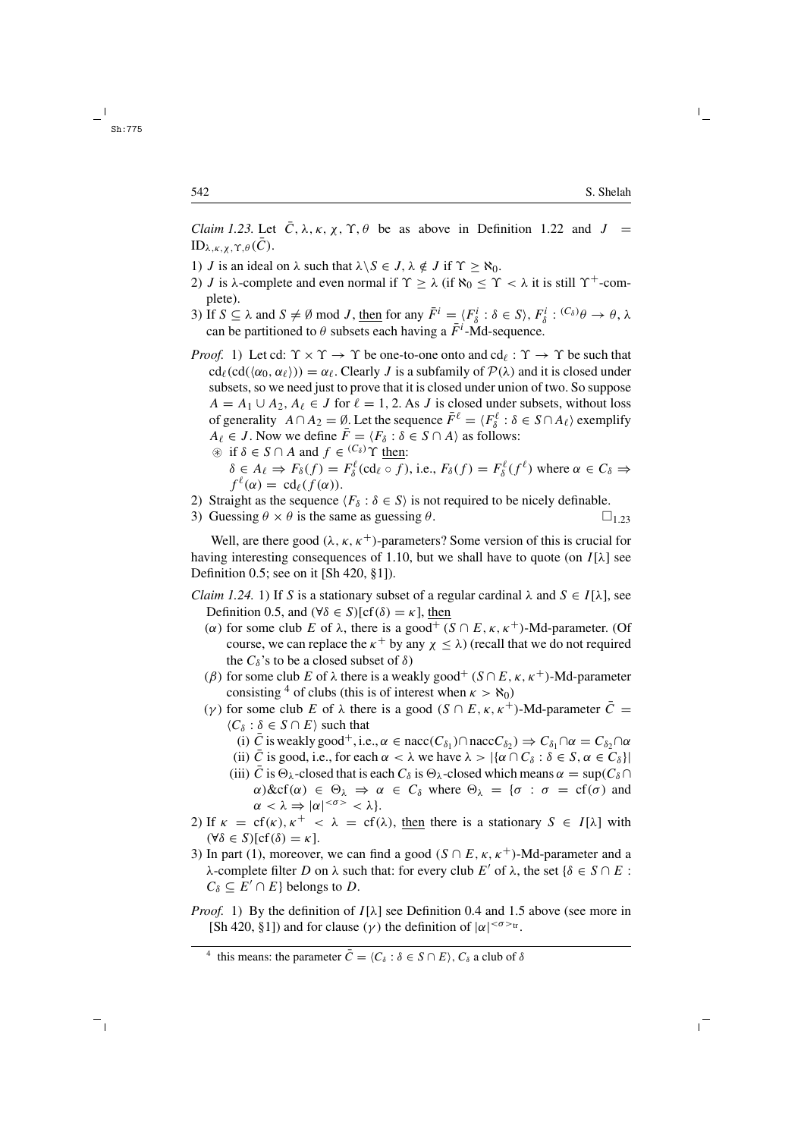*Claim 1.23.* Let  $\overline{C}$ ,  $\lambda$ ,  $\kappa$ ,  $\chi$ ,  $\Upsilon$ ,  $\theta$  be as above in Definition 1.22 and  $J =$  $ID_{\lambda,\kappa,\chi,\Upsilon,\theta}(C)$ .

- 1) *J* is an ideal on  $\lambda$  such that  $\lambda \setminus S \in J$ ,  $\lambda \notin J$  if  $\Upsilon > \aleph_0$ .
- 2) *J* is  $\lambda$ -complete and even normal if  $\Upsilon \geq \lambda$  (if  $\aleph_0 \leq \Upsilon < \lambda$  it is still  $\Upsilon^+$ -complete).
- 3) If  $S \subseteq \lambda$  and  $S \neq \emptyset$  mod J, then for any  $\overline{F}^i = \langle F^i_{\delta} : \delta \in S \rangle$ ,  $F^i_{\delta} : {^{(C_{\delta})}\theta \rightarrow \theta}$ ,  $\lambda$ can be partitioned to  $\theta$  subsets each having a  $\bar{F}^i$ -Md-sequence.

*Proof.* 1) Let cd:  $\Upsilon \times \Upsilon \to \Upsilon$  be one-to-one onto and cd<sub>l</sub>:  $\Upsilon \to \Upsilon$  be such that  $cd_{\ell}(cd(\langle \alpha_0, \alpha_{\ell} \rangle)) = \alpha_{\ell}$ . Clearly J is a subfamily of  $\mathcal{P}(\lambda)$  and it is closed under subsets, so we need just to prove that it is closed under union of two. So suppose  $A = A_1 \cup A_2$ ,  $A_\ell \in J$  for  $\ell = 1, 2$ . As J is closed under subsets, without loss of generality  $A \cap A_2 = \emptyset$ . Let the sequence  $\overline{F}^{\ell} = \langle F_{\delta}^{\ell} : \delta \in S \cap A_{\ell} \rangle$  exemplify  $A_{\ell} \in J$ . Now we define  $\bar{F} = \langle F_{\delta} : \delta \in S \cap A \rangle$  as follows:  $\circledast$  if  $\delta \in S \cap A$  and  $f \in {^{(C_{\delta})}} \Upsilon$  then:

- $\delta \in A_{\ell} \Rightarrow F_{\delta}(f) = F_{\delta}^{\ell}(\text{cd}_{\ell} \circ f),$  i.e.,  $F_{\delta}(f) = F_{\delta}^{\ell}(f^{\ell})$  where  $\alpha \in C_{\delta} \Rightarrow$  $f^{\ell}(\alpha) = \text{cd}_{\ell}(f(\alpha)).$
- 2) Straight as the sequence  $\langle F_{\delta} : \delta \in S \rangle$  is not required to be nicely definable.
- 3) Guessing  $\theta \times \theta$  is the same as guessing  $\theta$ .  $\Box$  1.23

Well, are there good  $(\lambda, \kappa, \kappa^+)$ -parameters? Some version of this is crucial for having interesting consequences of 1.10, but we shall have to quote (on  $I[\lambda]$  see Definition 0.5; see on it [Sh 420, §1]).

- *Claim 1.24.* 1) If S is a stationary subset of a regular cardinal  $\lambda$  and  $S \in I[\lambda]$ , see Definition 0.5, and  $(\forall \delta \in S)[cf(\delta) = \kappa]$ , then
	- (α) for some club E of  $\lambda$ , there is a good<sup>+</sup> (S  $\cap$  E,  $\kappa$ ,  $\kappa$ <sup>+</sup>)-Md-parameter. (Of course, we can replace the  $\kappa^+$  by any  $\chi \leq \lambda$ ) (recall that we do not required the  $C_\delta$ 's to be a closed subset of  $\delta$ )
	- (β) for some club E of  $\lambda$  there is a weakly good<sup>+</sup> ( $S \cap E$ ,  $\kappa$ ,  $\kappa^+$ )-Md-parameter consisting <sup>4</sup> of clubs (this is of interest when  $\kappa > \aleph_0$ )
	- (γ) for some club E of  $\lambda$  there is a good (S  $\cap$  E,  $\kappa$ ,  $\kappa^+$ )-Md-parameter C =  $\langle C_\delta : \delta \in S \cap E \rangle$  such that
		- (i)  $\bar{C}$  is weakly good<sup>+</sup>, i.e.,  $\alpha \in \text{nacc}(C_{\delta_1}) \cap \text{nacc}(\delta_2) \Rightarrow C_{\delta_1} \cap \alpha = C_{\delta_2} \cap \alpha$
		- (ii) C is good, i.e., for each  $\alpha < \lambda$  we have  $\lambda > |\{\alpha \cap C_{\delta} : \delta \in S, \alpha \in C_{\delta}\}|$
		- (iii) C is  $\Theta_{\lambda}$ -closed that is each  $C_{\delta}$  is  $\Theta_{\lambda}$ -closed which means  $\alpha = \sup(C_{\delta} \cap$  $\alpha$ )&cf( $\alpha$ )  $\in \Theta_{\lambda} \Rightarrow \alpha \in C_{\delta}$  where  $\Theta_{\lambda} = {\sigma : \sigma = cf(\sigma)}$  and  $\alpha < \lambda \Rightarrow |\alpha|^{<\sigma>} < \lambda$ .
- 2) If  $\kappa = cf(\kappa), \kappa^+ < \lambda = cf(\lambda)$ , then there is a stationary  $S \in I[\lambda]$  with  $(\forall \delta \in S)[cf(\delta) = \kappa].$
- 3) In part (1), moreover, we can find a good ( $S \cap E$ ,  $\kappa$ ,  $\kappa^+$ )-Md-parameter and a λ-complete filter D on λ such that: for every club E' of λ, the set {δ ∈ S ∩ E :  $C_{\delta} \subseteq E' \cap E$ } belongs to D.
- *Proof.* 1) By the definition of  $I[\lambda]$  see Definition 0.4 and 1.5 above (see more in [Sh 420, §1]) and for clause ( $\gamma$ ) the definition of  $|\alpha|^{<\sigma>_{tr}}$ .

<sup>&</sup>lt;sup>4</sup> this means: the parameter  $\overline{C} = \langle C_{\delta} : \delta \in S \cap E \rangle$ ,  $C_{\delta}$  a club of  $\delta$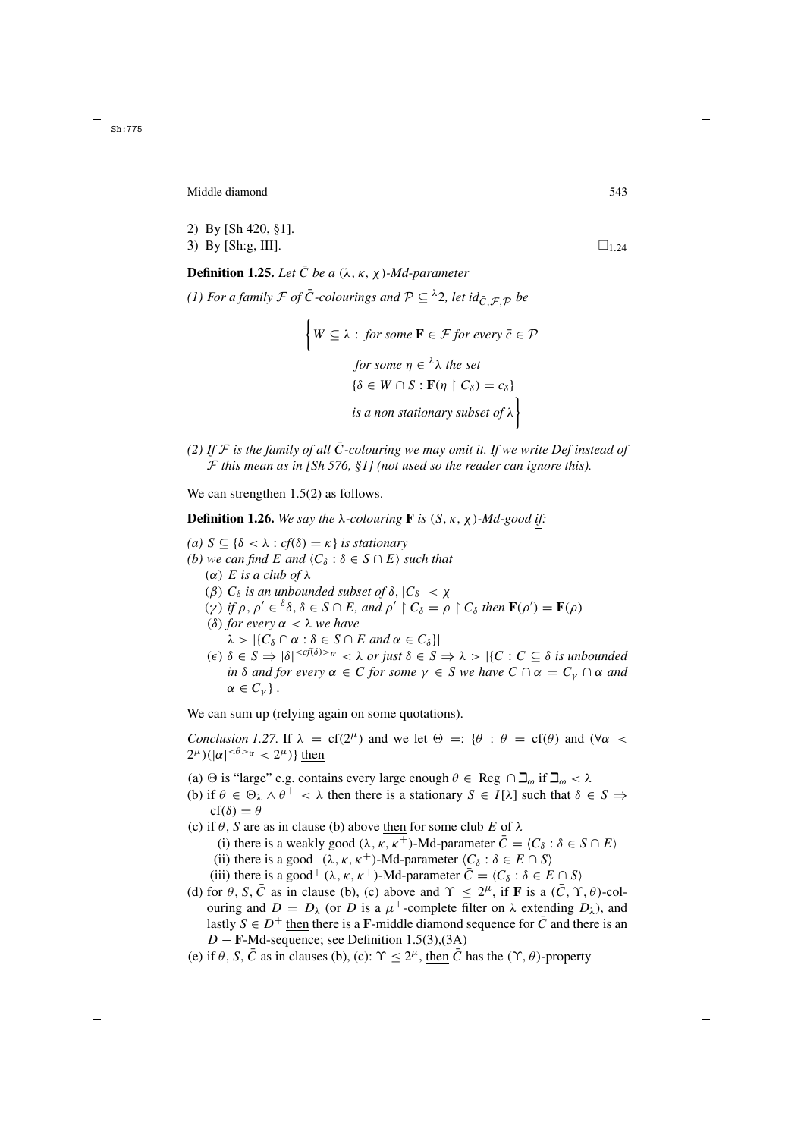#### Middle diamond 543

- 2) By [Sh 420, §1].
- 3) By [Sh:g, III].  $\square_{1,24}$

**Definition 1.25.** *Let*  $\overline{C}$  *be a*  $(\lambda, \kappa, \chi)$ *-Md-parameter (1) For a family*  $\mathcal F$  *of*  $\overline{C}$ -colourings and  $\mathcal P \subseteq \lambda^2$ , let  $id_{\overline{C}} \nsubseteq_{\mathcal D}$  be

$$
\{W \subseteq \lambda : \text{ for some } \mathbf{F} \in \mathcal{F} \text{ for every } \bar{c} \in \mathcal{P} \text{ for some } \eta \in \lambda \text{ the set } \{\delta \in W \cap S : \mathbf{F}(\eta \upharpoonright C_{\delta}) = c_{\delta}\} \text{ is a non stationary subset of } \lambda \}
$$

*(2) If*  $F$  *is the family of all*  $\overline{C}$ -colouring we may omit it. If we write Def instead of F *this mean as in [Sh 576, §1] (not used so the reader can ignore this).*

We can strengthen  $1.5(2)$  as follows.

**Definition 1.26.** We say the  $\lambda$ -colouring **F** is  $(S, \kappa, \chi)$ -Md-good if:

*(a) S* ⊆ { $δ < λ : cf(δ) = κ$ } *is stationary (b)* we can find E and  $\langle C_{\delta} : \delta \in S \cap E \rangle$  such that (α) E *is a club of* λ ( $\beta$ )  $C_{\delta}$  *is an unbounded subset of*  $\delta$ ,  $|C_{\delta}| < \chi$ (γ) *if*  $\rho$ ,  $\rho' \in \delta \delta$ ,  $\delta \in S \cap E$ , and  $\rho' \upharpoonright C_{\delta} = \rho \upharpoonright C_{\delta}$  then  $\mathbf{F}(\rho') = \mathbf{F}(\rho)$ (δ) *for every* α<λ *we have*  $\lambda > |\{C_\delta \cap \alpha : \delta \in S \cap E \text{ and } \alpha \in C_\delta\}|$  $(\epsilon)$   $\delta \in S \Rightarrow |\delta|^{< c(f(\delta))>\pi} < \lambda$  *or just*  $\delta \in S \Rightarrow \lambda > |{C : C \subseteq \delta$ is unbounded}$ *in*  $\delta$  *and for every*  $\alpha \in C$  *for some*  $\gamma \in S$  *we have*  $C \cap \alpha = C_{\gamma} \cap \alpha$  *and*  $\alpha \in C_{\nu}$ }|.

We can sum up (relying again on some quotations).

*Conclusion 1.27.* If  $\lambda = cf(2^{\mu})$  and we let  $\Theta =: {\theta : \theta = cf(\theta)}$  and  $(\forall \alpha <$  $2^{\mu}$ )(| $\alpha$ |<sup>< $\theta$ ><sup>tr</sup> <  $2^{\mu}$ )} then</sup>

- (a)  $\Theta$  is "large" e.g. contains every large enough  $\theta \in \text{Reg } \cap \Delta_{\omega}$  if  $\Delta_{\omega} < \lambda$
- (b) if  $\theta \in \Theta_{\lambda} \wedge \theta^+ < \lambda$  then there is a stationary  $S \in I[\lambda]$  such that  $\delta \in S \Rightarrow$  $cf(\delta) = \theta$
- (c) if  $\theta$ , S are as in clause (b) above then for some club E of  $\lambda$ 
	- (i) there is a weakly good ( $\lambda, \kappa, \kappa^+$ )-Md-parameter  $\overline{C} = \langle C_\delta : \delta \in S \cap E \rangle$
	- (ii) there is a good  $(\lambda, \kappa, \kappa^+)$ -Md-parameter  $\langle C_\delta : \delta \in E \cap S \rangle$
	- (iii) there is a good<sup>+</sup> ( $\lambda$ ,  $\kappa$ ,  $\kappa$ <sup>+</sup>)-Md-parameter  $\overline{C} = \langle C_{\delta} : \delta \in E \cap S \rangle$
- (d) for  $\theta$ , S,  $\overline{C}$  as in clause (b), (c) above and  $\Upsilon \leq 2^{\mu}$ , if **F** is a  $(\overline{C}, \Upsilon, \theta)$ -colouring and  $D = D_{\lambda}$  (or D is a  $\mu^{+}$ -complete filter on  $\lambda$  extending  $D_{\lambda}$ ), and lastly  $S \in D^+$  then there is a **F**-middle diamond sequence for  $\overline{C}$  and there is an D − **F**-Md-sequence; see Definition 1.5(3),(3A)
- (e) if  $\theta$ , S,  $\overline{C}$  as in clauses (b), (c):  $\Upsilon \leq 2^{\mu}$ , then  $\overline{C}$  has the  $(\Upsilon, \theta)$ -property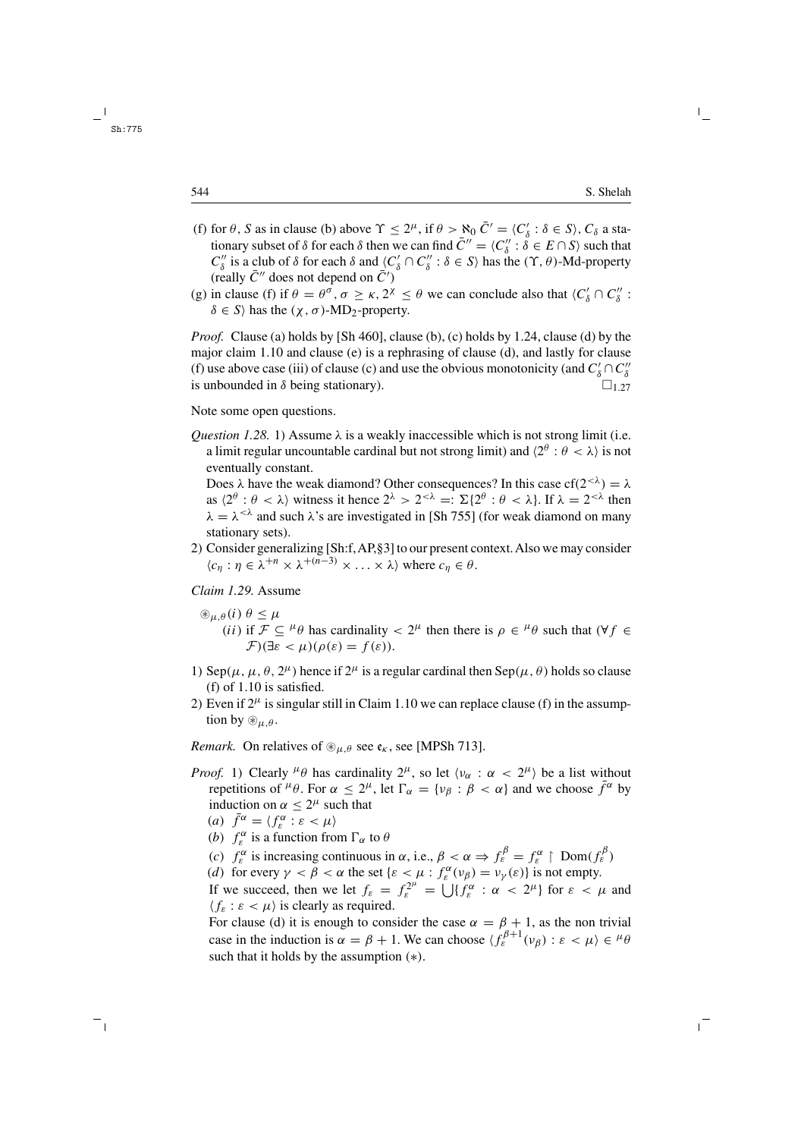- (f) for  $\theta$ , S as in clause (b) above  $\Upsilon \leq 2^{\mu}$ , if  $\theta > \aleph_0 \bar{C}' = \langle C_{\delta}' : \delta \in S \rangle$ ,  $C_{\delta}$  a stationary subset of  $\delta$  for each  $\delta$  then we can find  $\bar{C}'' = \langle C''_{\delta} : \delta \in E \cap S \rangle$  such that  $C''_{\delta}$  is a club of  $\delta$  for each  $\delta$  and  $\langle C'_{\delta} \cap C''_{\delta} : \delta \in S \rangle$  has the  $(\Upsilon, \theta)$ -Md-property (really  $\bar{C}''$  does not depend on  $\bar{C}'$ )
- (g) in clause (f) if  $\theta = \theta^{\sigma}$ ,  $\sigma \ge \kappa$ ,  $2^{\chi} \le \theta$  we can conclude also that  $\langle C_0' \cap C_0'' \rangle$ :  $\delta \in S$  has the  $(\gamma, \sigma)$ -MD<sub>2</sub>-property.

*Proof.* Clause (a) holds by [Sh 460], clause (b), (c) holds by 1.24, clause (d) by the major claim 1.10 and clause (e) is a rephrasing of clause (d), and lastly for clause (f) use above case (iii) of clause (c) and use the obvious monotonicity (and  $C'_\delta \cap C''_\delta$ is unbounded in  $\delta$  being stationary).  $\Box$  1.27

Note some open questions.

*Question 1.28.* 1) Assume  $\lambda$  is a weakly inaccessible which is not strong limit (i.e. a limit regular uncountable cardinal but not strong limit) and  $\langle 2^{\theta} : \theta < \lambda \rangle$  is not eventually constant.

Does  $\lambda$  have the weak diamond? Other consequences? In this case cf( $2^{<\lambda}$ ) =  $\lambda$ as  $\langle 2^{\theta} : \theta < \lambda \rangle$  witness it hence  $2^{\lambda} > 2^{<\lambda} =: \Sigma \{ 2^{\theta} : \theta < \lambda \}.$  If  $\lambda = 2^{<\lambda}$  then  $\lambda = \lambda^{<\lambda}$  and such  $\lambda$ 's are investigated in [Sh 755] (for weak diamond on many stationary sets).

2) Consider generalizing [Sh:f,AP,§3] to our present context.Also we may consider  $\langle c_n : \eta \in \lambda^{+n} \times \lambda^{+(n-3)} \times \ldots \times \lambda \rangle$  where  $c_n \in \theta$ .

*Claim 1.29.* Assume

- $\mathcal{L}_{\mu,\theta}(i)$   $\theta \leq \mu$ (ii) if  $\mathcal{F} \subseteq {}^{\mu} \theta$  has cardinality  $\lt 2^{\mu}$  then there is  $\rho \in {}^{\mu} \theta$  such that  $(\forall f \in$  $\mathcal{F}(\exists \varepsilon < \mu)(\rho(\varepsilon) = f(\varepsilon)).$
- 1) Sep( $\mu$ ,  $\mu$ ,  $\theta$ ,  $2^{\mu}$ ) hence if  $2^{\mu}$  is a regular cardinal then Sep( $\mu$ ,  $\theta$ ) holds so clause (f) of 1.10 is satisfied.
- 2) Even if  $2^{\mu}$  is singular still in Claim 1.10 we can replace clause (f) in the assumption by  $\mathcal{L}_{\mu,\theta}$ .

*Remark.* On relatives of  $\mathcal{L}_{\mu,\theta}$  see  $\mathfrak{e}_k$ , see [MPSh 713].

*Proof.* 1) Clearly  $^{\mu}\theta$  has cardinality  $2^{\mu}$ , so let  $\langle v_{\alpha} : \alpha < 2^{\mu} \rangle$  be a list without repetitions of  $^{\mu}\theta$ . For  $\alpha \leq 2^{\mu}$ , let  $\Gamma_{\alpha} = \{v_{\beta} : \beta < \alpha\}$  and we choose  $\bar{f}^{\alpha}$  by induction on  $\alpha < 2^{\mu}$  such that

(a) 
$$
\bar{f}^{\alpha} = \langle f_{\varepsilon}^{\alpha} : \varepsilon < \mu \rangle
$$

- (*b*)  $f_{\varepsilon}^{\alpha}$  is a function from  $\Gamma_{\alpha}$  to  $\theta$
- (c)  $f_{\varepsilon}^{\alpha}$  is increasing continuous in  $\alpha$ , i.e.,  $\beta < \alpha \Rightarrow f_{\varepsilon}^{\beta} = f_{\varepsilon}^{\alpha} \upharpoonright Dom(f_{\varepsilon}^{\beta})$
- (d) for every  $\gamma < \beta < \alpha$  the set  $\{\varepsilon < \mu : f_{\varepsilon}^{\alpha}(v_{\beta}) = v_{\gamma}(\varepsilon)\}\)$  is not empty.

If we succeed, then we let  $f_{\varepsilon} = f_{\varepsilon}^{2^{\mu}} = \bigcup \{ f_{\varepsilon}^{\alpha} : \alpha < 2^{\mu} \}$  for  $\varepsilon < \mu$  and  $\langle f_{\varepsilon} : \varepsilon < \mu \rangle$  is clearly as required.

For clause (d) it is enough to consider the case  $\alpha = \beta + 1$ , as the non trivial case in the induction is  $\alpha = \beta + 1$ . We can choose  $\langle f_{\varepsilon}^{\beta+1}(v_{\beta}) : \varepsilon < \mu \rangle \in {}^{\mu} \theta$ such that it holds by the assumption  $(*)$ .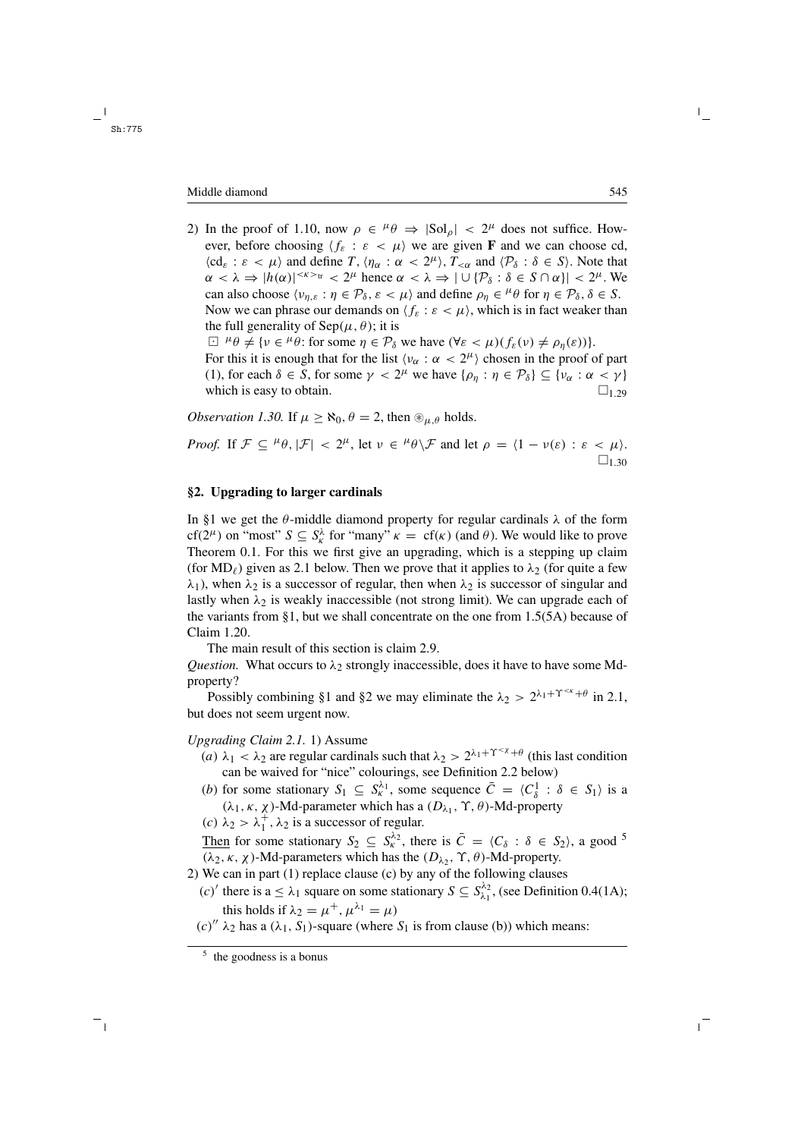#### Middle diamond 545

2) In the proof of 1.10, now  $\rho \in {}^{\mu} \theta \Rightarrow |{\rm Sol}_o| < 2^{\mu}$  does not suffice. However, before choosing  $\langle f_{\varepsilon} : \varepsilon \langle \mu \rangle$  we are given **F** and we can choose cd,  $\langle cd_{\varepsilon} : \varepsilon < \mu \rangle$  and define T,  $\langle \eta_{\alpha} : \alpha < 2^{\mu} \rangle$ ,  $T_{<\alpha}$  and  $\langle \mathcal{P}_{\delta} : \delta \in S \rangle$ . Note that  $\alpha < \lambda \Rightarrow |h(\alpha)|^{<\kappa>_{tr}} < 2^{\mu}$  hence  $\alpha < \lambda \Rightarrow |\cup \{\mathcal{P}_{\delta} : \delta \in S \cap \alpha\}| < 2^{\mu}$ . We can also choose  $\langle v_{n,\varepsilon} : \eta \in \mathcal{P}_{\delta}, \varepsilon < \mu \rangle$  and define  $\rho_{\eta} \in {}^{\mu} \theta$  for  $\eta \in \mathcal{P}_{\delta}, \delta \in S$ . Now we can phrase our demands on  $\langle f_{\varepsilon} : \varepsilon < \mu \rangle$ , which is in fact weaker than the full generality of  $\text{Sep}(\mu, \theta)$ ; it is  $\Box$   $^{\mu}\theta \neq \{v \in {}^{\mu}\theta$ : for some  $\eta \in \mathcal{P}_{\delta}$  we have  $(\forall \varepsilon < \mu)(f_{\varepsilon}(v) \neq \rho_{\eta}(\varepsilon))\}.$ For this it is enough that for the list  $\langle v_{\alpha} : \alpha < 2^{\mu} \rangle$  chosen in the proof of part

(1), for each  $\delta \in S$ , for some  $\gamma < 2^{\mu}$  we have  $\{\rho_{\eta} : \eta \in \mathcal{P}_{\delta}\} \subseteq \{\nu_{\alpha} : \alpha < \gamma\}$ <br>which is easy to obtain. which is easy to obtain.

*Observation 1.30.* If  $\mu \ge \aleph_0$ ,  $\theta = 2$ , then  $\mathcal{L}_{\mu,\theta}$  holds.

*Proof.* If  $\mathcal{F} \subseteq {}^{\mu} \theta$ ,  $|\mathcal{F}| < 2^{\mu}$ , let  $\nu \in {}^{\mu} \theta \backslash \mathcal{F}$  and let  $\rho = \langle 1 - \nu(\varepsilon) : \varepsilon < \mu \rangle$ .  $\square_{1,30}$ 

## **§2. Upgrading to larger cardinals**

In §1 we get the  $\theta$ -middle diamond property for regular cardinals  $\lambda$  of the form cf( $2^{\mu}$ ) on "most"  $S \subseteq S_{\kappa}^{\lambda}$  for "many"  $\kappa = cf(\kappa)$  (and  $\theta$ ). We would like to prove Theorem 0.1. For this we first give an upgrading, which is a stepping up claim (for MD<sub> $\ell$ </sub>) given as 2.1 below. Then we prove that it applies to  $\lambda_2$  (for quite a few  $\lambda_1$ ), when  $\lambda_2$  is a successor of regular, then when  $\lambda_2$  is successor of singular and lastly when  $\lambda_2$  is weakly inaccessible (not strong limit). We can upgrade each of the variants from §1, but we shall concentrate on the one from 1.5(5A) because of Claim 1.20.

The main result of this section is claim 2.9.

*Question.* What occurs to  $\lambda_2$  strongly inaccessible, does it have to have some Mdproperty?

Possibly combining §1 and §2 we may eliminate the  $\lambda_2 > 2^{\lambda_1 + \Upsilon^{k} + \theta}$  in 2.1. but does not seem urgent now.

## *Upgrading Claim 2.1.* 1) Assume

- (a)  $\lambda_1 < \lambda_2$  are regular cardinals such that  $\lambda_2 > 2^{\lambda_1 + \Upsilon < \chi + \theta}$  (this last condition can be waived for "nice" colourings, see Definition 2.2 below)
- (b) for some stationary  $S_1 \subseteq S_K^{\lambda_1}$ , some sequence  $\overline{C} = \langle C_\delta^1 : \delta \in S_1 \rangle$  is a (λ<sub>1</sub>, κ, χ)-Md-parameter which has a ( $D_{\lambda_1}$ , Υ, θ)-Md-property
- (c)  $\lambda_2 > \lambda_1^+$ ,  $\lambda_2$  is a successor of regular.

Then for some stationary  $S_2 \subseteq S_k^{\lambda_2}$ , there is  $\overline{C} = \langle C_\delta : \delta \in S_2 \rangle$ , a good <sup>5</sup>  $(\lambda_2, \kappa, \chi)$ -Md-parameters which has the  $(D_{\lambda_2}, \Upsilon, \theta)$ -Md-property.

- 2) We can in part (1) replace clause (c) by any of the following clauses
	- (c)' there is a  $\leq \lambda_1$  square on some stationary  $S \subseteq S_{\lambda_1}^{\lambda_2}$ , (see Definition 0.4(1A); this holds if  $\lambda_2 = \mu^+, \mu^{\lambda_1} = \mu$
	- $(c)'' \lambda_2$  has a  $(\lambda_1, S_1)$ -square (where  $S_1$  is from clause (b)) which means: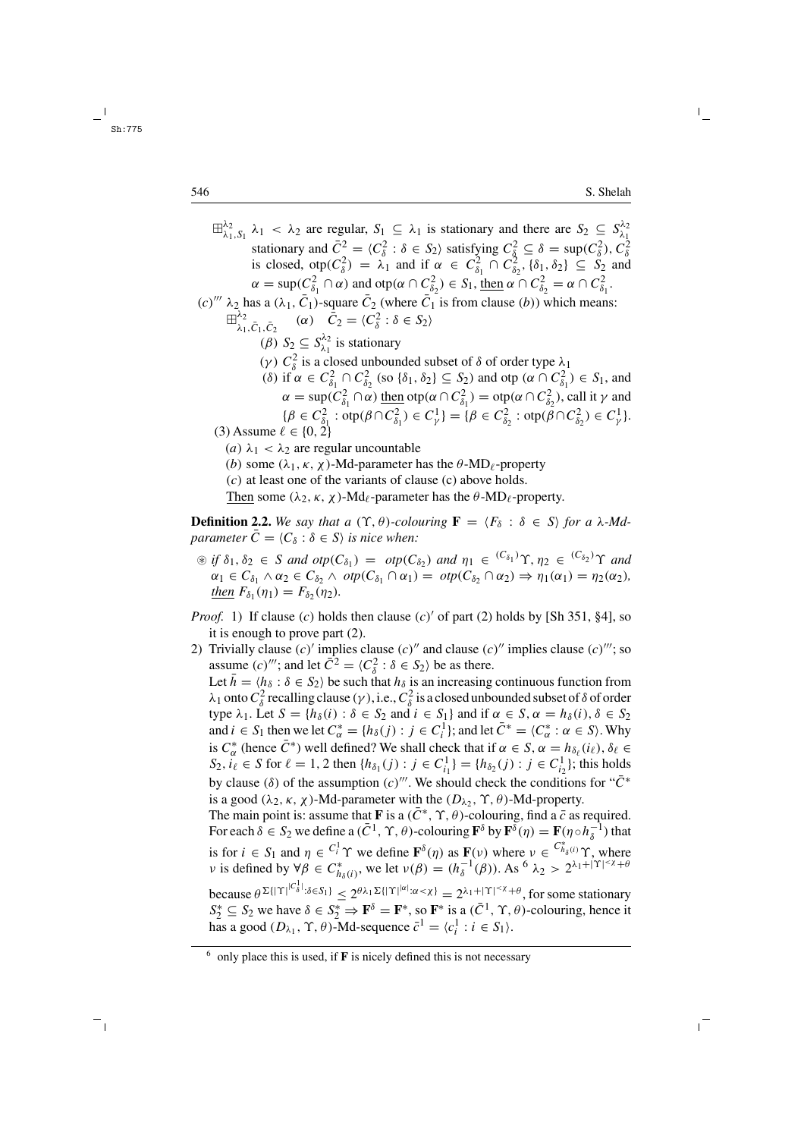$\boxplus_{\lambda_1,\,S_1}^{\lambda_2}$   $\lambda_1 < \lambda_2$  are regular,  $S_1 \subseteq \lambda_1$  is stationary and there are  $S_2 \subseteq S_{\lambda_1}^{\lambda_2}$ stationary and  $\overline{C}^2 = \langle C_\delta^2 : \delta \in S_2 \rangle$  satisfying  $C_\delta^2 \subseteq \delta = \sup(C_\delta^2)$ ,  $C_\delta^2$ <br>is closed,  $\text{otp}(C_\delta^2) = \lambda_1$  and if  $\alpha \in C_{\delta_1}^2 \cap C_{\delta_2}^2$ ,  $\{\delta_1, \delta_2\} \subseteq S_2$  and  $\alpha = \sup(C_{\delta_1}^2 \cap \alpha)$  and  $\sup(\alpha \cap C_{\delta_2}^2) \in S_1$ , then  $\alpha \cap C_{\delta_2}^2 = \alpha \cap C_{\delta_1}^2$ .  $(c)$ <sup>'''</sup>  $\lambda_2$  has a  $(\lambda_1, \bar{C}_1)$ -square  $\bar{C}_2$  (where  $\bar{C}_1$  is from clause (b)) which means:  $\boxplus_{\lambda_1,\bar{C}_1,\bar{C}_2}^{\lambda_2}$  (*α*)  $\bar{C}_2 = \langle C_\delta^2 : \delta \in S_2 \rangle$ (*β*)  $S_2 \subseteq S_{\lambda_1}^{\lambda_2}$  is stationary (γ)  $C_{\delta}^2$  is a closed unbounded subset of  $\delta$  of order type  $\lambda_1$ (δ) if  $\alpha \in C^2_{\delta_1} \cap C^2_{\delta_2}$  (so  $\{\delta_1, \delta_2\} \subseteq S_2$ ) and otp  $(\alpha \cap C^2_{\delta_1}) \in S_1$ , and  $\alpha = \sup(C_{\delta_1}^2 \cap \alpha) \underbrace{\text{then}} \operatorname{otp}(\alpha \cap C_{\delta_1}^2) = \text{otp}(\alpha \cap C_{\delta_2}^2)$ , call it  $\gamma$  and  $\{\beta \in C_{\delta_1}^2 : \text{otp} \beta \cap C_{\delta_1}^2 \} = \{\beta \in C_{\delta_2}^2 : \text{otp} \beta \cap C_{\delta_2}^2 \} \in C_{\gamma}^1 \}.$ (3) Assume  $\ell \in \{0, 2\}$ (a)  $\lambda_1 < \lambda_2$  are regular uncountable (b) some  $(\lambda_1, \kappa, \chi)$ -Md-parameter has the  $\theta$ -MD<sub>l</sub>-property (c) at least one of the variants of clause (c) above holds. Then some  $(\lambda_2, \kappa, \chi)$ -Md<sub>l</sub>-parameter has the  $\theta$ -MD<sub>l</sub>-property.

**Definition 2.2.** *We say that a*  $(\Upsilon, \theta)$ *-colouring*  $\mathbf{F} = \langle F_{\delta} : \delta \in S \rangle$  *for a*  $\lambda$ *-Mdparameter*  $\bar{C} = \langle C_{\delta} : \delta \in S \rangle$  *is nice when:* 

- $\mathcal{F}$  *if*  $\delta_1, \delta_2 \in S$  *and*  $otp(C_{\delta_1}) = otp(C_{\delta_2})$  *and*  $\eta_1 \in {}^{(C_{\delta_1})}\Upsilon, \eta_2 \in {}^{(C_{\delta_2})}\Upsilon$  *and*  $\alpha_1 \in C_{\delta_1} \wedge \alpha_2 \in C_{\delta_2} \wedge \text{otp}(C_{\delta_1} \cap \alpha_1) = \text{otp}(C_{\delta_2} \cap \alpha_2) \Rightarrow \eta_1(\alpha_1) = \eta_2(\alpha_2),$ *then*  $F_{\delta_1}(\eta_1) = F_{\delta_2}(\eta_2)$ *.*
- *Proof.* 1) If clause (c) holds then clause (c)' of part (2) holds by [Sh 351, §4], so it is enough to prove part (2).
- 2) Trivially clause  $(c)'$  implies clause  $(c)''$  and clause  $(c)''$  implies clause  $(c)'''$ ; so assume  $(c)$ <sup>'''</sup>; and let  $\overline{C}^2 = \langle C_{\delta}^2 : \delta \in S_2 \rangle$  be as there. Let  $\bar{h} = \langle h_{\delta} : \delta \in S_2 \rangle$  be such that  $h_{\delta}$  is an increasing continuous function from  $\lambda_1$  onto  $C^2_\delta$  recalling clause ( $\gamma$ ), i.e.,  $C^2_\delta$  is a closed unbounded subset of  $\delta$  of order type  $\lambda_1$ . Let  $S = \{h_\delta(i) : \delta \in S_2 \text{ and } i \in S_1\}$  and if  $\alpha \in S$ ,  $\alpha = h_\delta(i)$ ,  $\delta \in S_2$ and  $i \in S_1$  then we let  $C^*_{\alpha} = \{h_\delta(j) : j \in C_i^1\}$ ; and let  $\overline{C}^* = \langle C^*_{\alpha} : \alpha \in S \rangle$ . Why is  $C^*_{\alpha}$  (hence  $\bar{C}^*$ ) well defined? We shall check that if  $\alpha \in S$ ,  $\alpha = h_{\delta_{\ell}}(i_{\ell}), \delta_{\ell} \in$  $S_2, i_\ell \in S$  for  $\ell = 1, 2$  then  $\{h_{\delta_1}(j) : j \in C_{i_1}^1\} = \{h_{\delta_2}(j) : j \in C_{i_2}^1\}$ ; this holds by clause ( $\delta$ ) of the assumption (c)'''. We should check the conditions for " $\bar{C}^*$ is a good ( $\lambda_2$ ,  $\kappa$ ,  $\chi$ )-Md-parameter with the ( $D_{\lambda_2}$ ,  $\Upsilon$ ,  $\theta$ )-Md-property. The main point is: assume that **F** is a  $(\bar{C}^*, \Upsilon, \theta)$ -colouring, find a  $\bar{c}$  as required. For each  $\delta \in S_2$  we define a  $(\bar{C}^1, \gamma, \theta)$ -colouring  $\mathbf{F}^{\delta}$  by  $\mathbf{F}^{\delta}(\eta) = \mathbf{F}(\eta \circ h_{\delta}^{-1})$  that is for  $i \in S_1$  and  $\eta \in C_i^1 \Upsilon$  we define  $\mathbf{F}^{\delta}(\eta)$  as  $\mathbf{F}(v)$  where  $v \in C_{h_\delta(i)}^* \Upsilon$ , where v is defined by  $\forall \beta \in C^*_{h_\delta(i)}$ , we let  $\nu(\beta) = (h_\delta^{-1}(\beta))$ . As <sup>6</sup>  $\lambda_2 > 2^{\lambda_1 + |\Upsilon| \leq \chi + 6}$ because  $\theta^{\Sigma\{\Upsilon\}}^{|C_\delta^1|} \cdot \delta \in S_1\} \leq 2^{\theta\lambda_1\Sigma\{\Upsilon\}^{|\alpha|} \cdot \alpha < \chi\}} = 2^{\lambda_1 + \Upsilon |\Upsilon| \cdot \chi + \theta}$ , for some stationary  $S_2^* \subseteq S_2$  we have  $\delta \in S_2^* \Rightarrow \mathbf{F}^{\delta} = \mathbf{F}^*$ , so  $\mathbf{F}^*$  is a  $(\bar{C}^1, \gamma, \theta)$ -colouring, hence it has a good  $(D_{\lambda_1}, \Upsilon, \theta)$ -Md-sequence  $\bar{c}^1 = \langle c_i^1 : i \in S_1 \rangle$ .

 $6$  only place this is used, if **F** is nicely defined this is not necessary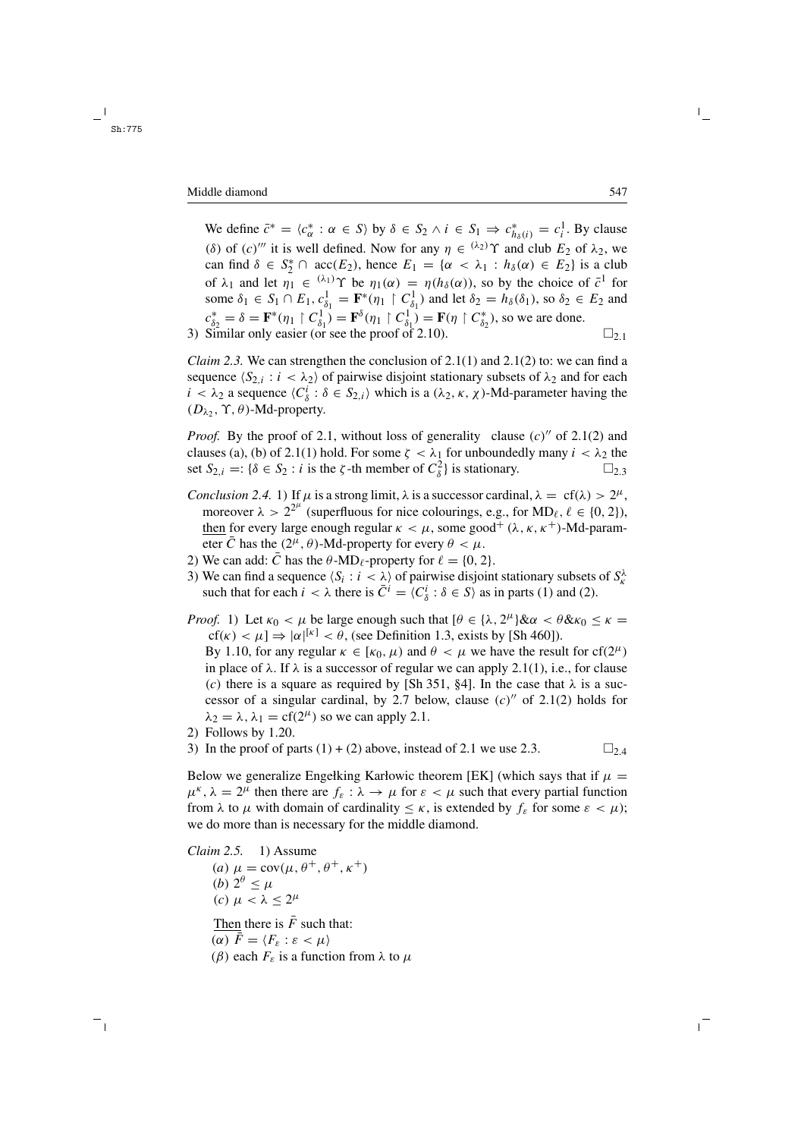We define  $\bar{c}^* = \langle c^*_{\alpha} : \alpha \in S \rangle$  by  $\delta \in S_2 \wedge i \in S_1 \Rightarrow c^*_{h_\delta(i)} = c^1_i$ . By clause (δ) of  $(c)$ <sup>*'''*</sup> it is well defined. Now for any  $\eta \in {(\lambda_2)}^{\gamma}$  and club  $E_2$  of  $\lambda_2$ , we can find  $\delta \in S_2^* \cap \text{acc}(E_2)$ , hence  $E_1 = {\alpha \langle \lambda_1 : h_{\delta}(\alpha) \in E_2}$  is a club of  $\lambda_1$  and let  $\eta_1 \in {}^{(\lambda_1)}\Upsilon$  be  $\eta_1(\alpha) = \eta(h_\delta(\alpha))$ , so by the choice of  $\bar{c}^1$  for some  $\delta_1 \in S_1 \cap E_1$ ,  $c_{\delta_1}^1 = \mathbf{F}^*(\eta_1 \upharpoonright C_{\delta_1}^1)$  and let  $\delta_2 = h_\delta(\delta_1)$ , so  $\delta_2 \in E_2$  and  $c_{\delta_2}^* = \delta = \mathbf{F}^*(\eta_1 \mid C_{\delta_1}^1) = \mathbf{F}^{\delta}(\eta_1 \mid C_{\delta_1}^1) = \mathbf{F}(\eta \mid C_{\delta_2}^*),$  so we are done. 3) Similar only easier (or see the proof of 2.10).  $\square_{2,1}$ 

*Claim 2.3.* We can strengthen the conclusion of  $2.1(1)$  and  $2.1(2)$  to: we can find a sequence  $\langle S_{2,i} : i \langle \lambda_2 \rangle$  of pairwise disjoint stationary subsets of  $\lambda_2$  and for each  $i < \lambda_2$  a sequence  $\langle C_{\delta}^i : \delta \in S_{2,i} \rangle$  which is a  $(\lambda_2, \kappa, \chi)$ -Md-parameter having the  $(D_{\lambda_2}, \Upsilon, \theta)$ -Md-property.

*Proof.* By the proof of 2.1, without loss of generality clause  $(c)$ <sup>"</sup> of 2.1(2) and clauses (a), (b) of 2.1(1) hold. For some  $\zeta < \lambda_1$  for unboundedly many  $i < \lambda_2$  the set  $S_{2,i} =: \{\delta \in S_2 : i \text{ is the } \zeta\text{-th member of } C_{\delta}^2\}$  is stationary.  $\square_{2,3}$ 

- *Conclusion 2.4.* 1) If  $\mu$  is a strong limit,  $\lambda$  is a successor cardinal,  $\lambda = cf(\lambda) > 2^{\mu}$ , moreover  $\lambda > 2^{2^{\mu}}$  (superfluous for nice colourings, e.g., for MD<sub>l</sub>,  $\ell \in \{0, 2\}$ ), then for every large enough regular  $\kappa < \mu$ , some good<sup>+</sup> ( $\lambda$ ,  $\kappa$ ,  $\kappa$ <sup>+</sup>)-Md-parameter  $\overline{C}$  has the  $(2^{\mu}, \theta)$ -Md-property for every  $\theta < \mu$ .
- 2) We can add:  $\bar{C}$  has the  $\theta$ -MD<sub>l</sub>-property for  $\ell = \{0, 2\}$ .
- 3) We can find a sequence  $\langle S_i : i \langle \rangle$  of pairwise disjoint stationary subsets of  $S_k^{\lambda}$ such that for each  $i < \lambda$  there is  $\overline{C}^i = \langle C_\delta^i : \delta \in S \rangle$  as in parts (1) and (2).
- *Proof.* 1) Let  $\kappa_0 < \mu$  be large enough such that  $[\theta \in {\lambda, 2^{\mu}} \& \alpha < \theta \& \kappa_0 \le \kappa =$  $cf(\kappa) < \mu$ ]  $\Rightarrow |\alpha|^{[\kappa]} < \theta$ , (see Definition 1.3, exists by [Sh 460]). By 1.10, for any regular  $\kappa \in [\kappa_0, \mu)$  and  $\theta < \mu$  we have the result for cf(2<sup> $\mu$ </sup>) in place of  $\lambda$ . If  $\lambda$  is a successor of regular we can apply 2.1(1), i.e., for clause (c) there is a square as required by [Sh 351, §4]. In the case that  $\lambda$  is a successor of a singular cardinal, by 2.7 below, clause  $(c)$ <sup>"</sup> of 2.1(2) holds for  $\lambda_2 = \lambda$ ,  $\lambda_1 = \text{cf}(2^{\mu})$  so we can apply 2.1.
- 2) Follows by 1.20.
- 3) In the proof of parts (1) + (2) above, instead of 2.1 we use 2.3.  $\square_{2,4}$

Below we generalize Engelking Karłowic theorem [EK] (which says that if  $\mu =$  $\mu^k$ ,  $\lambda = 2^{\mu}$  then there are  $f_{\varepsilon} : \lambda \to \mu$  for  $\varepsilon < \mu$  such that every partial function from  $\lambda$  to  $\mu$  with domain of cardinality  $\leq \kappa$ , is extended by  $f_{\varepsilon}$  for some  $\varepsilon < \mu$ ); we do more than is necessary for the middle diamond.

*Claim 2.5.* 1) Assume (a)  $\mu = \text{cov}(\mu, \theta^+, \theta^+, \kappa^+)$ (b)  $2^{\theta} < \mu$ (c)  $\mu < \lambda < 2^{\mu}$ Then there is  $\bar{F}$  such that: (α)  $\bar{F} = \langle F_{\varepsilon} : \varepsilon < \mu \rangle$ 

(β) each  $F<sub>ε</sub>$  is a function from  $\lambda$  to  $\mu$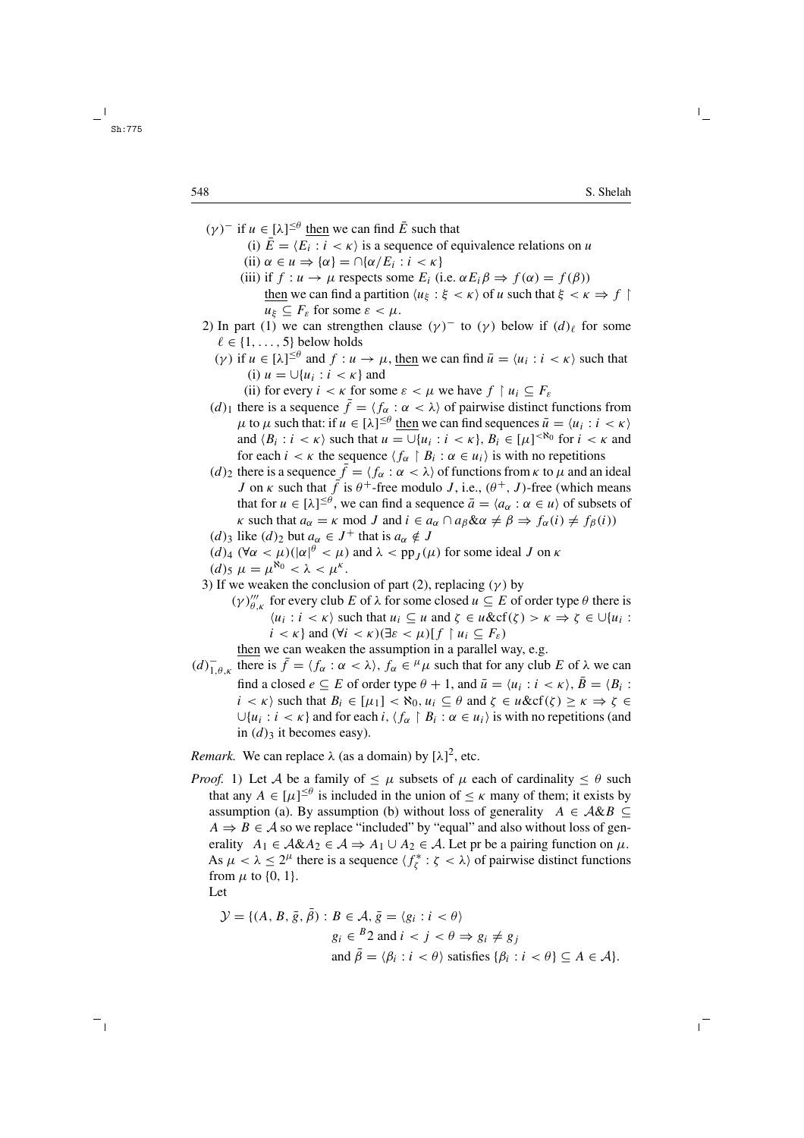- $(\gamma)^{-}$  if  $u \in [\lambda]^{\leq \theta}$  then we can find  $\overline{E}$  such that
	- (i)  $\bar{E} = \langle E_i : i \langle \kappa \rangle$  is a sequence of equivalence relations on u
	- (ii)  $\alpha \in u \Rightarrow {\alpha} = \bigcap {\alpha}/E_i : i < \kappa$
	- (iii) if  $f: u \to \mu$  respects some  $E_i$  (i.e.  $\alpha E_i \beta \Rightarrow f(\alpha) = f(\beta)$ ) then we can find a partition  $\langle u_{\xi} : \xi \langle \kappa \rangle$  of u such that  $\xi \langle \kappa \rangle$  $u_{\xi} \subseteq F_{\varepsilon}$  for some  $\varepsilon < \mu$ .
- 2) In part (1) we can strengthen clause  $(\gamma)^{-}$  to  $(\gamma)$  below if  $(d)_{\ell}$  for some  $\ell \in \{1, \ldots, 5\}$  below holds
	- (γ) if  $u \in [\lambda]^{\leq \theta}$  and  $f : u \to \mu$ , then we can find  $\bar{u} = \langle u_i : i < \kappa \rangle$  such that (i)  $u = \bigcup \{u_i : i < \kappa\}$  and
		- (ii) for every  $i < \kappa$  for some  $\varepsilon < \mu$  we have  $f \restriction u_i \subseteq F_{\varepsilon}$
	- (d)<sub>1</sub> there is a sequence  $\bar{f} = \langle f_{\alpha} : \alpha < \lambda \rangle$  of pairwise distinct functions from  $\mu$  to  $\mu$  such that: if  $u \in [\lambda]^{\leq \theta}$  then we can find sequences  $\bar{u} = \langle u_i : i < \kappa \rangle$ and  $\langle B_i : i < \kappa \rangle$  such that  $u = \bigcup \{u_i : i < \kappa\}$ ,  $B_i \in [\mu]^{< \aleph_0}$  for  $i < \kappa$  and for each  $i < \kappa$  the sequence  $\langle f_{\alpha} \upharpoonright B_i : \alpha \in u_i \rangle$  is with no repetitions
	- (d)<sub>2</sub> there is a sequence  $\bar{f} = \langle f_{\alpha} : \alpha < \lambda \rangle$  of functions from  $\kappa$  to  $\mu$  and an ideal J on  $\kappa$  such that  $\bar{f}$  is  $\theta^+$ -free modulo J, i.e.,  $(\theta^+, J)$ -free (which means that for  $u \in [\lambda]^{\leq \theta}$ , we can find a sequence  $\bar{a} = \langle a_{\alpha} : \alpha \in u \rangle$  of subsets of κ such that  $a_{\alpha} = \kappa \mod J$  and  $i \in a_{\alpha} \cap a_{\beta} \& \alpha \neq \beta \Rightarrow f_{\alpha}(i) \neq f_{\beta}(i)$
	- (d)<sub>3</sub> like (d)<sub>2</sub> but  $a_{\alpha} \in J^+$  that is  $a_{\alpha} \notin J$
	- $(d)$ <sub>4</sub>  $(\forall \alpha < \mu)(|\alpha|^{\theta} < \mu)$  and  $\lambda < pp_J(\mu)$  for some ideal J on  $\kappa$
	- $(d)$ <sub>5</sub>  $\mu = \mu^{\aleph_0} < \lambda < \mu^{\kappa}$ .
- 3) If we weaken the conclusion of part (2), replacing ( $\gamma$ ) by
	- $(\gamma)_{\theta,\kappa}'''$  for every club E of  $\lambda$  for some closed  $u \subseteq E$  of order type  $\theta$  there is  $\langle u_i : i < \kappa \rangle$  such that  $u_i \subseteq u$  and  $\zeta \in u \& \text{cf}(\zeta) > \kappa \Rightarrow \zeta \in \bigcup \{u_i : i \leq \kappa\}$  $i < \kappa$  and  $(\forall i < \kappa)(\exists \varepsilon < \mu)$   $\{f \mid u_i \subseteq F_{\varepsilon}\}\)$

then we can weaken the assumption in a parallel way, e.g.

 $(d)_{1,\theta,\kappa}^-$  there is  $\bar{f} = \langle f_\alpha : \alpha < \lambda \rangle$ ,  $f_\alpha \in {}^\mu\mu$  such that for any club E of  $\lambda$  we can find a closed  $e \subseteq E$  of order type  $\theta + 1$ , and  $\bar{u} = \langle u_i : i \rangle, \bar{B} = \langle B_i : E \rangle$  $i < \kappa$ ) such that  $B_i \in [\mu_1] < \aleph_0$ ,  $u_i \subseteq \theta$  and  $\zeta \in u \& c f(\zeta) \geq \kappa \Rightarrow \zeta \in$  $\bigcup \{u_i : i < \kappa\}$  and for each  $i, \langle f_\alpha \upharpoonright B_i : \alpha \in u_i \rangle$  is with no repetitions (and in  $(d)$ <sub>3</sub> it becomes easy).

*Remark.* We can replace  $\lambda$  (as a domain) by  $[\lambda]^2$ , etc.

*Proof.* 1) Let A be a family of  $\lt \mu$  subsets of  $\mu$  each of cardinality  $\lt \theta$  such that any  $A \in [\mu]^{\leq \theta}$  is included in the union of  $\leq \kappa$  many of them; it exists by assumption (a). By assumption (b) without loss of generality  $A \in \mathcal{A} \& B \subseteq$  $A \Rightarrow B \in \mathcal{A}$  so we replace "included" by "equal" and also without loss of generality  $A_1 \in A \& A_2 \in A \Rightarrow A_1 \cup A_2 \in A$ . Let pr be a pairing function on  $\mu$ . As  $\mu < \lambda \leq 2^{\mu}$  there is a sequence  $\langle f_{\zeta}^* : \zeta < \lambda \rangle$  of pairwise distinct functions from  $\mu$  to {0, 1}.

Let

$$
\mathcal{Y} = \{ (A, B, \bar{g}, \bar{\beta}) : B \in \mathcal{A}, \bar{g} = \langle g_i : i < \theta \rangle
$$
\n
$$
g_i \in {^B 2} \text{ and } i < j < \theta \Rightarrow g_i \neq g_j
$$
\n
$$
\text{and } \bar{\beta} = \langle \beta_i : i < \theta \rangle \text{ satisfies } \{ \beta_i : i < \theta \} \subseteq A \in \mathcal{A} \}.
$$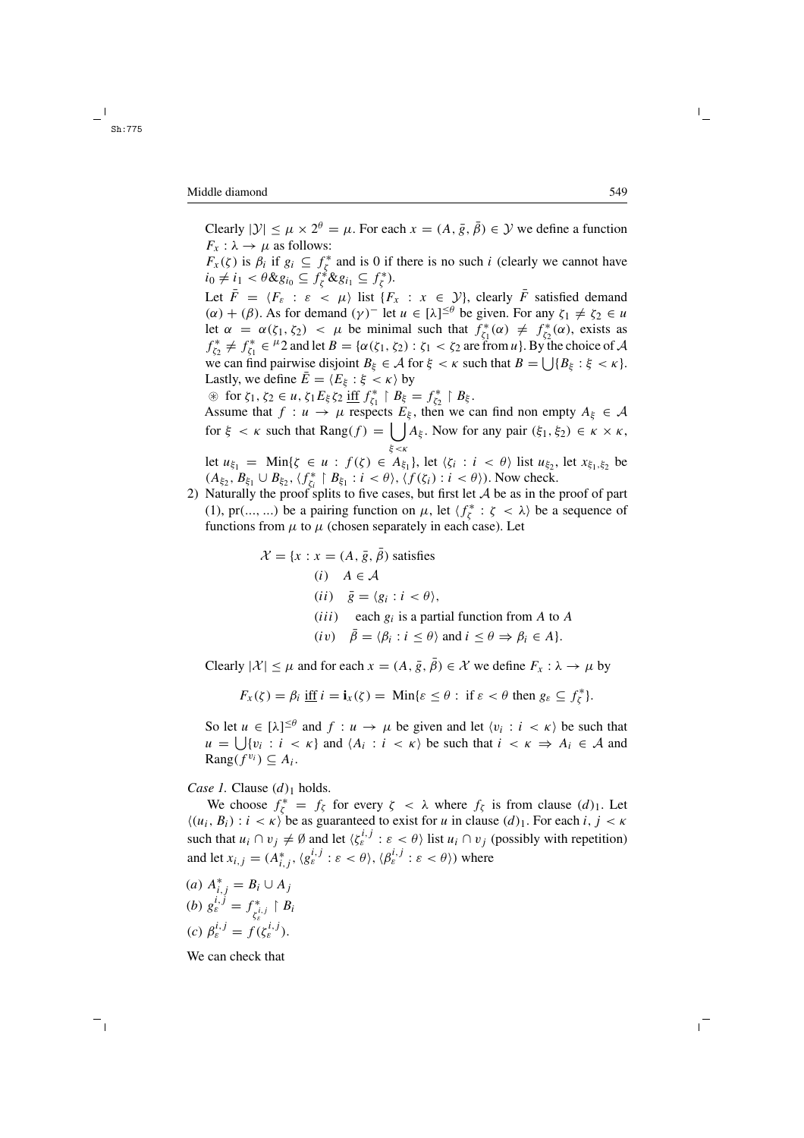Clearly  $|\mathcal{Y}| \le \mu \times 2^{\theta} = \mu$ . For each  $x = (A, \overline{g}, \overline{\theta}) \in \mathcal{Y}$  we define a function  $F_x: \lambda \to \mu$  as follows:

 $F_x(\zeta)$  is  $\beta_i$  if  $g_i \subseteq f_{\zeta}^*$  and is 0 if there is no such i (clearly we cannot have  $i_0 \neq i_1 < \theta \& g_{i_0} \subseteq f_{\zeta}^* \& g_{i_1} \subseteq f_{\zeta}^*$ ).

Let  $\bar{F} = \langle F_{\varepsilon} : \varepsilon \langle \mu \rangle$  list  $\{F_x : x \in \mathcal{Y}\}\)$ , clearly  $\bar{F}$  satisfied demand  $(\alpha) + (\beta)$ . As for demand  $(\gamma)^{-}$  let  $u \in [\lambda]^{\leq \theta}$  be given. For any  $\zeta_1 \neq \zeta_2 \in u$ let  $\alpha = \alpha(\zeta_1, \zeta_2) < \mu$  be minimal such that  $f_{\zeta_1}^*(\alpha) \neq f_{\zeta_2}^*(\alpha)$ , exists as  $f_{\zeta_2}^* \neq f_{\zeta_1}^* \in {}^{\mu}2$  and let  $B = {\alpha(\zeta_1, \zeta_2) : \zeta_1 < \zeta_2}$  are from  $u$ . By the choice of A we can find pairwise disjoint  $B_{\xi} \in \mathcal{A}$  for  $\xi < \kappa$  such that  $B = \bigcup \{B_{\xi} : \xi < \kappa\}.$ Lastly, we define  $E = \langle E_{\xi} : \xi < \kappa \rangle$  by

 $\circledast$  for  $\zeta_1, \zeta_2 \in u, \zeta_1 E_{\xi} \zeta_2$  iff  $f_{\zeta_1}^* \upharpoonright B_{\xi} = f_{\zeta_2}^* \upharpoonright B_{\xi}$ . Assume that  $f: u \to \mu$  respects  $E_{\xi}$ , then we can find non empty  $A_{\xi} \in \mathcal{A}$ for  $\xi < \kappa$  such that Rang $(f) = \bigcup A_{\xi}$ . Now for any pair  $(\xi_1, \xi_2) \in \kappa \times \kappa$ , ξ<κ let  $u_{\xi_1} = \text{Min}\{\zeta \in u : f(\zeta) \in A_{\xi_1}\}\,$ , let  $\langle \zeta_i : i \langle \theta \rangle \rangle$  list  $u_{\xi_2}$ , let  $x_{\xi_1, \xi_2}$  be

 $(A_{\xi_2}, B_{\xi_1} \cup B_{\xi_2}, \langle f_{\zeta_i}^* \mid B_{\xi_1} : i < \theta \rangle, \langle f(\zeta_i) : i < \theta \rangle)$ . Now check. 2) Naturally the proof splits to five cases, but first let  $A$  be as in the proof of part (1), pr(..., ...) be a pairing function on  $\mu$ , let  $\langle f_{\zeta}^* : \zeta \langle \lambda \rangle$  be a sequence of functions from  $\mu$  to  $\mu$  (chosen separately in each case). Let

$$
\mathcal{X} = \{x : x = (A, \bar{g}, \bar{\beta}) \text{ satisfies}
$$
\n(i)  $A \in \mathcal{A}$   
\n(ii)  $\bar{g} = \langle g_i : i \langle \theta \rangle$ ,  
\n(iii) each  $g_i$  is a partial function from A to A  
\n(iv)  $\bar{\beta} = \langle \beta_i : i \le \theta \rangle$  and  $i \le \theta \Rightarrow \beta_i \in A\}.$ 

Clearly  $|\mathcal{X}| \leq \mu$  and for each  $x = (A, \bar{g}, \bar{\beta}) \in \mathcal{X}$  we define  $F_x : \lambda \to \mu$  by

$$
F_x(\zeta) = \beta_i \underline{\text{ iff }} i = \mathbf{i}_x(\zeta) = \text{Min}\{\varepsilon \le \theta : \text{ if } \varepsilon < \theta \text{ then } g_{\varepsilon} \subseteq f_{\zeta}^*\}.
$$

So let  $u \in [\lambda]^{\leq \theta}$  and  $f : u \to \mu$  be given and let  $\langle v_i : i < \kappa \rangle$  be such that  $u = \bigcup \{v_i : i < \kappa\}$  and  $\langle A_i : i < \kappa \rangle$  be such that  $i < \kappa \Rightarrow A_i \in \mathcal{A}$  and  $\text{Rang}(f^{v_i}) \subseteq A_i$ .

*Case 1.* Clause  $(d)_1$  holds.

We choose  $f_{\zeta}^* = f_{\zeta}$  for every  $\zeta < \lambda$  where  $f_{\zeta}$  is from clause  $(d)_1$ . Let  $\langle (u_i, B_i) : i \langle \kappa \rangle$  be as guaranteed to exist for u in clause  $(d)_1$ . For each  $i, j \langle \kappa \rangle$ such that  $u_i \cap v_j \neq \emptyset$  and let  $\langle \zeta_{\varepsilon}^{i,j} : \varepsilon < \theta \rangle$  list  $u_i \cap v_j$  (possibly with repetition) and let  $x_{i,j} = (A_{i,j}^*, \langle g_{\varepsilon}^{i,j} : \varepsilon \langle \theta \rangle, \langle \beta_{\varepsilon}^{i,j} : \varepsilon \langle \theta \rangle)$  where

(*a*)  $A_{i,j}^* = B_i \cup A_j$ (b)  $g_{\varepsilon}^{i,j} = f_{\zeta_{\varepsilon}^{i,j}}^* \restriction B_i$ (c)  $\beta_{\varepsilon}^{i,j} = f(\zeta_{\varepsilon}^{i,j}).$ 

We can check that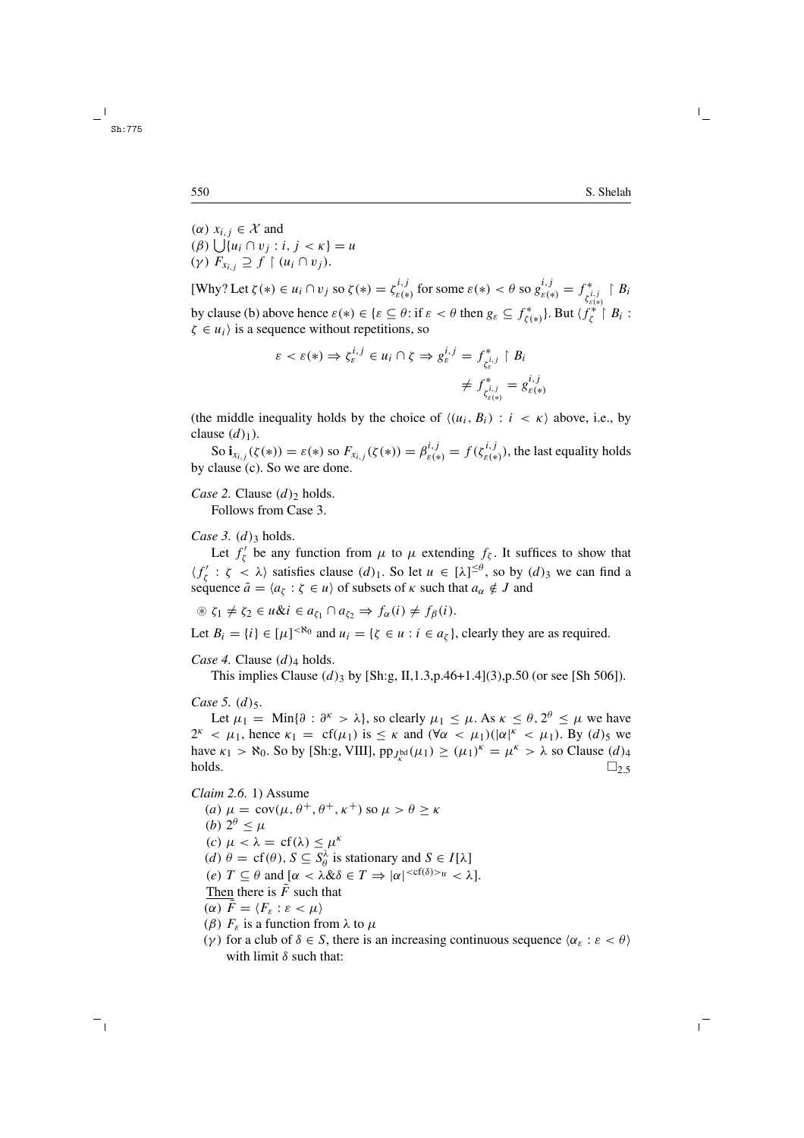(α)  $x_i$ , ∈ X and  $(\beta)$  |  $|\{u_i \cap v_j : i, j \leq \kappa\} = u$ (γ)  $F_{x_i} \supseteq f \upharpoonright (u_i \cap v_j)$ .

[Why? Let  $\zeta(*) \in u_i \cap v_j$  so  $\zeta(*) = \zeta_{\varepsilon(*)}^{i,j}$  for some  $\varepsilon(*) < \theta$  so  $g_{\varepsilon(*)}^{i,j} = f_{\zeta_{\varepsilon(*)}^{i,j}}^* \upharpoonright B_i$ by clause (b) above hence  $\varepsilon(*) \in \{\varepsilon \subseteq \theta : \text{if } \varepsilon < \theta \text{ then } g_{\varepsilon} \subseteq f_{\zeta(*)}^* \}$ . But  $\langle f_{\zeta}^{(*)} | B_i : g_{\zeta}^{(*)} \rangle$  $\zeta \in u_i$  is a sequence without repetitions, so

$$
\varepsilon < \varepsilon(*) \Rightarrow \zeta_{\varepsilon}^{i,j} \in u_i \cap \zeta \Rightarrow g_{\varepsilon}^{i,j} = f_{\zeta_{\varepsilon}^{i,j}}^* \upharpoonright B_i
$$
\n
$$
\neq f_{\zeta_{\varepsilon}^{i,j}}^* = g_{\varepsilon(*)}^{i,j}
$$

(the middle inequality holds by the choice of  $\langle (u_i, B_i) : i \langle \kappa \rangle$  above, i.e., by clause  $(d)_1$ ).

So  $\mathbf{i}_{x_{i,j}}(\zeta(\ast)) = \varepsilon(\ast)$  so  $F_{x_{i,j}}(\zeta(\ast)) = \beta_{\varepsilon(\ast)}^{i,j} = f(\zeta_{\varepsilon(\ast)}^{i,j}),$  the last equality holds by clause (c). So we are done.

*Case 2.* Clause  $(d)_2$  holds.

Follows from Case 3.

*Case 3.*  $(d)$ <sub>3</sub> holds.

Let  $f'_{\zeta}$  be any function from  $\mu$  to  $\mu$  extending  $f_{\zeta}$ . It suffices to show that  $\langle f'_{\zeta} : \zeta \langle \zeta \rangle$  satisfies clause  $(d)_1$ . So let  $u \in [\lambda]^{\leq \theta}$ , so by  $(d)_3$  we can find a sequence  $\bar{a} = \langle a_{\zeta} : \zeta \in u \rangle$  of subsets of  $\kappa$  such that  $a_{\alpha} \notin J$  and

 $\mathcal{L}_1 \neq \zeta_2 \in u \& i \in a_{\zeta_1} \cap a_{\zeta_2} \Rightarrow f_\alpha(i) \neq f_\beta(i).$ 

Let  $B_i = \{i\} \in [\mu]^{< \aleph_0}$  and  $u_i = \{\zeta \in u : i \in a_\zeta\}$ , clearly they are as required.

*Case 4.* Clause  $(d)$ <sub>4</sub> holds.

This implies Clause  $(d)$ <sub>3</sub> by [Sh:g, II,1.3,p.46+1.4](3),p.50 (or see [Sh 506]).

*Case* 5.  $(d)$ 5.

Let  $\mu_1 = \text{Min}\{\partial : \partial^k > \lambda\}$ , so clearly  $\mu_1 \leq \mu$ . As  $\kappa \leq \theta$ ,  $2^{\theta} \leq \mu$  we have  $2^k < \mu_1$ , hence  $\kappa_1 = cf(\mu_1)$  is  $\leq \kappa$  and  $(\forall \alpha < \mu_1)(|\alpha|^k < \mu_1)$ . By  $(d)_5$  we have  $\kappa_1 > \aleph_0$ . So by [Sh:g, VIII],  $pp_{J_k^{bd}}(\mu_1) \geq (\mu_1)^k = \mu^k > \lambda$  so Clause  $(d)_4$ holds.  $\square_{2.5}$ 

*Claim 2.6.* 1) Assume (a)  $\mu = \text{cov}(\mu, \theta^+, \theta^+, \kappa^+)$  so  $\mu > \theta \ge \kappa$ (b)  $2^{\theta} < \mu$ (c)  $\mu < \lambda = cf(\lambda) \leq \mu^k$ (d)  $\theta = \text{cf}(\theta), S \subseteq S_\theta^\lambda$  is stationary and  $S \in I[\lambda]$ (e)  $T \subseteq \theta$  and  $[\alpha < \lambda \& \delta \in T \Rightarrow |\alpha|^{< cf(\delta) > tr} < \lambda].$ Then there is  $\overline{F}$  such that (α)  $\bar{F} = \langle F_{\varepsilon} : \varepsilon < \mu \rangle$ ( $\beta$ )  $F<sub>s</sub>$  is a function from  $\lambda$  to  $\mu$ (γ) for a club of  $\delta \in S$ , there is an increasing continuous sequence  $\langle \alpha_{\varepsilon} : \varepsilon < \theta \rangle$ with limit  $\delta$  such that: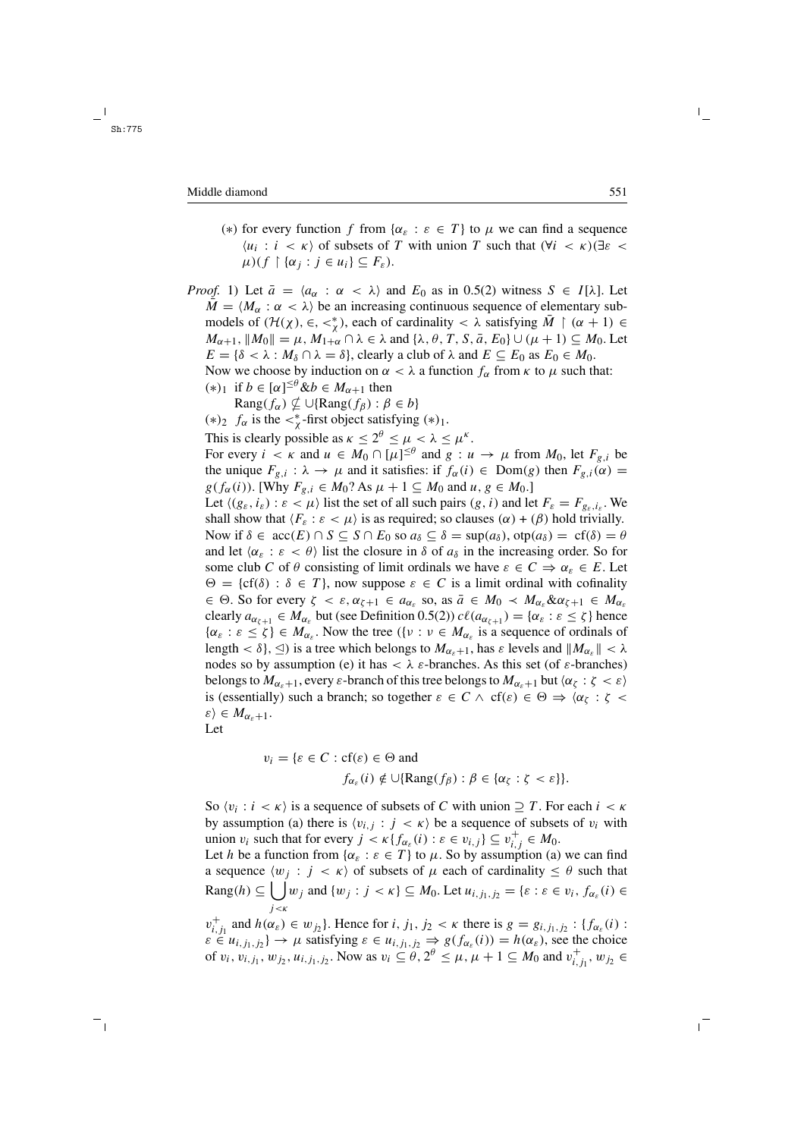(\*) for every function f from  $\{\alpha_{\varepsilon} : \varepsilon \in T\}$  to  $\mu$  we can find a sequence  $\langle u_i : i \langle \kappa \rangle$  of subsets of T with union T such that  $(\forall i \langle \kappa \rangle) \exists \varepsilon$  $\mu$ )(f  $\upharpoonright$  { $\alpha_j : j \in u_i$ }  $\subseteq F_{\varepsilon}$ ).

*Proof.* 1) Let  $\bar{a} = \langle a_{\alpha} : \alpha < \lambda \rangle$  and  $E_0$  as in 0.5(2) witness  $S \in I[\lambda]$ . Let  $M = \langle M_{\alpha} : \alpha < \lambda \rangle$  be an increasing continuous sequence of elementary submodels of  $(H(\chi), \in, \lt^*_{\chi})$ , each of cardinality  $\lt \lambda$  satisfying  $\overline{M} \restriction (\alpha + 1) \in$  $M_{\alpha+1}$ ,  $||M_0|| = \mu$ ,  $M_{1+\alpha} \cap \lambda \in \lambda$  and  $\{\lambda, \theta, T, S, \overline{a}, E_0\} \cup (\mu+1) \subseteq M_0$ . Let  $E = \{\delta < \lambda : M_\delta \cap \lambda = \delta\}$ , clearly a club of  $\lambda$  and  $E \subseteq E_0$  as  $E_0 \in M_0$ . Now we choose by induction on  $\alpha < \lambda$  a function  $f_{\alpha}$  from  $\kappa$  to  $\mu$  such that: (\*)<sub>1</sub> if  $b \in [\alpha]^{\leq \theta}$  &  $b \in M_{\alpha+1}$  then  $\text{Rang}(f_\alpha) \nsubseteq \cup \{\text{Rang}(f_\beta) : \beta \in b\}$ (\*)<sub>2</sub>  $f_\alpha$  is the <\* first object satisfying (\*)<sub>1</sub>. This is clearly possible as  $\kappa \le 2^{\theta} \le \mu < \lambda \le \mu^{\kappa}$ . For every  $i \leq \kappa$  and  $u \in M_0 \cap [\mu]^{\leq \theta}$  and  $g : u \to \mu$  from  $M_0$ , let  $F_{g,i}$  be the unique  $F_{g,i}$ :  $\lambda \to \mu$  and it satisfies: if  $f_{\alpha}(i) \in \text{Dom}(g)$  then  $F_{g,i}(\alpha) =$  $g(f_\alpha(i))$ . [Why  $F_{g,i} \in M_0$ ? As  $\mu + 1 \subseteq M_0$  and  $u, g \in M_0$ .] Let  $\langle (g_{\varepsilon}, i_{\varepsilon}) : \varepsilon \langle \mu \rangle$  list the set of all such pairs  $(g, i)$  and let  $F_{\varepsilon} = F_{g_{\varepsilon}, i_{\varepsilon}}$ . We shall show that  $\langle F_{\varepsilon} : \varepsilon < \mu \rangle$  is as required; so clauses  $(\alpha) + (\beta)$  hold trivially. Now if  $\delta \in acc(E) \cap S \subseteq S \cap E_0$  so  $a_{\delta} \subseteq \delta = sup(a_{\delta}), otp(a_{\delta}) = cf(\delta) = \theta$ and let  $\langle \alpha_{\varepsilon} : \varepsilon \langle \theta \rangle$  list the closure in  $\delta$  of  $a_{\delta}$  in the increasing order. So for some club C of  $\theta$  consisting of limit ordinals we have  $\varepsilon \in C \Rightarrow \alpha_{\varepsilon} \in E$ . Let  $\Theta = \{cf(\delta) : \delta \in T\}$ , now suppose  $\varepsilon \in C$  is a limit ordinal with cofinality  $\epsilon \in \Theta$ . So for every  $\zeta < \varepsilon$ ,  $\alpha_{\zeta+1} \in a_{\alpha_{\varepsilon}}$  so, as  $\bar{a} \in M_0 \prec M_{\alpha_{\varepsilon}} \& \alpha_{\zeta+1} \in M_{\alpha_{\varepsilon}}$ clearly  $a_{\alpha_{\xi+1}} \in M_{\alpha_{\xi}}$  but (see Definition 0.5(2))  $c\ell(a_{\alpha_{\xi+1}}) = {\alpha_{\xi} : \varepsilon \leq \zeta}$  hence  $\{\alpha_{\varepsilon} : \varepsilon \leq \zeta\} \in M_{\alpha_{\varepsilon}}$ . Now the tree  $(\{v : v \in M_{\alpha_{\varepsilon}} \text{ is a sequence of ordinals of } \zeta\})$ length  $< \delta$ ,  $\leq$ ) is a tree which belongs to  $M_{\alpha_{\kappa}+1}$ , has  $\varepsilon$  levels and  $||M_{\alpha_{\kappa}}|| < \lambda$ nodes so by assumption (e) it has  $\langle \lambda \varepsilon \rangle$ -branches. As this set (of  $\varepsilon$ -branches) belongs to  $M_{\alpha_{\varepsilon}+1}$ , every  $\varepsilon$ -branch of this tree belongs to  $M_{\alpha_{\varepsilon}+1}$  but  $\langle \alpha_{\zeta} : \zeta \langle \varepsilon \rangle$ is (essentially) such a branch; so together  $\varepsilon \in C \land cf(\varepsilon) \in \Theta \Rightarrow \langle \alpha_{\zeta} : \zeta \prec$  $\varepsilon \rangle \in M_{\alpha_{s}+1}.$ 

Let

$$
v_i = \{ \varepsilon \in C : cf(\varepsilon) \in \Theta \text{ and}
$$
  

$$
f_{\alpha_{\varepsilon}}(i) \notin \cup \{ \text{Rang}(f_{\beta}) : \beta \in \{ \alpha_{\zeta} : \zeta < \varepsilon \} \}.
$$

So  $\langle v_i : i \times \kappa \rangle$  is a sequence of subsets of C with union  $\supseteq T$ . For each  $i \leq \kappa$ by assumption (a) there is  $\langle v_{i,j} : j \langle k \rangle$  be a sequence of subsets of  $v_i$  with union  $v_i$  such that for every  $j < \kappa \{f_{\alpha_{\varepsilon}}(i) : \varepsilon \in v_{i,j} \} \subseteq v_{i,j}^+ \in M_0$ .

Let h be a function from  $\{\alpha_{\varepsilon} : \varepsilon \in T\}$  to  $\mu$ . So by assumption (a) we can find a sequence  $\langle w_j : j < \kappa \rangle$  of subsets of  $\mu$  each of cardinality  $\leq \theta$  such that  $\text{Rang}(h) \subseteq \bigcup w_j$  and  $\{w_j : j < \kappa\} \subseteq M_0$ . Let  $u_{i,j_1,j_2} = \{\varepsilon : \varepsilon \in v_i, f_{\alpha_{\varepsilon}}(i) \in$  $i < k$ 

 $v_{i,j_1}^+$  and  $h(\alpha_{\varepsilon}) \in w_{j_2}$ . Hence for  $i, j_1, j_2 < \kappa$  there is  $g = g_{i,j_1,j_2} : \{f_{\alpha_{\varepsilon}}(i) :$  $\varepsilon \in u_{i,j_1,j_2}$   $\to \mu$  satisfying  $\varepsilon \in u_{i,j_1,j_2} \Rightarrow g(f_{\alpha_{\varepsilon}}(i)) = h(\alpha_{\varepsilon})$ , see the choice of  $v_i$ ,  $v_{i,j_1}$ ,  $w_{j_2}$ ,  $u_{i,j_1,j_2}$ . Now as  $v_i \\\leq \theta$ ,  $2^{\theta} \\leq \mu$ ,  $\mu + 1 \\leq M_0$  and  $v_{i,j_1}^+$ ,  $w_{j_2} \\in$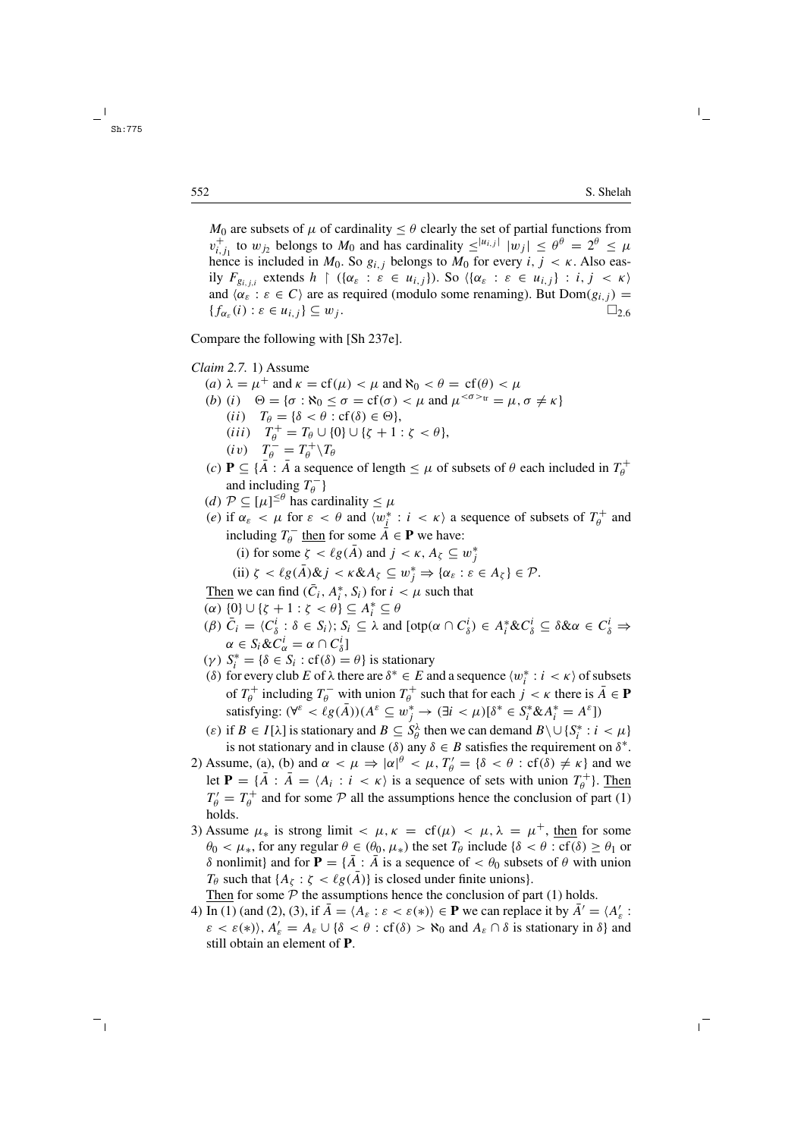$M_0$  are subsets of  $\mu$  of cardinality  $\leq \theta$  clearly the set of partial functions from  $v_{i,j_1}^+$  to  $w_{j_2}$  belongs to  $M_0$  and has cardinality  $\leq^{|u_{i,j}|} |w_j| \leq \theta^\theta = 2^\theta \leq \mu$ hence is included in  $M_0$ . So  $g_{i,j}$  belongs to  $M_0$  for every  $i, j < \kappa$ . Also easily  $F_{g_{i,i,i}}$  extends  $h \restriction ((\alpha_{\varepsilon} : \varepsilon \in u_{i,j})).$  So  $(\{\alpha_{\varepsilon} : \varepsilon \in u_{i,j}\} : i, j < \kappa)$ and  $\langle \alpha_{\varepsilon} : \varepsilon \in C \rangle$  are as required (modulo some renaming). But  $Dom(g_{i,j}) =$  ${f_{\alpha_{\varepsilon}}(i) : \varepsilon \in u_{i,j}} \subseteq w_j$ .  $\Box_{2.6}$ 

Compare the following with [Sh 237e].

*Claim 2.7.* 1) Assume

- (a)  $\lambda = \mu^+$  and  $\kappa = \text{cf}(\mu) < \mu$  and  $\aleph_0 < \theta = \text{cf}(\theta) < \mu$ (b) (i)  $\Theta = {\sigma : \aleph_0 \leq \sigma = cf(\sigma) < \mu \text{ and } \mu^{<\sigma>_{tr}} = \mu, \sigma \neq \kappa}$ (*ii*)  $T_{\theta} = {\delta < \theta : cf(\delta) \in \Theta},$ (*iii*)  $T_{\theta}^{+} = T_{\theta} \cup \{0\} \cup \{\zeta + 1 : \zeta < \theta\},\$  $(iv)$   $T_{\theta}^{-} = T_{\theta}^{+} \setminus T_{\theta}$
- (c) **P**  $\subseteq$  { $\overline{A}$  :  $\overline{A}$  a sequence of length  $\leq \mu$  of subsets of  $\theta$  each included in  $T_{\theta}^{+}$ and including  $T_{\theta}^{-}$  }
- (d)  $\mathcal{P} \subseteq [\mu]^{ \leq \theta}$  has cardinality  $\leq \mu$
- (e) if  $\alpha_{\varepsilon} < \mu$  for  $\varepsilon < \theta$  and  $\langle w_j^* : i < \kappa \rangle$  a sequence of subsets of  $T_\theta^+$  and including  $T_{\theta}^-$  then for some  $\overline{A} \in \mathbf{P}$  we have:

(i) for some 
$$
\zeta < \ell g(\bar{A})
$$
 and  $j < \kappa$ ,  $A_{\zeta} \subseteq w_j^*$ 

(ii) 
$$
\zeta < \ell g(\bar{A}) \& \ j < \kappa \& A_{\zeta} \subseteq w_j^* \Rightarrow {\alpha_{\varepsilon} : \varepsilon \in A_{\zeta}} \in \mathcal{P}.
$$

Then we can find  $(\bar{C}_i, A_i^*, S_i)$  for  $i < \mu$  such that

- (α)  ${0}$  ∪  ${\zeta + 1 : \zeta < \theta}$   $\subseteq A_i^*$   $\subseteq$  θ
- $(\beta) \bar{C}_i = \langle C_{\delta}^i : \delta \in S_i \rangle; S_i \subseteq \lambda \text{ and } [\text{otp}(\alpha \cap C_{\delta}^i) \in A_i^* \& C_{\delta}^i \subseteq \delta \& \alpha \in C_{\delta}^i \Rightarrow$  $\alpha \in S_i \& C_\alpha^i = \alpha \cap C_\delta^i$
- (γ)  $S_i^* = \{\delta \in S_i : cf(\delta) = \theta\}$  is stationary
- (δ) for every club E of  $\lambda$  there are  $\delta^* \in E$  and a sequence  $\langle w_i^* : i \leq \kappa \rangle$  of subsets of  $T_{\theta}^+$  including  $T_{\theta}^-$  with union  $T_{\theta}^+$  such that for each  $j < \kappa$  there is  $\bar{A} \in \mathbf{P}$ satisfying:  $(\forall^{\varepsilon} < \ell g(\bar{A})) (A^{\varepsilon} \subseteq w_j^* \to (\exists i < \mu) [\delta^* \in S_i^* \& A_i^* = A^{\varepsilon}]$
- (ε) if  $B \in I[\lambda]$  is stationary and  $B \subseteq S_\theta^\lambda$  then we can demand  $B \setminus \cup \{S_i^* : i < \mu\}$ is not stationary and in clause ( $\delta$ ) any  $\delta \in B$  satisfies the requirement on  $\delta^*$ .
- 2) Assume, (a), (b) and  $\alpha < \mu \Rightarrow |\alpha|^{\theta} < \mu$ ,  $T'_{\theta} = {\delta < \theta : cf(\delta) \neq \kappa}$  and we let **P** =  $\{\overline{A} : \overline{A} = \langle A_i : i \langle \overline{B} \rangle\}$  is a sequence of sets with union  $T_\theta^+$ . Then  $T'_{\theta} = T_{\theta}^{+}$  and for some  $P$  all the assumptions hence the conclusion of part (1) holds.
- 3) Assume  $\mu_*$  is strong limit  $\langle \mu, \kappa \rangle = \text{cf}(\mu) \langle \mu, \lambda \rangle = \mu^+$ , then for some  $\theta_0 < \mu_*$ , for any regular  $\theta \in (\theta_0, \mu_*)$  the set  $T_\theta$  include  $\{\delta < \theta : \text{cf}(\delta) \ge \theta_1 \text{ or } \theta_1\}$ δ nonlimit} and for **P** = {A : A is a sequence of  $\lt \theta_0$  subsets of  $\theta$  with union  $T_{\theta}$  such that  $\{A_{\zeta} : \zeta < \ell g(A)\}$  is closed under finite unions}.

Then for some  $P$  the assumptions hence the conclusion of part (1) holds.

4) In (1) (and (2), (3), if  $\overline{A} = \langle A_{\varepsilon} : \varepsilon < \varepsilon(*) \rangle \in \mathbf{P}$  we can replace it by  $\overline{A}' = \langle A'_{\varepsilon} : A'_{\varepsilon} \rangle$  $\varepsilon < \varepsilon(*)$ ,  $A'_\varepsilon = A_\varepsilon \cup \{\delta < \theta : \text{cf}(\delta) > \aleph_0 \text{ and } A_\varepsilon \cap \delta \text{ is stationary in } \delta \}$  and still obtain an element of **P**.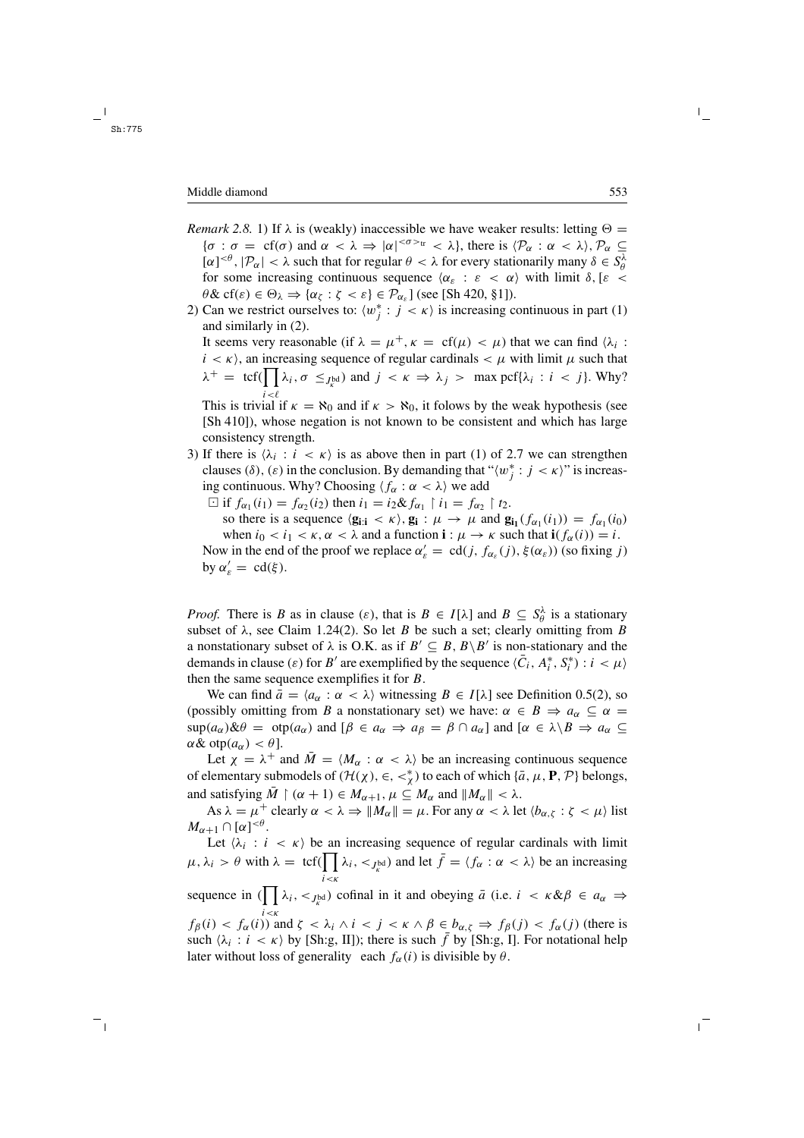- *Remark 2.8.* 1) If  $\lambda$  is (weakly) inaccessible we have weaker results: letting  $\Theta =$  ${\sigma : \sigma = \text{cf}(\sigma) \text{ and } \alpha < \lambda \Rightarrow |\alpha|^{<\sigma>_{tr}} < \lambda}, \text{ there is } \langle \mathcal{P}_{\alpha} : \alpha < \lambda \rangle, \mathcal{P}_{\alpha} \subseteq \mathbb{R}$  $[\alpha]^{<\theta}, |\mathcal{P}_\alpha| < \lambda$  such that for regular  $\theta < \lambda$  for every stationarily many  $\delta \in S_\theta^\lambda$ for some increasing continuous sequence  $\langle \alpha_{\varepsilon} : \varepsilon \langle \alpha \rangle$  with limit  $\delta, [\varepsilon \langle \alpha \rangle]$  $\theta \& \text{cf}(\varepsilon) \in \Theta_{\lambda} \Rightarrow \{\alpha_{\zeta} : \zeta < \varepsilon\} \in \mathcal{P}_{\alpha_{\varepsilon}} \text{ (see [Sh 420, §1]).}$
- 2) Can we restrict ourselves to:  $\langle w_j^* : j \rangle \langle \kappa \rangle$  is increasing continuous in part (1) and similarly in (2). It seems very reasonable (if  $\lambda = \mu^+, \kappa = \text{cf}(\mu) < \mu$ ) that we can find  $\lambda_i$ :

 $i < \kappa$ ), an increasing sequence of regular cardinals  $< \mu$  with limit  $\mu$  such that  $\lambda^+ = \text{tcf}(\prod \lambda_i, \sigma \leq_{J_K^{\text{bd}}})$  and  $j < \kappa \Rightarrow \lambda_j > \max \text{pcf} \{\lambda_i : i < j\}$ . Why?

This is trivial if  $\kappa = \aleph_0$  and if  $\kappa > \aleph_0$ , it folows by the weak hypothesis (see [Sh 410]), whose negation is not known to be consistent and which has large consistency strength.

- 3) If there is  $\langle \lambda_i : i \langle \kappa \rangle$  is as above then in part (1) of 2.7 we can strengthen clauses ( $\delta$ ),  $(\varepsilon)$  in the conclusion. By demanding that " $\langle w_j^* : j < \kappa \rangle$ " is increasing continuous. Why? Choosing  $\langle f_{\alpha} : \alpha < \lambda \rangle$  we add
	- $\Box$  if  $f_{\alpha_1}(i_1) = f_{\alpha_2}(i_2)$  then  $i_1 = i_2 \& f_{\alpha_1} \upharpoonright i_1 = f_{\alpha_2} \upharpoonright t_2$ .

so there is a sequence  $\langle \mathbf{g}_{i:i} \rangle \langle \mathbf{g}_i : \mu \rangle \rightarrow \mu$  and  $\mathbf{g}_{i_1}(f_{\alpha_1}(i_1)) = f_{\alpha_1}(i_0)$ when  $i_0 < i_1 < \kappa$ ,  $\alpha < \lambda$  and a function **i** :  $\mu \to \kappa$  such that **i**( $f_\alpha(i)$ ) = *i*. Now in the end of the proof we replace  $\alpha'_{\varepsilon} = \text{cd}(j, f_{\alpha_{\varepsilon}}(j), \xi(\alpha_{\varepsilon}))$  (so fixing j) by  $\alpha'_{\varepsilon} = \text{cd}(\xi)$ .

*Proof.* There is B as in clause ( $\varepsilon$ ), that is  $B \in I[\lambda]$  and  $B \subseteq S_\theta^\lambda$  is a stationary subset of  $\lambda$ , see Claim 1.24(2). So let B be such a set; clearly omitting from B a nonstationary subset of  $\lambda$  is O.K. as if  $B' \subseteq B$ ,  $B \setminus B'$  is non-stationary and the demands in clause  $(\varepsilon)$  for B' are exemplified by the sequence  $\langle \bar{C}_i, A_i^*, S_i^* \rangle : i < \mu \rangle$ then the same sequence exemplifies it for  $B$ .

We can find  $\bar{a} = \langle a_{\alpha} : \alpha < \lambda \rangle$  witnessing  $B \in I[\lambda]$  see Definition 0.5(2), so (possibly omitting from B a nonstationary set) we have:  $\alpha \in B \Rightarrow a_{\alpha} \subseteq \alpha =$  $\sup(a_{\alpha})\&\theta = \sup(a_{\alpha})$  and  $[\beta \in a_{\alpha} \Rightarrow a_{\beta} = \beta \cap a_{\alpha}]$  and  $[\alpha \in \lambda \setminus B \Rightarrow a_{\alpha} \subseteq$  $\alpha \& \text{otp}(a_{\alpha}) < \theta$ ].

Let  $\chi = \lambda^+$  and  $M = \langle M_\alpha : \alpha < \lambda \rangle$  be an increasing continuous sequence of elementary submodels of  $(\mathcal{H}(\chi), \in, \lt^*_\chi)$  to each of which  $\{\bar{a}, \mu, \mathbf{P}, \mathcal{P}\}$  belongs, and satisfying  $\overline{M} \restriction (\alpha + 1) \in M_{\alpha+1}, \mu \subseteq M_\alpha$  and  $||M_\alpha|| < \lambda$ .

As  $\lambda = \mu^+$  clearly  $\alpha < \lambda \Rightarrow ||M_\alpha|| = \mu$ . For any  $\alpha < \lambda$  let  $\langle b_{\alpha,\zeta} : \zeta < \mu \rangle$  list  $M_{\alpha+1} \cap [\alpha]^{<\theta}.$ 

Let  $\langle \lambda_i : i \langle \kappa \rangle$  be an increasing sequence of regular cardinals with limit  $\mu, \lambda_i > \theta$  with  $\lambda = \text{tcf}(\prod_{i} \lambda_i, \langle J_{k} u_i \rangle)$  and let  $\bar{f} = \langle f_{\alpha} : \alpha \langle \lambda \rangle$  be an increasing  $i<\kappa$ 

sequence in  $(\prod \lambda_i, \langle J_k^{\text{bd}} \rangle)$  cofinal in it and obeying  $\bar{a}$  (i.e.  $i \langle k \& \beta \rangle \in a_{\alpha} \Rightarrow$ 

 $f_{\beta}(i) < f_{\alpha}(i)$  and  $\zeta < \lambda_i \wedge i < j < \kappa \wedge \beta \in b_{\alpha,\zeta} \Rightarrow f_{\beta}(j) < f_{\alpha}(j)$  (there is such  $\{\lambda_i : i \leq \kappa\}$  by [Sh:g, II]); there is such  $\bar{f}$  by [Sh:g, I]. For notational help later without loss of generality each  $f_{\alpha}(i)$  is divisible by  $\theta$ .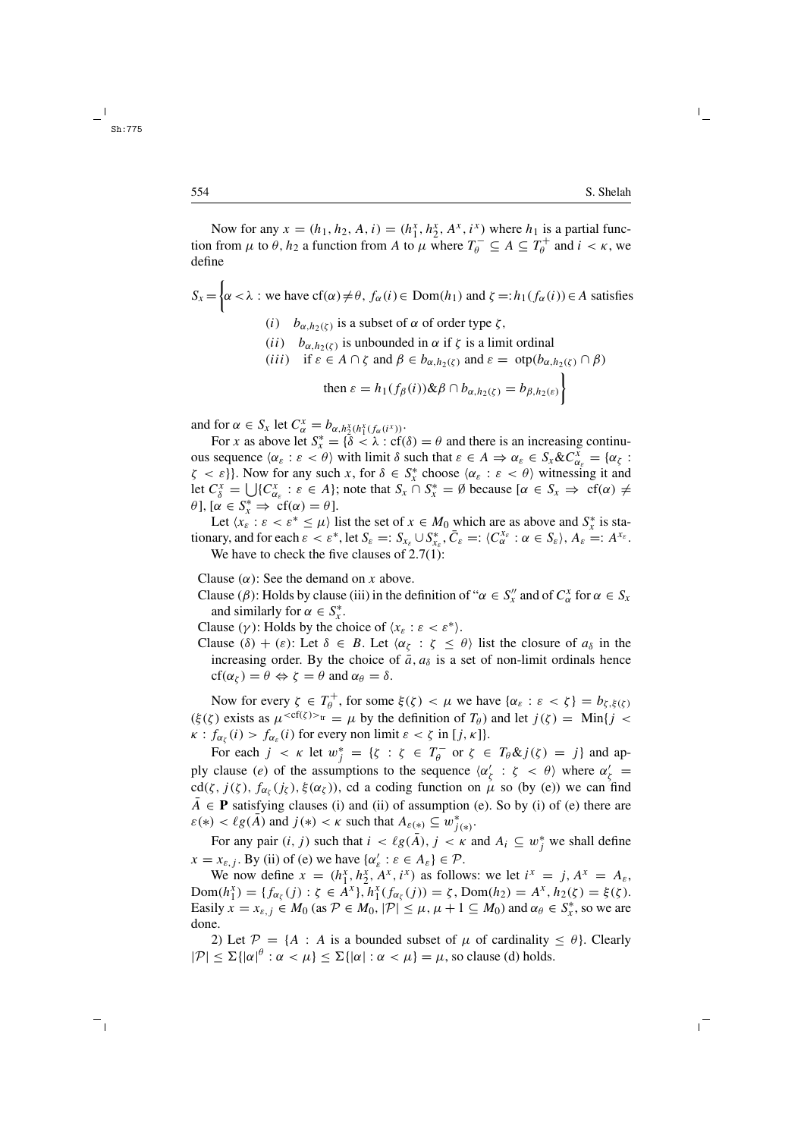Now for any  $x = (h_1, h_2, A, i) = (h_1^x, h_2^x, A^x, i^x)$  where  $h_1$  is a partial function from  $\mu$  to  $\theta$ ,  $h_2$  a function from A to  $\mu$  where  $T_{\theta}^{-} \subseteq A \subseteq T_{\theta}^{+}$  and  $i < \kappa$ , we define

$$
S_x = \begin{cases} \alpha < \lambda : \text{ we have } cf(\alpha) \neq \theta, \ f_\alpha(i) \in \text{Dom}(h_1) \text{ and } \zeta =: h_1(f_\alpha(i)) \in A \text{ satisfies} \\ (i) \quad b_{\alpha, h_2(\zeta)} \text{ is a subset of } \alpha \text{ of order type } \zeta, \end{cases}
$$

(*ii*) 
$$
b_{\alpha, h_2(\zeta)}
$$
 is unbounded in  $\alpha$  if  $\zeta$  is a limit ordinal  
(*iii*) if  $\epsilon \in A \cap \zeta$  and  $\beta \in b_{\alpha, h_1(\zeta)}$  and  $\epsilon = \text{atn}(b_{\alpha, h_1(\zeta)})$ 

$$
(iii) \quad \text{if } \varepsilon \in A \cap \zeta \text{ and } p \in v_{\alpha, h_2(\zeta)} \text{ and } \varepsilon = \text{otp}(v_{\alpha, h_2(\zeta)} \cap p)
$$

then 
$$
\varepsilon = h_1(f_\beta(i)) \& \beta \cap b_{\alpha, h_2(\zeta)} = b_{\beta, h_2(\varepsilon)} \}
$$

and for  $\alpha \in S_x$  let  $C^x_\alpha = b_{\alpha, h^x_2(h^x_1(f_\alpha(i^x)))}$ .

For x as above let  $S_x^* = \{ \delta < \lambda : cf(\delta) = \theta \text{ and there is an increasing continuum} \}$ ous sequence  $\langle \alpha_{\varepsilon} : \varepsilon < \theta \rangle$  with limit δ such that  $\varepsilon \in A \Rightarrow \alpha_{\varepsilon} \in S_x & C_{\alpha_{\varepsilon}}^x = \{ \alpha_{\zeta} :$  $\zeta < \varepsilon$ }. Now for any such x, for  $\delta \in S_x^*$  choose  $\langle \alpha_{\varepsilon} : \varepsilon < \theta \rangle$  witnessing it and let  $C_{\delta}^{x} = \bigcup \{C_{\alpha_{\varepsilon}}^{x} : \varepsilon \in A\}$ ; note that  $S_{x} \cap S_{x}^{*} = \emptyset$  because  $[\alpha \in S_{x} \Rightarrow cf(\alpha) \neq 0]$  $\theta$ ], [ $\alpha \in S_x^* \Rightarrow cf(\alpha) = \theta$ ].

Let  $\langle x_{\varepsilon} : \varepsilon < \varepsilon^* \le \mu \rangle$  list the set of  $x \in M_0$  which are as above and  $S_x^*$  is stationary, and for each  $\varepsilon < \varepsilon^*$ , let  $S_{\varepsilon} =: S_{x_{\varepsilon}} \cup S_{x_{\varepsilon}}^*$ ,  $\overline{C}_{\varepsilon} =: \langle C_{\alpha}^{x_{\varepsilon}} : \alpha \in S_{\varepsilon} \rangle$ ,  $A_{\varepsilon} =: A^{x_{\varepsilon}}$ . We have to check the five clauses of 2.7(1):

Clause  $(\alpha)$ : See the demand on x above.

- Clause ( $\beta$ ): Holds by clause (iii) in the definition of " $\alpha \in S''_x$  and of  $C^x_\alpha$  for  $\alpha \in S_x$ and similarly for  $\alpha \in S^*_x$ .
- Clause (γ): Holds by the choice of  $(x_{\varepsilon}: \varepsilon < \varepsilon^*)$ .
- Clause  $(\delta) + (\varepsilon)$ : Let  $\delta \in B$ . Let  $\langle \alpha_{\zeta} : \zeta \leq \theta \rangle$  list the closure of  $a_{\delta}$  in the increasing order. By the choice of  $\bar{a}$ ,  $a_{\delta}$  is a set of non-limit ordinals hence  $cf(\alpha_{\zeta}) = \theta \Leftrightarrow \zeta = \theta$  and  $\alpha_{\theta} = \delta$ .

Now for every  $\zeta \in T_{\theta}^+$ , for some  $\xi(\zeta) < \mu$  we have  $\{\alpha_{\varepsilon} : \varepsilon < \zeta\} = b_{\zeta, \xi(\zeta)}$  $(\xi(\zeta))$  exists as  $\mu^{_{tr}} = \mu$  by the definition of  $T_{\theta}$ ) and let  $j(\zeta) = \text{Min}\{j < \theta\}$  $\kappa$  :  $f_{\alpha_{\xi}}(i) > f_{\alpha_{\xi}}(i)$  for every non limit  $\varepsilon < \zeta$  in [j,  $\kappa$ ]}.

For each  $j \lt k$  let  $w_j^* = \{ \zeta : \zeta \in T_\theta \text{ or } \zeta \in T_\theta \& \ j(\zeta) = j \}$  and apply clause (e) of the assumptions to the sequence  $\langle \alpha'_\zeta : \zeta \langle \theta \rangle$  where  $\alpha'_\zeta =$ cd( $\zeta$ ,  $j(\zeta)$ ,  $f_{\alpha_{\zeta}}(j_{\zeta})$ ,  $\xi(\alpha_{\zeta})$ ), cd a coding function on  $\mu$  so (by (e)) we can find  $\overline{A} \in \mathbf{P}$  satisfying clauses (i) and (ii) of assumption (e). So by (i) of (e) there are  $\varepsilon(*) < \ell g(\overline{A})$  and  $j(*) < \kappa$  such that  $A_{\varepsilon(*)} \subseteq w_{j(*)}^*$ .

For any pair  $(i, j)$  such that  $i < \ell g(\overline{A})$ ,  $j < \kappa$  and  $A_i \subseteq w_j^*$  we shall define  $x = x_{\varepsilon, j}$ . By (ii) of (e) we have  $\{\alpha_{\varepsilon}' : \varepsilon \in A_{\varepsilon}\}\in \mathcal{P}$ .

We now define  $x = (h_1^x, h_2^x, A^x, i^x)$  as follows: we let  $i^x = j, A^x = A_\varepsilon$ ,  $\text{Dom}(h_1^x) = \{f_{\alpha_\zeta}(j) : \zeta \in A^x\}, h_1^x(f_{\alpha_\zeta}(j)) = \zeta, \text{Dom}(h_2) = A^x, h_2(\zeta) = \xi(\zeta).$ Easily  $x = x_{\varepsilon,j} \in M_0$  (as  $\mathcal{P} \in M_0$ ,  $|\mathcal{P}| \leq \mu, \mu + 1 \subseteq M_0$ ) and  $\alpha_{\theta} \in S_x^*$ , so we are done.

2) Let  $\mathcal{P} = \{A : A \text{ is a bounded subset of } \mu \text{ of cardinality } \leq \theta\}.$  Clearly  $|\mathcal{P}| \leq \Sigma \{ |\alpha|^{\theta} : \alpha < \mu \} \leq \Sigma \{ |\alpha| : \alpha < \mu \} = \mu$ , so clause (d) holds.

Sh:775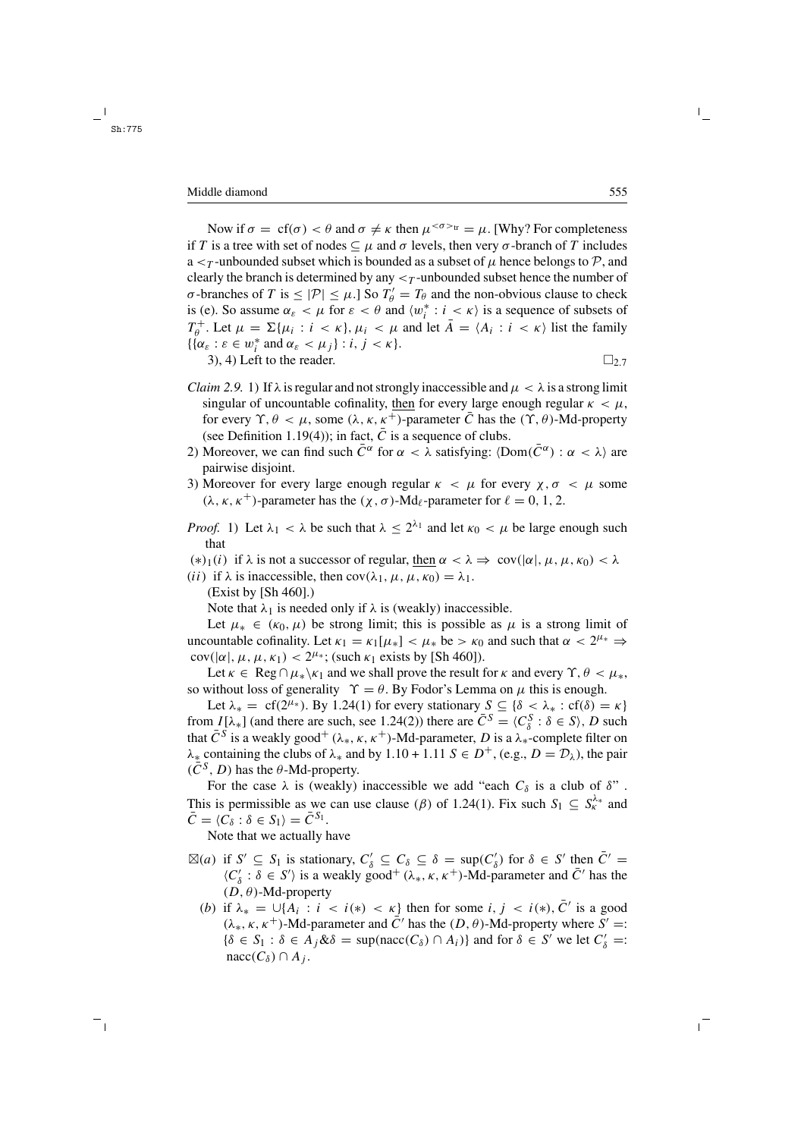#### Middle diamond 555

Now if  $\sigma = cf(\sigma) < \theta$  and  $\sigma \neq \kappa$  then  $\mu^{<\sigma>tr} = \mu$ . [Why? For completeness if T is a tree with set of nodes  $\subseteq \mu$  and  $\sigma$  levels, then very  $\sigma$ -branch of T includes a  $\lt$  *r*-unbounded subset which is bounded as a subset of  $\mu$  hence belongs to  $\mathcal{P}$ , and clearly the branch is determined by any  $\lt_T$ -unbounded subset hence the number of σ-branches of T is  $\leq |\mathcal{P}| \leq \mu$ .] So  $T'_\theta = T_\theta$  and the non-obvious clause to check is (e). So assume  $\alpha_{\varepsilon} < \mu$  for  $\varepsilon < \theta$  and  $\langle w_i^* : i \leq \kappa \rangle$  is a sequence of subsets of  $T_{\theta}^+$ . Let  $\mu = \Sigma{\mu_i : i < \kappa}, \mu_i < \mu$  and let  $\overline{A} = \langle A_i : i < \kappa \rangle$  list the family  $\{ {\alpha_{\varepsilon} : \varepsilon \in w_i^* \text{ and } \alpha_{\varepsilon} < \mu_j } : i, j < \kappa }$ . 3), 4) Left to the reader.  $\Box$  2.7

- *Claim 2.9.* 1) If  $\lambda$  is regular and not strongly inaccessible and  $\mu < \lambda$  is a strong limit singular of uncountable cofinality, then for every large enough regular  $\kappa < \mu$ , for every  $\Upsilon$ ,  $\theta < \mu$ , some  $(\lambda, \kappa, \kappa^+)$ -parameter  $\overline{C}$  has the  $(\Upsilon, \theta)$ -Md-property (see Definition 1.19(4)); in fact,  $\overline{C}$  is a sequence of clubs.
- 2) Moreover, we can find such  $\bar{C}^{\alpha}$  for  $\alpha < \lambda$  satisfying:  $\langle Dom(\bar{C}^{\alpha}) : \alpha < \lambda \rangle$  are pairwise disjoint.
- 3) Moreover for every large enough regular  $\kappa < \mu$  for every  $\chi, \sigma < \mu$  some  $(\lambda, \kappa, \kappa^+)$ -parameter has the  $(\chi, \sigma)$ -Md<sub>l</sub>-parameter for  $\ell = 0, 1, 2$ .
- *Proof.* 1) Let  $\lambda_1 < \lambda$  be such that  $\lambda \leq 2^{\lambda_1}$  and let  $\kappa_0 < \mu$  be large enough such that
- (\*)<sub>1</sub>(i) if  $\lambda$  is not a successor of regular, then  $\alpha < \lambda \Rightarrow cov(|\alpha|, \mu, \mu, \kappa_0) < \lambda$
- (*ii*) if  $\lambda$  is inaccessible, then cov( $\lambda_1, \mu, \mu, \kappa_0$ ) =  $\lambda_1$ .
	- (Exist by [Sh 460].)

Note that  $\lambda_1$  is needed only if  $\lambda$  is (weakly) inaccessible.

Let  $\mu_* \in (\kappa_0, \mu)$  be strong limit; this is possible as  $\mu$  is a strong limit of uncountable cofinality. Let  $\kappa_1 = \kappa_1[\mu_*] < \mu_*$  be  $> \kappa_0$  and such that  $\alpha < 2^{\mu_*} \Rightarrow$ cov( $|\alpha|, \mu, \mu, \kappa_1$ ) <  $2^{\mu_*}$ ; (such  $\kappa_1$  exists by [Sh 460]).

Let  $\kappa \in \text{Reg} \cap \mu_* \backslash \kappa_1$  and we shall prove the result for  $\kappa$  and every  $\Upsilon$ ,  $\theta < \mu_*$ , so without loss of generality  $\Upsilon = \theta$ . By Fodor's Lemma on  $\mu$  this is enough.

Let  $\lambda_* = cf(2^{\mu_*})$ . By 1.24(1) for every stationary  $S \subseteq {\delta < \lambda_* : cf(\delta) = \kappa}$ from  $I[\lambda_*]$  (and there are such, see 1.24(2)) there are  $\overline{C}^S = \langle C_\delta^S : \delta \in S \rangle$ , D such that  $\bar{C}^S$  is a weakly good<sup>+</sup> ( $\lambda_*, \kappa, \kappa^+$ )-Md-parameter, D is a  $\lambda_*$ -complete filter on  $\lambda_*$  containing the clubs of  $\lambda_*$  and by 1.10 + 1.11  $S \in D^+$ , (e.g.,  $D = \mathcal{D}_\lambda$ ), the pair  $(\overline{C}^{S}, D)$  has the  $\theta$ -Md-property.

For the case  $\lambda$  is (weakly) inaccessible we add "each  $C_{\delta}$  is a club of  $\delta$ ". This is permissible as we can use clause ( $\beta$ ) of 1.24(1). Fix such  $S_1 \subseteq S_{\kappa}^{\lambda_*}$  and  $\bar{C} = \langle C_{\delta} : \delta \in S_1 \rangle = \bar{C}^{S_1}.$ 

Note that we actually have

- $\boxtimes(a)$  if  $S' \subseteq S_1$  is stationary,  $C'_\delta \subseteq C_\delta \subseteq \delta = \sup(C'_\delta)$  for  $\delta \in S'$  then  $\overline{C}' =$  $\langle C'_\delta : \delta \in S' \rangle$  is a weakly good<sup>+</sup> ( $\lambda_*, \kappa, \kappa^+$ )-Md-parameter and  $\bar{C}'$  has the  $(D, \theta)$ -Md-property
	- (b) if  $\lambda_* = \bigcup \{A_i : i < i(*) < \kappa\}$  then for some  $i, j < i(*)$ ,  $C'$  is a good  $(\lambda_*, \kappa, \kappa^+)$ -Md-parameter and  $\overline{C}'$  has the  $(D, \theta)$ -Md-property where  $S' =$ :  $\{\delta \in S_1 : \delta \in A_j \& \delta = \text{sup}(\text{nacc}(C_\delta) \cap A_i)\}\$ and for  $\delta \in S'$  we let  $C'_\delta = S'$  $nacc(C_{\delta}) \cap A_{i}$ .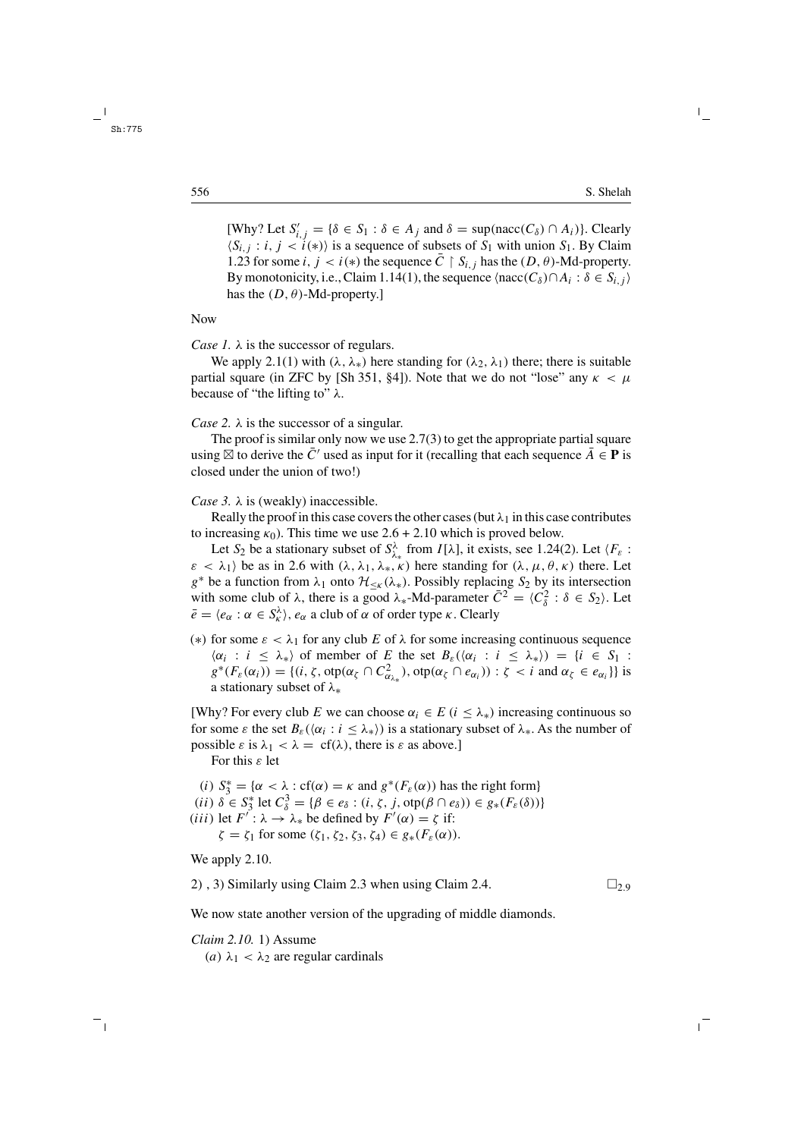[Why? Let  $S'_{i,j} = \{\delta \in S_1 : \delta \in A_j \text{ and } \delta = \text{sup}(\text{nacc}(C_\delta) \cap A_i)\}.$  Clearly  $\langle S_{i,j} : i, j \rangle \langle i(\ast) \rangle$  is a sequence of subsets of  $S_1$  with union  $S_1$ . By Claim 1.23 for some i,  $j < i(*)$  the sequence  $\overline{C} \restriction S_{i,j}$  has the  $(D, \theta)$ -Md-property. By monotonicity, i.e., Claim 1.14(1), the sequence  $\langle nacc(C_{\delta}) \cap A_i : \delta \in S_{i,j} \rangle$ has the  $(D, \theta)$ -Md-property.]

Now

*Case 1.* λ is the successor of regulars.

We apply 2.1(1) with  $(\lambda, \lambda_*)$  here standing for  $(\lambda_2, \lambda_1)$  there; there is suitable partial square (in ZFC by [Sh 351, §4]). Note that we do not "lose" any  $\kappa < \mu$ because of "the lifting to"  $\lambda$ .

*Case 2.* λ is the successor of a singular.

The proof is similar only now we use 2.7(3) to get the appropriate partial square using  $\boxtimes$  to derive the C<sup> $\prime$ </sup> used as input for it (recalling that each sequence A  $\in$  **P** is closed under the union of two!)

*Case 3.*  $\lambda$  is (weakly) inaccessible.

Really the proof in this case covers the other cases (but  $\lambda_1$  in this case contributes to increasing  $\kappa_0$ ). This time we use 2.6 + 2.10 which is proved below.

Let S<sub>2</sub> be a stationary subset of  $S^{\lambda}_{\lambda_{*}}$  from  $I[\lambda]$ , it exists, see 1.24(2). Let  $\langle F_{\varepsilon}$ :  $\varepsilon < \lambda_1$ ) be as in 2.6 with  $(\lambda, \lambda_1, \lambda_*, \kappa)$  here standing for  $(\lambda, \mu, \theta, \kappa)$  there. Let  $g^*$  be a function from  $\lambda_1$  onto  $\mathcal{H}_{\leq \kappa}(\lambda_*)$ . Possibly replacing  $S_2$  by its intersection with some club of  $\lambda$ , there is a good  $\lambda_*$ -Md-parameter  $\overline{C}^2 = \langle C_8^2 : \delta \in S_2 \rangle$ . Let  $\bar{e} = \langle e_{\alpha} : \alpha \in S_{\kappa}^{\lambda} \rangle, e_{\alpha}$  a club of  $\alpha$  of order type  $\kappa$ . Clearly

(\*) for some  $\varepsilon < \lambda_1$  for any club E of  $\lambda$  for some increasing continuous sequence  $\langle \alpha_i : i \leq \lambda_* \rangle$  of member of E the set  $B_\varepsilon(\langle \alpha_i : i \leq \lambda_* \rangle) = \{i \in S_1 :$  $g^*(F_\varepsilon(\alpha_i)) = \{ (i, \zeta, \text{otp}(\alpha_{\zeta} \cap C_{\alpha_{\lambda_*}}^2), \text{otp}(\alpha_{\zeta} \cap e_{\alpha_i})) : \zeta < i \text{ and } \alpha_{\zeta} \in e_{\alpha_i} \} \}$  is a stationary subset of λ∗

[Why? For every club E we can choose  $\alpha_i \in E$  ( $i \leq \lambda_{*}$ ) increasing continuous so for some  $\varepsilon$  the set  $B_{\varepsilon}(\langle \alpha_i : i \leq \lambda_* \rangle)$  is a stationary subset of  $\lambda_*$ . As the number of possible  $\varepsilon$  is  $\lambda_1 < \lambda = \text{cf}(\lambda)$ , there is  $\varepsilon$  as above.

For this  $\varepsilon$  let

(i)  $S_3^* = {\alpha < \lambda : cf(\alpha) = \kappa \text{ and } g^*(F_{\varepsilon}(\alpha)) \text{ has the right form}}$ 

(*ii*)  $\delta \in S_3^*$  let  $C_{\delta}^3 = {\beta \in e_{\delta} : (i, \zeta, j, \text{otp}(\beta \cap e_{\delta})) \in g_*(F_{\varepsilon}(\delta))}$ 

(*iii*) let  $F' : \lambda \to \lambda_*$  be defined by  $F'(\alpha) = \zeta$  if:

 $\zeta = \zeta_1$  for some  $(\zeta_1, \zeta_2, \zeta_3, \zeta_4) \in g_*(F_\varepsilon(\alpha)).$ 

We apply 2.10.

2), 3) Similarly using Claim 2.3 when using Claim 2.4.  $\Box$  2.9

We now state another version of the upgrading of middle diamonds.

*Claim 2.10.* 1) Assume (a)  $\lambda_1 < \lambda_2$  are regular cardinals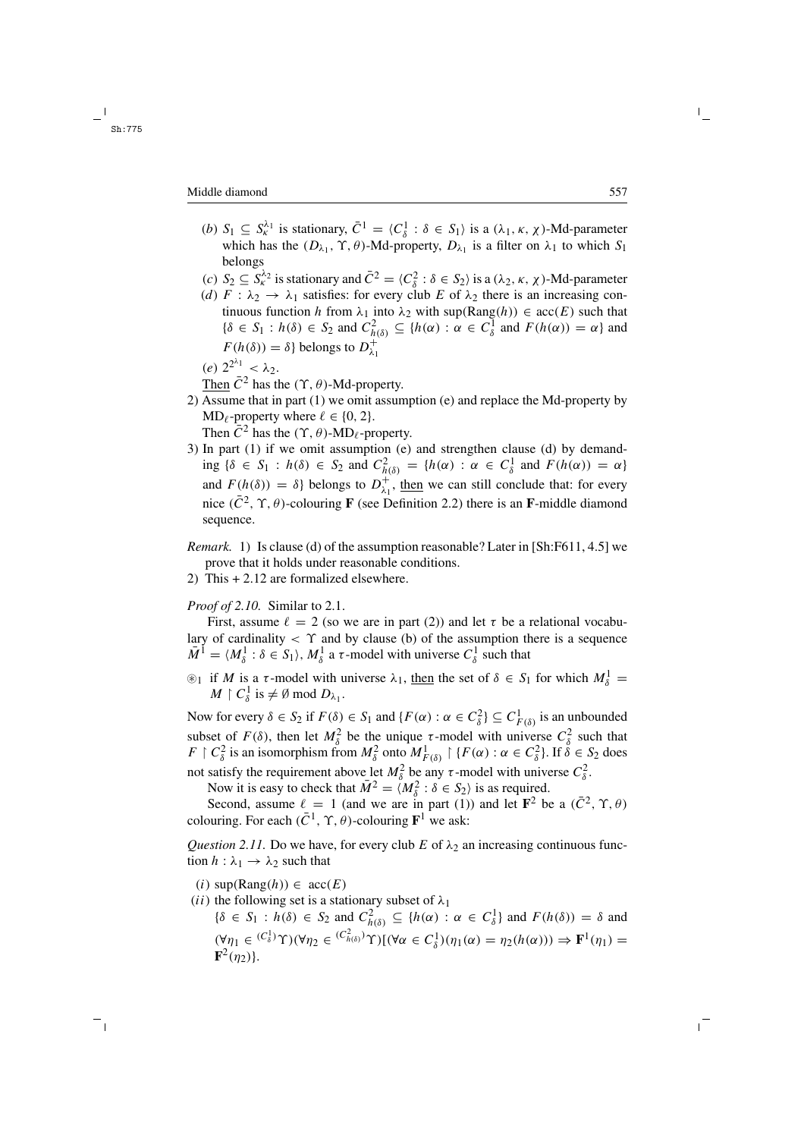#### Middle diamond 557

- (b)  $S_1 \subseteq S_K^{\lambda_1}$  is stationary,  $\overline{C}^1 = \langle C_\delta^1 : \delta \in S_1 \rangle$  is a  $(\lambda_1, \kappa, \chi)$ -Md-parameter which has the  $(D_{\lambda_1}, \Upsilon, \theta)$ -Md-property,  $D_{\lambda_1}$  is a filter on  $\lambda_1$  to which  $S_1$ belongs
- (c)  $S_2 \subseteq S_k^{\lambda_2}$  is stationary and  $\overline{C}^2 = \langle C_\delta^2 : \delta \in S_2 \rangle$  is a  $(\lambda_2, \kappa, \chi)$ -Md-parameter
- (d)  $F : \lambda_2 \to \lambda_1$  satisfies: for every club E of  $\lambda_2$  there is an increasing continuous function h from  $\lambda_1$  into  $\lambda_2$  with sup(Rang(h))  $\in$  acc(E) such that  $\{\delta \in S_1 : h(\delta) \in S_2 \text{ and } C^2_{h(\delta)} \subseteq \{h(\alpha) : \alpha \in C^1_{\delta} \text{ and } F(h(\alpha)) = \alpha\} \text{ and }$  $F(h(\delta)) = \delta$ } belongs to  $D_{\lambda_1}^+$
- (e)  $2^{2^{\lambda_1}} < \lambda_2$ .
- Then  $\overline{C}^2$  has the  $(\Upsilon, \theta)$ -Md-property.
- 2) Assume that in part (1) we omit assumption (e) and replace the Md-property by  $MD_{\ell}$ -property where  $\ell \in \{0, 2\}.$ 
	- Then  $\bar{C}^2$  has the  $(\Upsilon, \theta)$ -MD<sub>l</sub>-property.
- 3) In part (1) if we omit assumption (e) and strengthen clause (d) by demanding  $\{\delta \in S_1 : h(\delta) \in S_2 \text{ and } C_{h(\delta)}^2 = \{h(\alpha) : \alpha \in C_{\delta}^1 \text{ and } F(h(\alpha)) = \alpha\}$ and  $F(h(\delta)) = \delta$  belongs to  $D_{\lambda_1}^+$ , then we can still conclude that: for every nice ( $\overline{C}^2$ ,  $\Upsilon$ ,  $\theta$ )-colouring **F** (see Definition 2.2) there is an **F**-middle diamond sequence.
- *Remark.* 1) Is clause (d) of the assumption reasonable? Later in [Sh:F611, 4.5] we prove that it holds under reasonable conditions.
- 2) This + 2.12 are formalized elsewhere.

# *Proof of 2.10.* Similar to 2.1.

First, assume  $\ell = 2$  (so we are in part (2)) and let  $\tau$  be a relational vocabulary of cardinality  $\langle \gamma \rangle$  and by clause (b) of the assumption there is a sequence  $\overline{M}^1 = \langle M_\delta^1 : \delta \in S_1 \rangle$ ,  $M_\delta^1$  a  $\tau$ -model with universe  $C_\delta^1$  such that

 $\mathcal{L}_1$  if M is a  $\tau$ -model with universe  $\lambda_1$ , then the set of  $\delta \in S_1$  for which  $M_{\delta}^1$  =  $M \restriction C^1_\delta$  is  $\neq \emptyset$  mod  $D_{\lambda_1}$ .

Now for every  $\delta \in S_2$  if  $F(\delta) \in S_1$  and  $\{F(\alpha) : \alpha \in C^2_{\delta}\}\subseteq C^1_{F(\delta)}$  is an unbounded subset of  $F(\delta)$ , then let  $M_{\delta}^2$  be the unique  $\tau$ -model with universe  $C_{\delta}^2$  such that  $F \restriction C_\delta^2$  is an isomorphism from  $M_\delta^2$  onto  $M_{F(\delta)}^1 \restriction \{F(\alpha) : \alpha \in C_\delta^2\}$ . If  $\delta \in S_2$  does not satisfy the requirement above let  $M_{\delta}^2$  be any  $\tau$ -model with universe  $C_{\delta}^2$ .

Now it is easy to check that  $\overline{M}^2 = \langle M_\delta^2 : \delta \in S_2 \rangle$  is as required.

Second, assume  $\ell = 1$  (and we are in part (1)) and let  $\mathbf{F}^2$  be a  $(\bar{C}^2, \gamma, \theta)$ colouring. For each  $(\bar{C}^1, \gamma, \theta)$ -colouring  $\mathbf{F}^1$  we ask:

*Question 2.11.* Do we have, for every club E of  $\lambda_2$  an increasing continuous function  $h : \lambda_1 \to \lambda_2$  such that

- (i)  $\text{sup}(\text{Rang}(h)) \in \text{acc}(E)$
- (ii) the following set is a stationary subset of  $\lambda_1$ 
	- $\{\delta \in S_1 : h(\delta) \in S_2 \text{ and } C_{h(\delta)}^2 \subseteq \{h(\alpha) : \alpha \in C_{\delta}^1\} \text{ and } F(h(\delta)) = \delta \text{ and }$  $(\forall \eta_1 \in {^{(C_{\delta}^1)}}\Upsilon)(\forall \eta_2 \in {^{(C_{h(\delta)}^2)}}\Upsilon)[(\forall \alpha \in C_{\delta}^1)(\eta_1(\alpha) = \eta_2(h(\alpha))) \Rightarrow \mathbf{F}^1(\eta_1) =$  ${\bf F}^2(n_2)$ .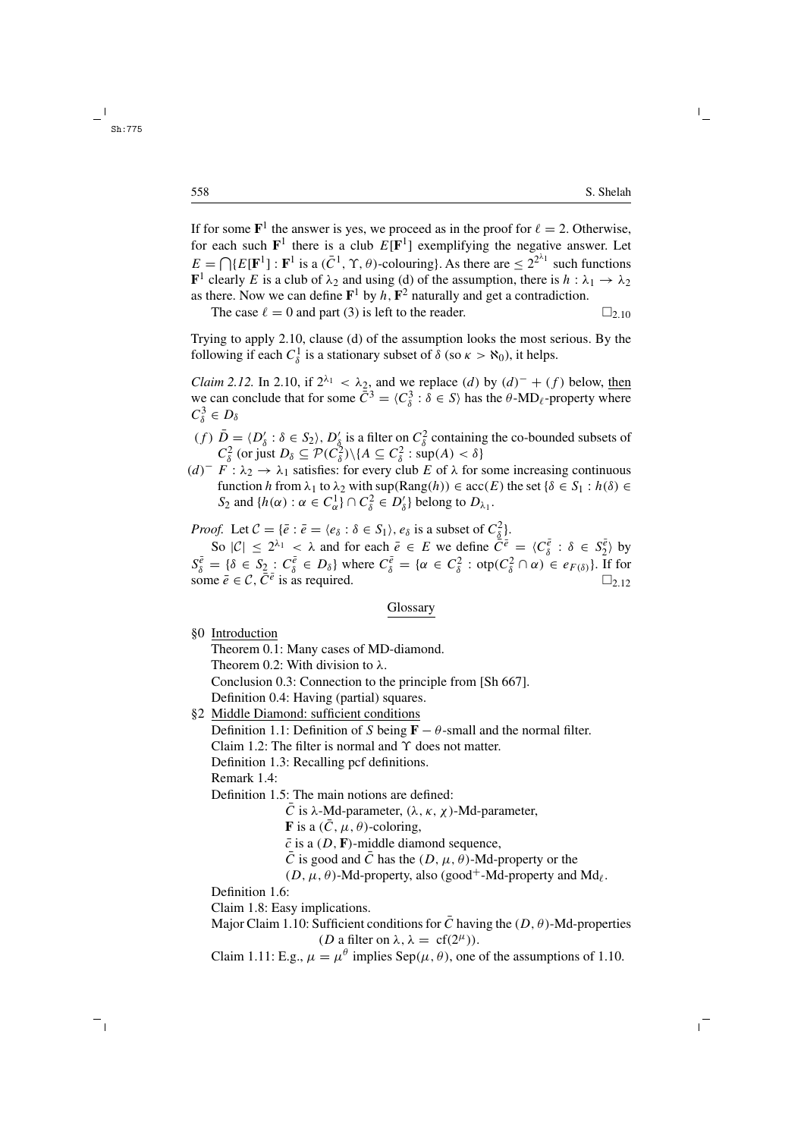If for some  $\mathbf{F}^1$  the answer is yes, we proceed as in the proof for  $\ell = 2$ . Otherwise, for each such  $\mathbf{F}^1$  there is a club  $E[\mathbf{F}^1]$  exemplifying the negative answer. Let  $E = \bigcap \{E[\mathbf{F}^1]: \mathbf{F}^1 \text{ is a } (\bar{C}^1, \gamma, \theta) \text{-colouring} \}.$  As there are  $\leq 2^{2\lambda_1}$  such functions **F**<sup>1</sup> clearly E is a club of  $\lambda_2$  and using (d) of the assumption, there is  $h : \lambda_1 \to \lambda_2$ as there. Now we can define  $\mathbf{F}^1$  by h,  $\mathbf{F}^2$  naturally and get a contradiction.

The case  $\ell = 0$  and part (3) is left to the reader.  $\square_{2,10}$ 

Trying to apply 2.10, clause (d) of the assumption looks the most serious. By the following if each  $C_{\delta}^1$  is a stationary subset of  $\delta$  (so  $\kappa > \aleph_0$ ), it helps.

*Claim 2.12.* In 2.10, if  $2^{\lambda_1} < \lambda_2$ , and we replace (d) by  $(d)^- + (f)$  below, then we can conclude that for some  $\bar{C}^3 = \langle C_\delta^3 : \delta \in S \rangle$  has the  $\theta$ -MD<sub>l</sub>-property where  $C^3_\delta \in D_\delta$ 

- (f)  $\overline{D} = \langle D'_\delta : \delta \in S_2 \rangle$ ,  $D'_\delta$  is a filter on  $C_\delta^2$  containing the co-bounded subsets of  $C_{\delta}^2$  (or just  $D_{\delta} \subseteq \mathcal{P}(C_{\delta}^2) \setminus \{A \subseteq C_{\delta}^2 : \sup(A) < \delta\}$
- $(d)$ <sup>-</sup>  $F : \lambda_2 \to \lambda_1$  satisfies: for every club E of  $\lambda$  for some increasing continuous function h from  $\lambda_1$  to  $\lambda_2$  with sup(Rang(h))  $\in$  acc(E) the set { $\delta \in S_1 : h(\delta) \in$ S<sub>2</sub> and  $\{h(\alpha) : \alpha \in C_{\alpha}^1\} \cap C_{\delta}^2 \in D_{\delta}'\}$  belong to  $D_{\lambda_1}$ .

*Proof.* Let  $C = {\bar{e} : \bar{e} = \langle e_{\delta} : \delta \in S_1 \rangle, e_{\delta} \text{ is a subset of } C_{\underline{\delta}}^2}.$ 

So  $|C| \le 2^{\lambda_1} < \lambda$  and for each  $\overline{e} \in E$  we define  $\overline{C}^{\overline{e}} = \langle C^{\overline{e}}_{\delta} : \delta \in S^{\overline{e}}_{2} \rangle$  by  $S_{\delta}^{\overline{e}} = {\delta \in S_2 : C_{\delta}^{\overline{e}} \in D_{\delta}}$  where  $C_{\delta}^{\overline{e}} = {\alpha \in C_{\delta}^2 : \text{otp}(C_{\delta}^2 \cap \alpha) \in e_{F(\delta)}}$ . If for some  $\bar{e} \in \mathcal{C}$ ,  $\bar{C}^{\bar{e}}$  is as required.

#### Glossary

§0 Introduction

Theorem 0.1: Many cases of MD-diamond.

Theorem 0.2: With division to  $\lambda$ .

Conclusion 0.3: Connection to the principle from [Sh 667].

Definition 0.4: Having (partial) squares.

§2 Middle Diamond: sufficient conditions

Definition 1.1: Definition of S being  $\mathbf{F} - \theta$ -small and the normal filter.

Claim 1.2: The filter is normal and  $\Upsilon$  does not matter.

Definition 1.3: Recalling pcf definitions.

Remark 1.4:

Definition 1.5: The main notions are defined:

 $\overline{C}$  is λ-Md-parameter, (λ, κ, χ)-Md-parameter,

**F** is a  $(\bar{C}, \mu, \theta)$ -coloring,

- $\bar{c}$  is a (D, **F**)-middle diamond sequence,
- $\overline{C}$  is good and  $\overline{C}$  has the  $(D, \mu, \theta)$ -Md-property or the

 $(D, \mu, \theta)$ -Md-property, also (good<sup>+</sup>-Md-property and Md<sub> $\ell$ </sub>.

Definition 1.6:

Claim 1.8: Easy implications.

Major Claim 1.10: Sufficient conditions for  $\overline{C}$  having the  $(D, \theta)$ -Md-properties (*D* a filter on  $\lambda$ ,  $\lambda = cf(2^{\mu})$ ).

Claim 1.11: E.g.,  $\mu = \mu^{\theta}$  implies Sep( $\mu$ ,  $\theta$ ), one of the assumptions of 1.10.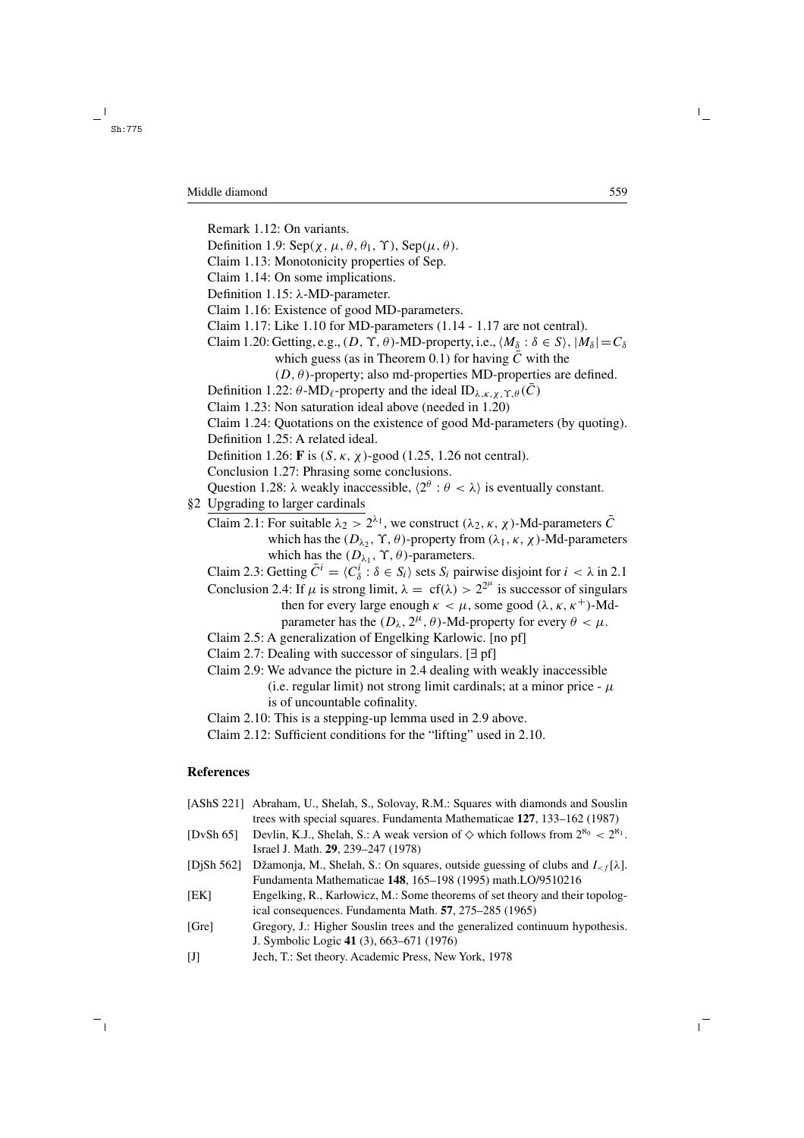Remark 1.12: On variants.

- Definition 1.9:  $\text{Sep}(\chi, \mu, \theta, \theta_1, \Upsilon)$ ,  $\text{Sep}(\mu, \theta)$ .
- Claim 1.13: Monotonicity properties of Sep.
- Claim 1.14: On some implications.
- Definition 1.15: λ-MD-parameter.
- Claim 1.16: Existence of good MD-parameters.
- Claim 1.17: Like 1.10 for MD-parameters (1.14 1.17 are not central).
- Claim 1.20: Getting, e.g.,  $(D, \Upsilon, \theta)$ -MD-property, i.e.,  $\langle M_\delta : \delta \in S \rangle$ ,  $|M_\delta| = C_\delta$ 
	- which guess (as in Theorem 0.1) for having  $\overline{C}$  with the

 $(D, \theta)$ -property; also md-properties MD-properties are defined.

- Definition 1.22:  $\theta$ -MD<sub>l</sub>-property and the ideal ID<sub>λ κ, χ</sub>  $\gamma$   $\theta$ ( $\bar{C}$ )
- Claim 1.23: Non saturation ideal above (needed in 1.20)
- Claim 1.24: Quotations on the existence of good Md-parameters (by quoting).
- Definition 1.25: A related ideal.

Definition 1.26: **F** is  $(S, \kappa, \chi)$ -good (1.25, 1.26 not central).

Conclusion 1.27: Phrasing some conclusions.

Question 1.28:  $\lambda$  weakly inaccessible,  $\langle 2^{\theta} : \theta < \lambda \rangle$  is eventually constant.

- §2 Upgrading to larger cardinals
	- Claim 2.1: For suitable  $\lambda_2 > 2^{\lambda_1}$ , we construct  $(\lambda_2, \kappa, \chi)$ -Md-parameters  $\overline{C}$ which has the  $(D_{\lambda_2}, \Upsilon, \theta)$ -property from  $(\lambda_1, \kappa, \chi)$ -Md-parameters which has the  $(D_{\lambda_1}, \Upsilon, \theta)$ -parameters.

Claim 2.3: Getting  $\bar{C}^i = \langle C_\delta^i : \delta \in S_i \rangle$  sets  $S_i$  pairwise disjoint for  $i < \lambda$  in 2.1

- Conclusion 2.4: If  $\mu$  is strong limit,  $\lambda = cf(\lambda) > 2^{2^{\mu}}$  is successor of singulars then for every large enough  $\kappa < \mu$ , some good ( $\lambda$ ,  $\kappa$ ,  $\kappa^+$ )-Mdparameter has the  $(D_{\lambda}, 2^{\mu}, \theta)$ -Md-property for every  $\theta < \mu$ .
- Claim 2.5: A generalization of Engelking Karlowic. [no pf]
- Claim 2.7: Dealing with successor of singulars. [∃ pf]
- Claim 2.9: We advance the picture in 2.4 dealing with weakly inaccessible (i.e. regular limit) not strong limit cardinals; at a minor price  $-\mu$ is of uncountable cofinality.
- Claim 2.10: This is a stepping-up lemma used in 2.9 above.
- Claim 2.12: Sufficient conditions for the "lifting" used in 2.10.

# **References**

|               | [AShS 221] Abraham, U., Shelah, S., Solovay, R.M.: Squares with diamonds and Souslin<br>trees with special squares. Fundamenta Mathematicae 127, 133–162 (1987) |
|---------------|-----------------------------------------------------------------------------------------------------------------------------------------------------------------|
| [DvSh $65$ ]  | Devlin, K.J., Shelah, S.: A weak version of $\diamondsuit$ which follows from $2^{\aleph_0} < 2^{\aleph_1}$ .<br>Israel J. Math. 29, 239–247 (1978)             |
| [DiSh $562$ ] | Džamonja, M., Shelah, S.: On squares, outside guessing of clubs and $I_{\leq f}[\lambda]$ .<br>Fundamenta Mathematicae 148, 165–198 (1995) math.LO/9510216      |
| [EK]          | Engelking, R., Karlowicz, M.: Some theorems of set theory and their topolog-<br>ical consequences. Fundamenta Math. 57, 275–285 (1965)                          |
| [Gre]         | Gregory, J.: Higher Souslin trees and the generalized continuum hypothesis.<br>J. Symbolic Logic 41 (3), 663–671 (1976)                                         |
| $\mathbf{U}$  | Jech, T.: Set theory. Academic Press, New York, 1978                                                                                                            |